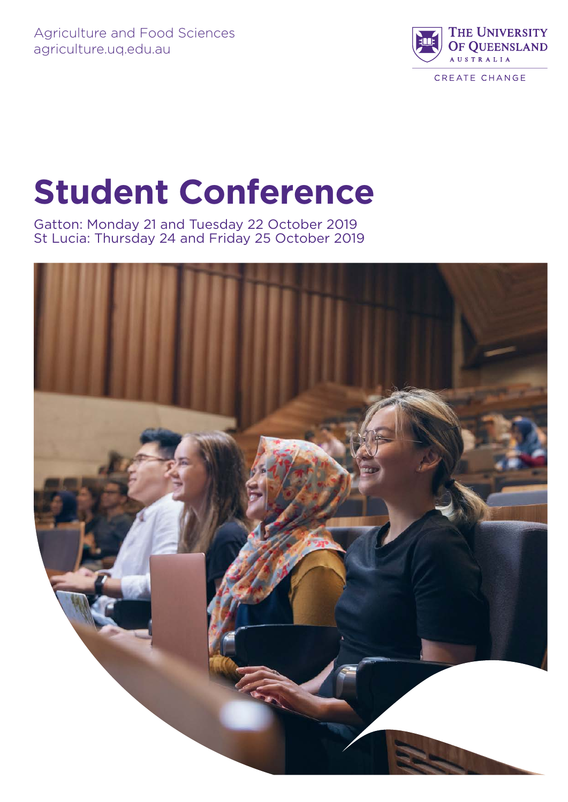

CREATE CHANGE

# **Student Conference**

Gatton: Monday 21 and Tuesday 22 October 2019 St Lucia: Thursday 24 and Friday 25 October 2019

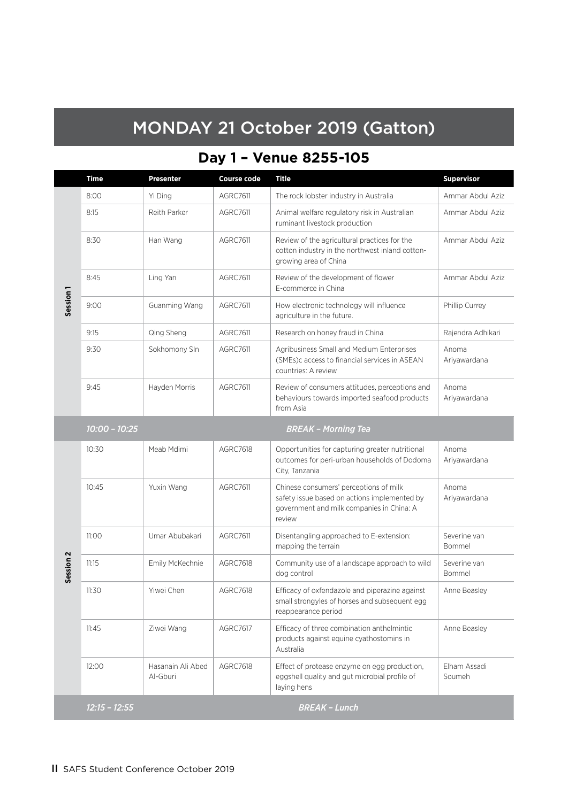## MONDAY 21 October 2019 (Gatton)

## **Day 1 – Venue 8255-105**

|                      | <b>Time</b>     | <b>Presenter</b>              | <b>Course code</b> | <b>Title</b>                                                                                                                                  | <b>Supervisor</b>      |
|----------------------|-----------------|-------------------------------|--------------------|-----------------------------------------------------------------------------------------------------------------------------------------------|------------------------|
|                      | 8:00            | Yi Ding                       | <b>AGRC7611</b>    | The rock lobster industry in Australia                                                                                                        | Ammar Abdul Aziz       |
|                      | 8:15            | Reith Parker                  | <b>AGRC7611</b>    | Animal welfare regulatory risk in Australian<br>ruminant livestock production                                                                 | Ammar Abdul Aziz       |
|                      | 8:30            | Han Wang                      | <b>AGRC7611</b>    | Review of the agricultural practices for the<br>cotton industry in the northwest inland cotton-<br>growing area of China                      | Ammar Abdul Aziz       |
|                      | 8:45            | Ling Yan                      | <b>AGRC7611</b>    | Review of the development of flower<br>E-commerce in China                                                                                    | Ammar Abdul Aziz       |
| Session <sub>1</sub> | 9:00            | Guanming Wang                 | <b>AGRC7611</b>    | How electronic technology will influence<br>agriculture in the future.                                                                        | Phillip Currey         |
|                      | 9:15            | Qing Sheng                    | <b>AGRC7611</b>    | Research on honey fraud in China                                                                                                              | Rajendra Adhikari      |
|                      | 9:30            | Sokhomony SIn                 | <b>AGRC7611</b>    | Agribusiness Small and Medium Enterprises<br>(SMEs)c access to financial services in ASEAN<br>countries: A review                             | Anoma<br>Ariyawardana  |
|                      | 9:45            | Hayden Morris                 | AGRC7611           | Review of consumers attitudes, perceptions and<br>behaviours towards imported seafood products<br>from Asia                                   | Anoma<br>Ariyawardana  |
|                      | $10:00 - 10:25$ |                               |                    | <b>BREAK - Morning Tea</b>                                                                                                                    |                        |
|                      | 10:30           | Meab Mdimi                    | <b>AGRC7618</b>    | Opportunities for capturing greater nutritional<br>outcomes for peri-urban households of Dodoma<br>City, Tanzania                             | Anoma<br>Ariyawardana  |
|                      | 10:45           | Yuxin Wang                    | <b>AGRC7611</b>    | Chinese consumers' perceptions of milk<br>safety issue based on actions implemented by<br>government and milk companies in China: A<br>review | Anoma<br>Ariyawardana  |
|                      | 11:00           | Umar Abubakari                | <b>AGRC7611</b>    | Disentangling approached to E-extension:<br>mapping the terrain                                                                               | Severine van<br>Bommel |
| Session <sub>2</sub> | 11:15           | Emily McKechnie               | <b>AGRC7618</b>    | Community use of a landscape approach to wild<br>dog control                                                                                  | Severine van<br>Bommel |
|                      | 11:30           | Yiwei Chen                    | AGRC7618           | Efficacy of oxfendazole and piperazine against<br>small strongyles of horses and subsequent egg<br>reappearance period                        | Anne Beasley           |
|                      | 11:45           | Ziwei Wang                    | AGRC7617           | Efficacy of three combination anthelmintic<br>products against equine cyathostomins in<br>Australia                                           | Anne Beasley           |
|                      | 12:00           | Hasanain Ali Abed<br>Al-Gburi | <b>AGRC7618</b>    | Effect of protease enzyme on egg production,<br>eggshell quality and gut microbial profile of<br>laying hens                                  | Elham Assadi<br>Soumeh |
|                      | $12:15 - 12:55$ |                               |                    | <b>BREAK - Lunch</b>                                                                                                                          |                        |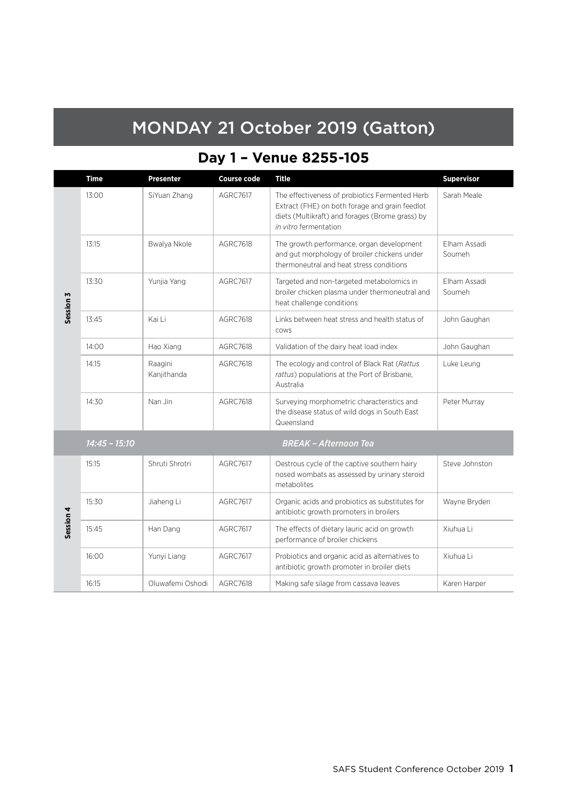## MONDAY 21 October 2019 (Gatton)

## **Day 1 – Venue 8255-105**

|           | <b>Time</b>     | <b>Presenter</b>       | <b>Course code</b> | <b>Title</b>                                                                                                                                                                 | <b>Supervisor</b>      |
|-----------|-----------------|------------------------|--------------------|------------------------------------------------------------------------------------------------------------------------------------------------------------------------------|------------------------|
|           | 13:00           | SiYuan Zhang           | <b>AGRC7617</b>    | The effectiveness of probiotics Fermented Herb<br>Extract (FHE) on both forage and grain feedlot<br>diets (Multikraft) and forages (Brome grass) by<br>in vitro fermentation | Sarah Meale            |
|           | 13:15           | Bwalya Nkole           | <b>AGRC7618</b>    | The growth performance, organ development<br>and gut morphology of broiler chickens under<br>thermoneutral and heat stress conditions                                        | Flham Assadi<br>Soumeh |
| Session 3 | 13:30           | Yunjia Yang            | <b>AGRC7617</b>    | Targeted and non-targeted metabolomics in<br>broiler chicken plasma under thermoneutral and<br>heat challenge conditions                                                     | Elham Assadi<br>Soumeh |
|           | 13:45           | Kai Li                 | <b>AGRC7618</b>    | Links between heat stress and health status of<br>COWS                                                                                                                       | John Gaughan           |
|           | 14:00           | Hao Xiang              | <b>AGRC7618</b>    | Validation of the dairy heat load index                                                                                                                                      | John Gaughan           |
|           | 14:15           | Raagini<br>Kanjithanda | <b>AGRC7618</b>    | The ecology and control of Black Rat (Rattus<br>rattus) populations at the Port of Brisbane,<br>Australia                                                                    | Luke Leung             |
|           | 14:30           | Nan Jin                | <b>AGRC7618</b>    | Surveying morphometric characteristics and<br>the disease status of wild dogs in South East<br>Queensland                                                                    | Peter Murray           |
|           | $14:45 - 15:10$ |                        |                    | <b>BREAK - Afternoon Tea</b>                                                                                                                                                 |                        |
|           | 15:15           | Shruti Shrotri         | <b>AGRC7617</b>    | Oestrous cycle of the captive southern hairy<br>nosed wombats as assessed by urinary steroid<br>metabolites                                                                  | Steve Johnston         |
|           | 15:30           | Jiaheng Li             | AGRC7617           | Organic acids and probiotics as substitutes for<br>antibiotic growth promoters in broilers                                                                                   | Wayne Bryden           |
| Session 4 | 15:45           | Han Dang               | <b>AGRC7617</b>    | The effects of dietary lauric acid on growth<br>performance of broiler chickens                                                                                              | Xiuhua Li              |
|           | 16:00           | Yunyi Liang            | <b>AGRC7617</b>    | Probiotics and organic acid as alternatives to<br>antibiotic growth promoter in broiler diets                                                                                | Xiuhua Li              |
|           | 16:15           | Oluwafemi Oshodi       | <b>AGRC7618</b>    | Making safe silage from cassava leaves                                                                                                                                       | Karen Harper           |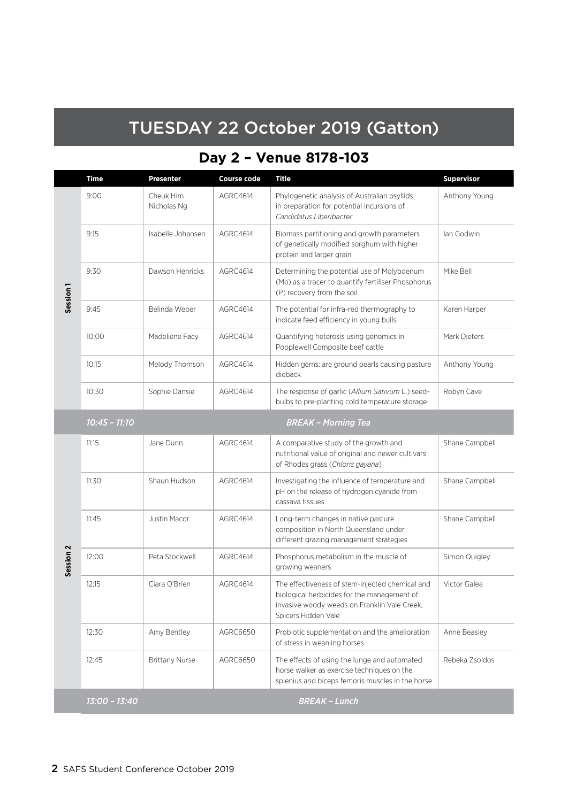## TUESDAY 22 October 2019 (Gatton)

## **Day 2 – Venue 8178-103**

|                      | <b>Time</b>     | <b>Presenter</b>         | <b>Course code</b> | <b>Title</b>                                                                                                                                                          | <b>Supervisor</b> |
|----------------------|-----------------|--------------------------|--------------------|-----------------------------------------------------------------------------------------------------------------------------------------------------------------------|-------------------|
| Session <sub>1</sub> | 9:00            | Cheuk Him<br>Nicholas Ng | AGRC4614           | Phylogenetic analysis of Australian psyllids<br>in preparation for potential incursions of<br>Candidatus Liberibacter                                                 | Anthony Young     |
|                      | 9:15            | Isabelle Johansen        | AGRC4614           | Biomass partitioning and growth parameters<br>of genetically modified sorghum with higher<br>protein and larger grain                                                 | lan Godwin        |
|                      | 9:30            | Dawson Henricks          | AGRC4614           | Determining the potential use of Molybdenum<br>(Mo) as a tracer to quantify fertiliser Phosphorus<br>(P) recovery from the soil                                       | Mike Bell         |
|                      | 9:45            | Belinda Weber            | AGRC4614           | The potential for infra-red thermography to<br>indicate feed efficiency in young bulls                                                                                | Karen Harper      |
|                      | 10:00           | Madeliene Facy           | AGRC4614           | Quantifying heterosis using genomics in<br>Popplewell Composite beef cattle                                                                                           | Mark Dieters      |
|                      | 10:15           | Melody Thomson           | AGRC4614           | Hidden gems: are ground pearls causing pasture<br>dieback                                                                                                             | Anthony Young     |
|                      | 10:30           | Sophie Dansie            | AGRC4614           | The response of garlic (Allium Sativum L.) seed-<br>bulbs to pre-planting cold temperature storage                                                                    | Robyn Cave        |
|                      | $10:45 - 11:10$ |                          |                    | <b>BREAK - Morning Tea</b>                                                                                                                                            |                   |
|                      | 11:15           | Jane Dunn                | AGRC4614           | A comparative study of the growth and<br>nutritional value of original and newer cultivars<br>of Rhodes grass (Chloris gayana)                                        | Shane Campbell    |
|                      | 11:30           | Shaun Hudson             | AGRC4614           | Investigating the influence of temperature and<br>pH on the release of hydrogen cyanide from<br>cassava tissues                                                       | Shane Campbell    |
|                      | 11:45           | Justin Macor             | AGRC4614           | Long-term changes in native pasture<br>composition in North Queensland under<br>different grazing management strategies                                               | Shane Campbell    |
| Session <sub>2</sub> | 12:00           | Peta Stockwell           | AGRC4614           | Phosphorus metabolism in the muscle of<br>growing weaners                                                                                                             | Simon Quigley     |
|                      | 12:15           | Ciara O'Brien            | AGRC4614           | The effectiveness of stem-injected chemical and<br>biological herbicides for the management of<br>invasive woody weeds on Franklin Vale Creek,<br>Spicers Hidden Vale | Victor Galea      |
|                      | 12:30           | Amy Bentley              | AGRC6650           | Probiotic supplementation and the amelioration<br>of stress in weanling horses                                                                                        | Anne Beasley      |
|                      | 12:45           | <b>Brittany Nurse</b>    | AGRC6650           | The effects of using the lunge and automated<br>horse walker as exercise techniques on the<br>splenius and biceps femoris muscles in the horse                        | Rebeka Zsoldos    |
|                      | 13:00 - 13:40   |                          |                    | <b>BREAK - Lunch</b>                                                                                                                                                  |                   |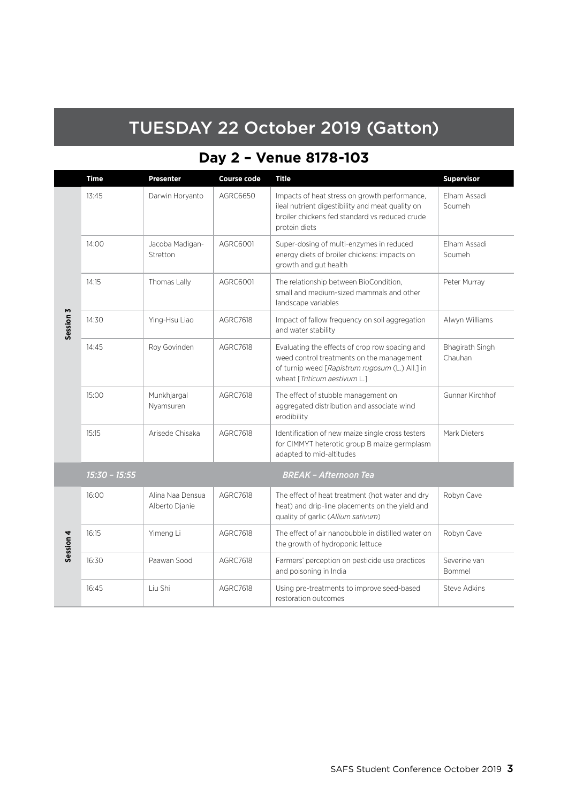## TUESDAY 22 October 2019 (Gatton)

## **Day 2 – Venue 8178-103**

|           | Time            | <b>Presenter</b>                   | <b>Course code</b> | <b>Title</b>                                                                                                                                                                   | <b>Supervisor</b>          |
|-----------|-----------------|------------------------------------|--------------------|--------------------------------------------------------------------------------------------------------------------------------------------------------------------------------|----------------------------|
|           | 13:45           | Darwin Horyanto                    | AGRC6650           | Impacts of heat stress on growth performance,<br>ileal nutrient digestibility and meat quality on<br>broiler chickens fed standard vs reduced crude<br>protein diets           | Elham Assadi<br>Soumeh     |
|           | 14:00           | Jacoba Madigan-<br>Stretton        | AGRC6001           | Super-dosing of multi-enzymes in reduced<br>energy diets of broiler chickens: impacts on<br>growth and gut health                                                              | Flham Assadi<br>Soumeh     |
|           | 14:15           | Thomas Lally                       | AGRC6001           | The relationship between BioCondition,<br>small and medium-sized mammals and other<br>landscape variables                                                                      | Peter Murray               |
| Session 3 | 14:30           | Ying-Hsu Liao                      | AGRC7618           | Impact of fallow frequency on soil aggregation<br>and water stability                                                                                                          | Alwyn Williams             |
|           | 14:45           | Roy Govinden                       | <b>AGRC7618</b>    | Evaluating the effects of crop row spacing and<br>weed control treatments on the management<br>of turnip weed [Rapistrum rugosum (L.) All.] in<br>wheat [Triticum aestivum L.] | Bhagirath Singh<br>Chauhan |
|           | 15:00           | Munkhjargal<br>Nyamsuren           | <b>AGRC7618</b>    | The effect of stubble management on<br>aggregated distribution and associate wind<br>erodibility                                                                               | Gunnar Kirchhof            |
|           | 15:15           | Arisede Chisaka                    | <b>AGRC7618</b>    | Identification of new maize single cross testers<br>for CIMMYT heterotic group B maize germplasm<br>adapted to mid-altitudes                                                   | Mark Dieters               |
|           | $15:30 - 15:55$ |                                    |                    | <b>BREAK - Afternoon Tea</b>                                                                                                                                                   |                            |
|           | 16:00           | Alina Naa Densua<br>Alberto Djanie | <b>AGRC7618</b>    | The effect of heat treatment (hot water and dry<br>heat) and drip-line placements on the yield and<br>quality of garlic (Allium sativum)                                       | Robyn Cave                 |
| Session 4 | 16:15           | Yimeng Li                          | <b>AGRC7618</b>    | The effect of air nanobubble in distilled water on<br>the growth of hydroponic lettuce                                                                                         | Robyn Cave                 |
|           | 16:30           | Paawan Sood                        | <b>AGRC7618</b>    | Farmers' perception on pesticide use practices<br>and poisoning in India                                                                                                       | Severine van<br>Bommel     |
|           | 16:45           | Liu Shi                            | AGRC7618           | Using pre-treatments to improve seed-based<br>restoration outcomes                                                                                                             | <b>Steve Adkins</b>        |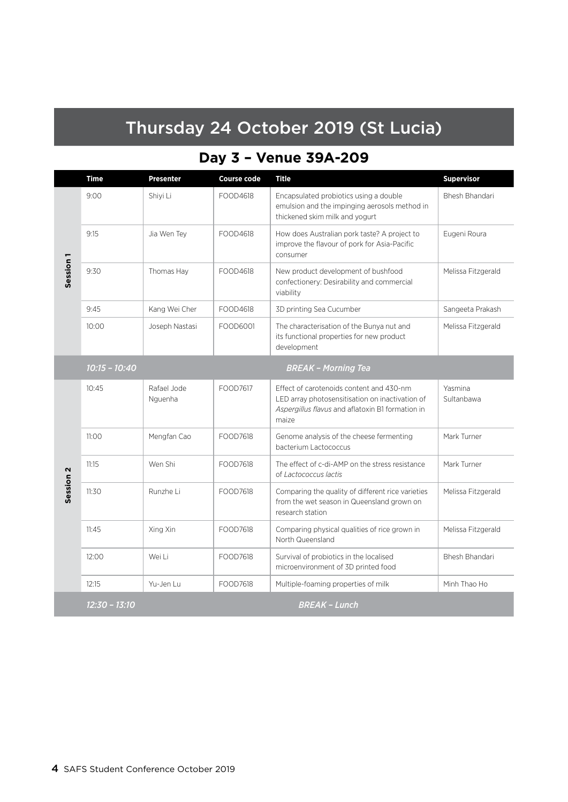## Thursday 24 October 2019 (St Lucia)

## **Day 3 – Venue 39A-209**

|                      | <b>Time</b>     | <b>Presenter</b>       | <b>Course code</b> | <b>Title</b>                                                                                                                                             | <b>Supervisor</b>     |
|----------------------|-----------------|------------------------|--------------------|----------------------------------------------------------------------------------------------------------------------------------------------------------|-----------------------|
|                      | 9:00            | Shiyi Li               | FOOD4618           | Encapsulated probiotics using a double<br>emulsion and the impinging aerosols method in<br>thickened skim milk and yogurt                                | <b>Bhesh Bhandari</b> |
|                      | 9:15            | Jia Wen Tey            | FOOD4618           | How does Australian pork taste? A project to<br>improve the flavour of pork for Asia-Pacific<br>consumer                                                 | Eugeni Roura          |
| Session <sub>1</sub> | 9:30            | Thomas Hay             | FOOD4618           | New product development of bushfood<br>confectionery: Desirability and commercial<br>viability                                                           | Melissa Fitzgerald    |
|                      | 9:45            | Kang Wei Cher          | FOOD4618           | 3D printing Sea Cucumber                                                                                                                                 | Sangeeta Prakash      |
|                      | 10:00           | Joseph Nastasi         | FOOD6001           | The characterisation of the Bunya nut and<br>its functional properties for new product<br>development                                                    | Melissa Fitzgerald    |
|                      | $10:15 - 10:40$ |                        |                    | <b>BREAK - Morning Tea</b>                                                                                                                               |                       |
|                      | 10:45           | Rafael Jode<br>Nguenha | FOOD7617           | Effect of carotenoids content and 430-nm<br>LED array photosensitisation on inactivation of<br>Aspergillus flavus and aflatoxin B1 formation in<br>maize | Yasmina<br>Sultanbawa |
|                      | 11:00           | Mengfan Cao            | FOOD7618           | Genome analysis of the cheese fermenting<br>bacterium Lactococcus                                                                                        | Mark Turner           |
|                      | 11:15           | Wen Shi                | FOOD7618           | The effect of c-di-AMP on the stress resistance<br>of Lactococcus lactis                                                                                 | Mark Turner           |
| Session <sub>2</sub> | 11:30           | Runzhe Li              | FOOD7618           | Comparing the quality of different rice varieties<br>from the wet season in Queensland grown on<br>research station                                      | Melissa Fitzgerald    |
|                      | 11:45           | Xing Xin               | FOOD7618           | Comparing physical qualities of rice grown in<br>North Queensland                                                                                        | Melissa Fitzgerald    |
|                      | 12:00           | Wei Li                 | FOOD7618           | Survival of probiotics in the localised<br>microenvironment of 3D printed food                                                                           | Bhesh Bhandari        |
|                      | 12:15           | Yu-Jen Lu              | FOOD7618           | Multiple-foaming properties of milk                                                                                                                      | Minh Thao Ho          |
|                      | 12:30 - 13:10   |                        |                    | <b>BREAK - Lunch</b>                                                                                                                                     |                       |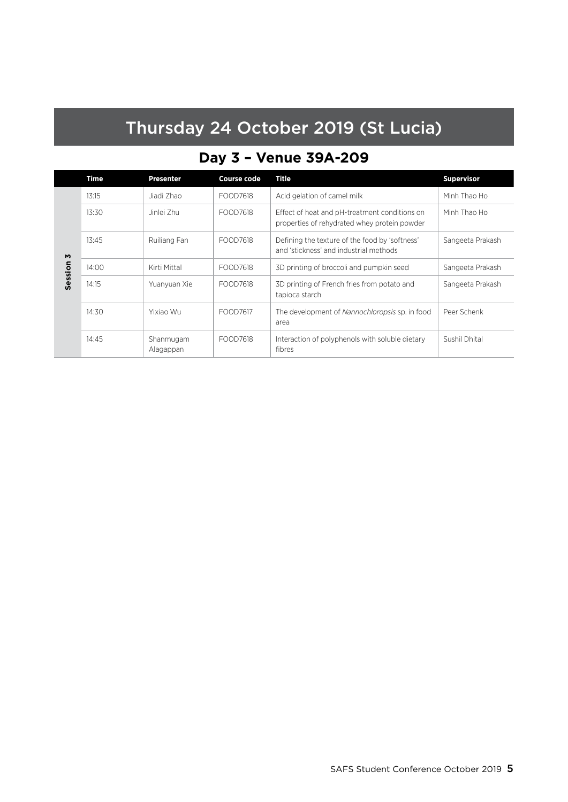## Thursday 24 October 2019 (St Lucia)

## **Day 3 – Venue 39A-209**

|         | Time  | <b>Presenter</b>       | <b>Course code</b> | Title                                                                                         | <b>Supervisor</b> |
|---------|-------|------------------------|--------------------|-----------------------------------------------------------------------------------------------|-------------------|
|         | 13:15 | Jiadi Zhao             | FOOD7618           | Acid gelation of camel milk                                                                   | Minh Thao Ho      |
|         | 13:30 | Jinlei Zhu             | FOOD7618           | Effect of heat and pH-treatment conditions on<br>properties of rehydrated whey protein powder | Minh Thao Ho      |
| M       | 13:45 | Ruiliang Fan           | FOOD7618           | Defining the texture of the food by 'softness'<br>and 'stickness' and industrial methods      | Sangeeta Prakash  |
| Session | 14:00 | Kirti Mittal           | FOOD7618           | 3D printing of broccoli and pumpkin seed                                                      | Sangeeta Prakash  |
|         | 14:15 | Yuanyuan Xie           | FOOD7618           | 3D printing of French fries from potato and<br>tapioca starch                                 | Sangeeta Prakash  |
|         | 14:30 | Yixiao Wu              | FOOD7617           | The development of Nannochloropsis sp. in food<br>area                                        | Peer Schenk       |
|         | 14:45 | Shanmugam<br>Alagappan | FOOD7618           | Interaction of polyphenols with soluble dietary<br>fibres                                     | Sushil Dhital     |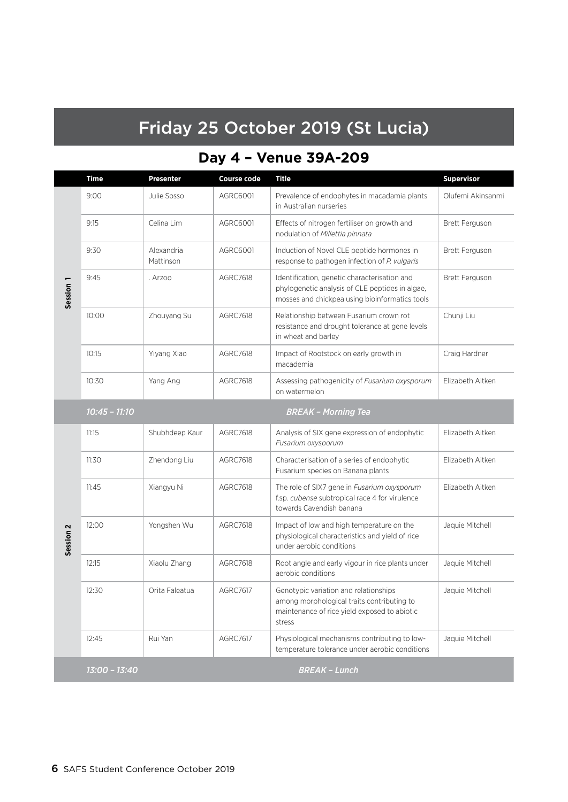## Friday 25 October 2019 (St Lucia)

## **Day 4 – Venue 39A-209**

|                      | Time            | Presenter               | <b>Course code</b> | <b>Title</b>                                                                                                                                      | <b>Supervisor</b>     |
|----------------------|-----------------|-------------------------|--------------------|---------------------------------------------------------------------------------------------------------------------------------------------------|-----------------------|
|                      | 9:00            | Julie Sosso             | AGRC6001           | Prevalence of endophytes in macadamia plants<br>in Australian nurseries                                                                           | Olufemi Akinsanmi     |
| Session <sub>1</sub> | 9:15            | Celina Lim              | AGRC6001           | Effects of nitrogen fertiliser on growth and<br>nodulation of Millettia pinnata                                                                   | <b>Brett Ferguson</b> |
|                      | 9:30            | Alexandria<br>Mattinson | AGRC6001           | Induction of Novel CLE peptide hormones in<br>response to pathogen infection of P. vulgaris                                                       | <b>Brett Ferguson</b> |
|                      | 9:45            | . Arzoo                 | <b>AGRC7618</b>    | Identification, genetic characterisation and<br>phylogenetic analysis of CLE peptides in algae,<br>mosses and chickpea using bioinformatics tools | <b>Brett Ferguson</b> |
|                      | 10:00           | Zhouyang Su             | <b>AGRC7618</b>    | Relationship between Fusarium crown rot<br>resistance and drought tolerance at gene levels<br>in wheat and barley                                 | Chunji Liu            |
|                      | 10:15           | Yiyang Xiao             | <b>AGRC7618</b>    | Impact of Rootstock on early growth in<br>macademia                                                                                               | Craig Hardner         |
|                      | 10:30           | Yang Ang                | <b>AGRC7618</b>    | Assessing pathogenicity of Fusarium oxysporum<br>on watermelon                                                                                    | Elizabeth Aitken      |
|                      | $10:45 - 11:10$ |                         |                    | <b>BREAK - Morning Tea</b>                                                                                                                        |                       |
| Session <sub>2</sub> | 11:15           | Shubhdeep Kaur          | <b>AGRC7618</b>    | Analysis of SIX gene expression of endophytic<br>Fusarium oxysporum                                                                               | Elizabeth Aitken      |
|                      | 11:30           | Zhendong Liu            | <b>AGRC7618</b>    | Characterisation of a series of endophytic<br>Fusarium species on Banana plants                                                                   | Elizabeth Aitken      |
|                      | 11:45           | Xiangyu Ni              | <b>AGRC7618</b>    | The role of SIX7 gene in Fusarium oxysporum<br>f.sp. cubense subtropical race 4 for virulence<br>towards Cavendish banana                         | Elizabeth Aitken      |
|                      | 12:00           | Yongshen Wu             | <b>AGRC7618</b>    | Impact of low and high temperature on the<br>physiological characteristics and yield of rice<br>under aerobic conditions                          | Jaquie Mitchell       |
|                      | 12:15           | Xiaolu Zhang            | AGRC7618           | Root angle and early vigour in rice plants under<br>aerobic conditions                                                                            | Jaquie Mitchell       |
|                      | 12:30           | Orita Faleatua          | <b>AGRC7617</b>    | Genotypic variation and relationships<br>among morphological traits contributing to<br>maintenance of rice yield exposed to abiotic<br>stress     | Jaquie Mitchell       |
|                      | 12:45           | Rui Yan                 | AGRC7617           | Physiological mechanisms contributing to low-<br>temperature tolerance under aerobic conditions                                                   | Jaquie Mitchell       |
|                      | 13:00 - 13:40   |                         |                    | <b>BREAK - Lunch</b>                                                                                                                              |                       |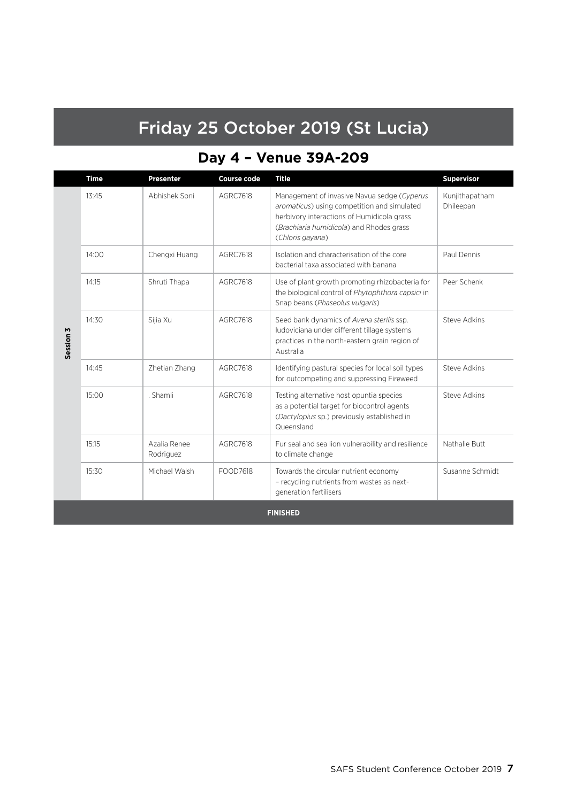## Friday 25 October 2019 (St Lucia)

## **Day 4 – Venue 39A-209**

|                 | <b>Time</b> | <b>Presenter</b>          | <b>Course code</b> | <b>Title</b>                                                                                                                                                                                             | <b>Supervisor</b>           |
|-----------------|-------------|---------------------------|--------------------|----------------------------------------------------------------------------------------------------------------------------------------------------------------------------------------------------------|-----------------------------|
|                 | 13:45       | Abhishek Soni             | <b>AGRC7618</b>    | Management of invasive Navua sedge (Cyperus<br>aromaticus) using competition and simulated<br>herbivory interactions of Humidicola grass<br>(Brachiaria humidicola) and Rhodes grass<br>(Chloris gayana) | Kunjithapatham<br>Dhileepan |
|                 | 14:00       | Chengxi Huang             | AGRC7618           | Isolation and characterisation of the core<br>bacterial taxa associated with banana                                                                                                                      | Paul Dennis                 |
| Session 3       | 14:15       | Shruti Thapa              | AGRC7618           | Use of plant growth promoting rhizobacteria for<br>the biological control of Phytophthora capsici in<br>Snap beans (Phaseolus vulgaris)                                                                  | Peer Schenk                 |
|                 | 14:30       | Sijia Xu                  | AGRC7618           | Seed bank dynamics of Avena sterilis ssp.<br>ludoviciana under different tillage systems<br>practices in the north-eastern grain region of<br>Australia                                                  | Steve Adkins                |
|                 | 14:45       | Zhetian Zhang             | AGRC7618           | Identifying pastural species for local soil types<br>for outcompeting and suppressing Fireweed                                                                                                           | <b>Steve Adkins</b>         |
|                 | 15:00       | . Shamli                  | AGRC7618           | Testing alternative host opuntia species<br>as a potential target for biocontrol agents<br>(Dactylopius sp.) previously established in<br>Queensland                                                     | <b>Steve Adkins</b>         |
|                 | 15:15       | Azalia Renee<br>Rodriguez | <b>AGRC7618</b>    | Fur seal and sea lion vulnerability and resilience<br>to climate change                                                                                                                                  | Nathalie Butt               |
|                 | 15:30       | Michael Walsh             | FOOD7618           | Towards the circular nutrient economy<br>- recycling nutrients from wastes as next-<br>generation fertilisers                                                                                            | Susanne Schmidt             |
| <b>FINISHED</b> |             |                           |                    |                                                                                                                                                                                                          |                             |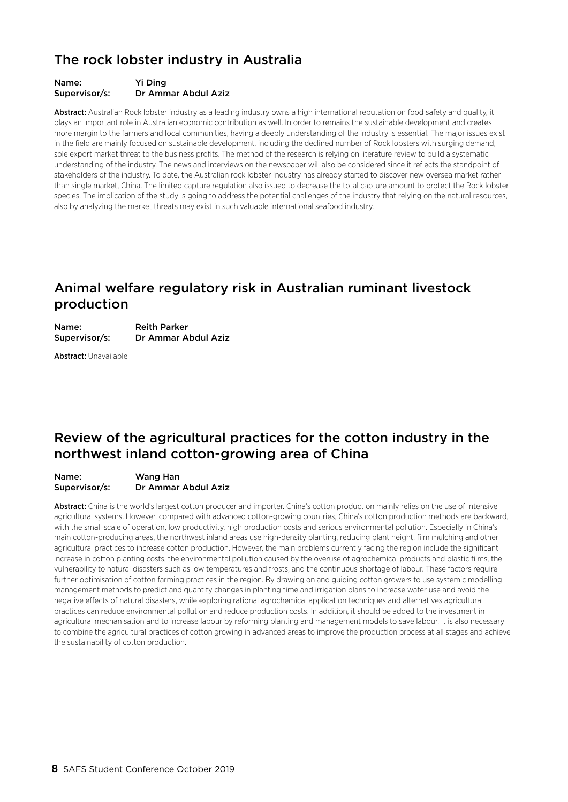### The rock lobster industry in Australia

#### Name: Yi Ding Supervisor/s: Dr Ammar Abdul Aziz

Abstract: Australian Rock lobster industry as a leading industry owns a high international reputation on food safety and quality, it plays an important role in Australian economic contribution as well. In order to remains the sustainable development and creates more margin to the farmers and local communities, having a deeply understanding of the industry is essential. The major issues exist in the field are mainly focused on sustainable development, including the declined number of Rock lobsters with surging demand, sole export market threat to the business profits. The method of the research is relying on literature review to build a systematic understanding of the industry. The news and interviews on the newspaper will also be considered since it reflects the standpoint of stakeholders of the industry. To date, the Australian rock lobster industry has already started to discover new oversea market rather than single market, China. The limited capture regulation also issued to decrease the total capture amount to protect the Rock lobster species. The implication of the study is going to address the potential challenges of the industry that relying on the natural resources, also by analyzing the market threats may exist in such valuable international seafood industry.

### Animal welfare regulatory risk in Australian ruminant livestock production

| Name:         | <b>Reith Parker</b> |
|---------------|---------------------|
| Supervisor/s: | Dr Ammar Abdul Aziz |

Abstract: Unavailable

### Review of the agricultural practices for the cotton industry in the northwest inland cotton-growing area of China

#### Name: Wang Han Supervisor/s: Dr Ammar Abdul Aziz

Abstract: China is the world's largest cotton producer and importer. China's cotton production mainly relies on the use of intensive agricultural systems. However, compared with advanced cotton-growing countries, China's cotton production methods are backward, with the small scale of operation, low productivity, high production costs and serious environmental pollution. Especially in China's main cotton-producing areas, the northwest inland areas use high-density planting, reducing plant height, film mulching and other agricultural practices to increase cotton production. However, the main problems currently facing the region include the significant increase in cotton planting costs, the environmental pollution caused by the overuse of agrochemical products and plastic films, the vulnerability to natural disasters such as low temperatures and frosts, and the continuous shortage of labour. These factors require further optimisation of cotton farming practices in the region. By drawing on and guiding cotton growers to use systemic modelling management methods to predict and quantify changes in planting time and irrigation plans to increase water use and avoid the negative effects of natural disasters, while exploring rational agrochemical application techniques and alternatives agricultural practices can reduce environmental pollution and reduce production costs. In addition, it should be added to the investment in agricultural mechanisation and to increase labour by reforming planting and management models to save labour. It is also necessary to combine the agricultural practices of cotton growing in advanced areas to improve the production process at all stages and achieve the sustainability of cotton production.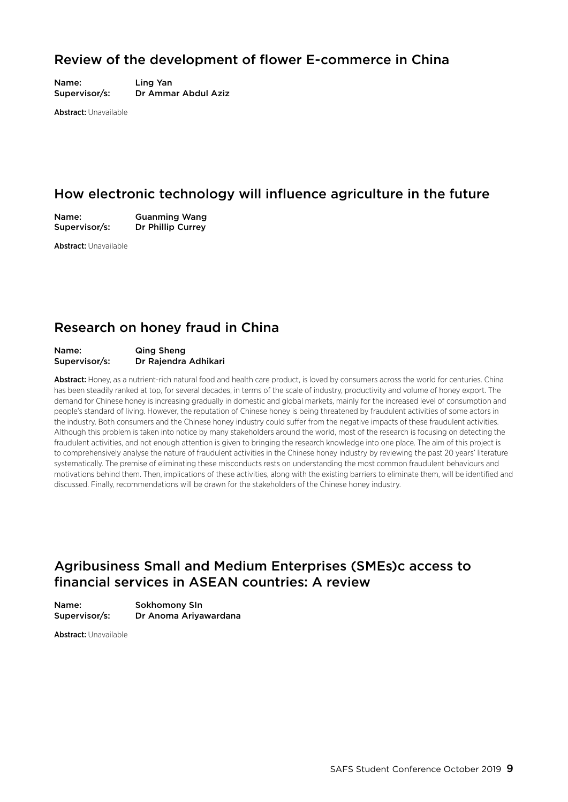### Review of the development of flower E-commerce in China

Name: Ling Yan Supervisor/s: Dr Ammar Abdul Aziz

Abstract: Unavailable

### How electronic technology will influence agriculture in the future

Name: Guanming Wang Supervisor/s: Dr Phillip Currey

Abstract: Unavailable

### Research on honey fraud in China

#### Name: Qing Sheng Supervisor/s: Dr Rajendra Adhikari

Abstract: Honey, as a nutrient-rich natural food and health care product, is loved by consumers across the world for centuries. China has been steadily ranked at top, for several decades, in terms of the scale of industry, productivity and volume of honey export. The demand for Chinese honey is increasing gradually in domestic and global markets, mainly for the increased level of consumption and people's standard of living. However, the reputation of Chinese honey is being threatened by fraudulent activities of some actors in the industry. Both consumers and the Chinese honey industry could suffer from the negative impacts of these fraudulent activities. Although this problem is taken into notice by many stakeholders around the world, most of the research is focusing on detecting the fraudulent activities, and not enough attention is given to bringing the research knowledge into one place. The aim of this project is to comprehensively analyse the nature of fraudulent activities in the Chinese honey industry by reviewing the past 20 years' literature systematically. The premise of eliminating these misconducts rests on understanding the most common fraudulent behaviours and motivations behind them. Then, implications of these activities, along with the existing barriers to eliminate them, will be identified and discussed. Finally, recommendations will be drawn for the stakeholders of the Chinese honey industry.

### Agribusiness Small and Medium Enterprises (SMEs)c access to financial services in ASEAN countries: A review

Name: Sokhomony SIn Supervisor/s: Dr Anoma Ariyawardana

Abstract: Unavailable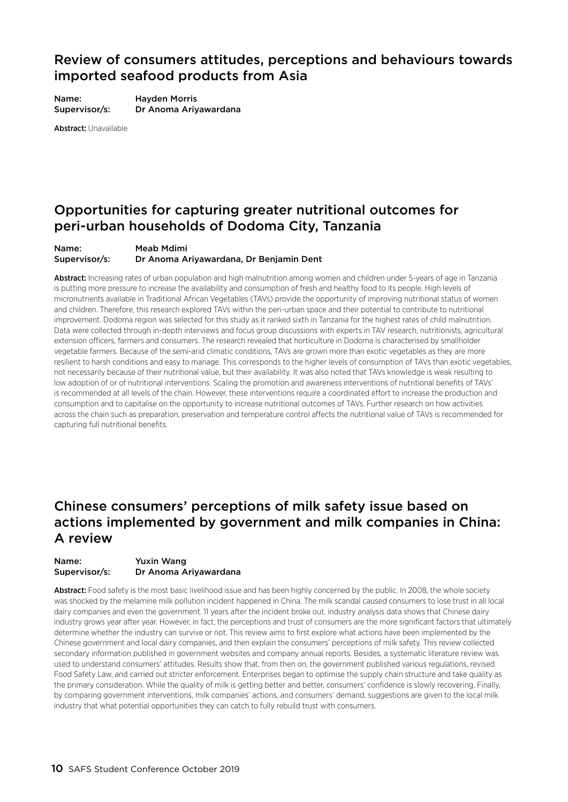### Review of consumers attitudes, perceptions and behaviours towards imported seafood products from Asia

Name: Hayden Morris Supervisor/s: Dr Anoma Ariyawardana

Abstract: Unavailable

### Opportunities for capturing greater nutritional outcomes for peri-urban households of Dodoma City, Tanzania

#### Name: Meab Mdimi Supervisor/s: Dr Anoma Ariyawardana, Dr Benjamin Dent

Abstract: Increasing rates of urban population and high malnutrition among women and children under 5-years of age in Tanzania is putting more pressure to increase the availability and consumption of fresh and healthy food to its people. High levels of micronutrients available in Traditional African Vegetables (TAVs) provide the opportunity of improving nutritional status of women and children. Therefore, this research explored TAVs within the peri-urban space and their potential to contribute to nutritional improvement. Dodoma region was selected for this study as it ranked sixth in Tanzania for the highest rates of child malnutrition. Data were collected through in-depth interviews and focus group discussions with experts in TAV research, nutritionists, agricultural extension officers, farmers and consumers. The research revealed that horticulture in Dodoma is characterised by smallholder vegetable farmers. Because of the semi-arid climatic conditions, TAVs are grown more than exotic vegetables as they are more resilient to harsh conditions and easy to manage. This corresponds to the higher levels of consumption of TAVs than exotic vegetables, not necessarily because of their nutritional value, but their availability. It was also noted that TAVs knowledge is weak resulting to low adoption of or of nutritional interventions. Scaling the promotion and awareness interventions of nutritional benefits of TAVs' is recommended at all levels of the chain. However, these interventions require a coordinated effort to increase the production and consumption and to capitalise on the opportunity to increase nutritional outcomes of TAVs. Further research on how activities across the chain such as preparation, preservation and temperature control affects the nutritional value of TAVs is recommended for capturing full nutritional benefits.

### Chinese consumers' perceptions of milk safety issue based on actions implemented by government and milk companies in China: A review

#### Name: Yuxin Wang Supervisor/s: Dr Anoma Ariyawardana

Abstract: Food safety is the most basic livelihood issue and has been highly concerned by the public. In 2008, the whole society was shocked by the melamine milk pollution incident happened in China. The milk scandal caused consumers to lose trust in all local dairy companies and even the government. 11 years after the incident broke out, industry analysis data shows that Chinese dairy industry grows year after year. However, in fact, the perceptions and trust of consumers are the more significant factors that ultimately determine whether the industry can survive or not. This review aims to first explore what actions have been implemented by the Chinese government and local dairy companies, and then explain the consumers' perceptions of milk safety. This review collected secondary information published in government websites and company annual reports. Besides, a systematic literature review was used to understand consumers' attitudes. Results show that, from then on, the government published various regulations, revised Food Safety Law, and carried out stricter enforcement. Enterprises began to optimise the supply chain structure and take quality as the primary consideration. While the quality of milk is getting better and better, consumers' confidence is slowly recovering. Finally, by comparing government interventions, milk companies' actions, and consumers' demand, suggestions are given to the local milk industry that what potential opportunities they can catch to fully rebuild trust with consumers.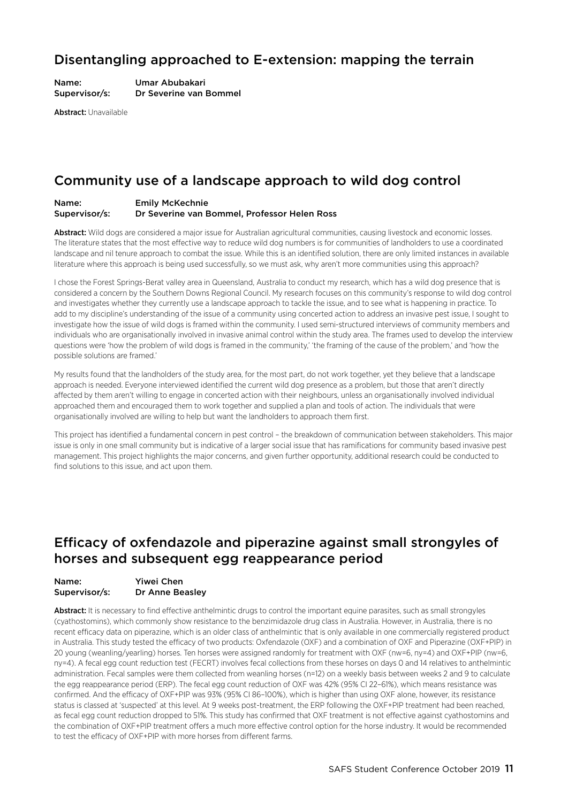### Disentangling approached to E-extension: mapping the terrain

Name: Umar Abubakari Supervisor/s: Dr Severine van Bommel

Abstract: Unavailable

### Community use of a landscape approach to wild dog control

#### Name: Emily McKechnie Supervisor/s: Dr Severine van Bommel, Professor Helen Ross

Abstract: Wild dogs are considered a major issue for Australian agricultural communities, causing livestock and economic losses. The literature states that the most effective way to reduce wild dog numbers is for communities of landholders to use a coordinated landscape and nil tenure approach to combat the issue. While this is an identified solution, there are only limited instances in available literature where this approach is being used successfully, so we must ask, why aren't more communities using this approach?

I chose the Forest Springs-Berat valley area in Queensland, Australia to conduct my research, which has a wild dog presence that is considered a concern by the Southern Downs Regional Council. My research focuses on this community's response to wild dog control and investigates whether they currently use a landscape approach to tackle the issue, and to see what is happening in practice. To add to my discipline's understanding of the issue of a community using concerted action to address an invasive pest issue, I sought to investigate how the issue of wild dogs is framed within the community. I used semi-structured interviews of community members and individuals who are organisationally involved in invasive animal control within the study area. The frames used to develop the interview questions were 'how the problem of wild dogs is framed in the community,' 'the framing of the cause of the problem,' and 'how the possible solutions are framed.'

My results found that the landholders of the study area, for the most part, do not work together, yet they believe that a landscape approach is needed. Everyone interviewed identified the current wild dog presence as a problem, but those that aren't directly affected by them aren't willing to engage in concerted action with their neighbours, unless an organisationally involved individual approached them and encouraged them to work together and supplied a plan and tools of action. The individuals that were organisationally involved are willing to help but want the landholders to approach them first.

This project has identified a fundamental concern in pest control – the breakdown of communication between stakeholders. This major issue is only in one small community but is indicative of a larger social issue that has ramifications for community based invasive pest management. This project highlights the major concerns, and given further opportunity, additional research could be conducted to find solutions to this issue, and act upon them.

### Efficacy of oxfendazole and piperazine against small strongyles of horses and subsequent egg reappearance period

| Name:         | <b>Yiwei Chen</b>      |
|---------------|------------------------|
| Supervisor/s: | <b>Dr Anne Beasley</b> |

Abstract: It is necessary to find effective anthelmintic drugs to control the important equine parasites, such as small strongyles (cyathostomins), which commonly show resistance to the benzimidazole drug class in Australia. However, in Australia, there is no recent efficacy data on piperazine, which is an older class of anthelmintic that is only available in one commercially registered product in Australia. This study tested the efficacy of two products: Oxfendazole (OXF) and a combination of OXF and Piperazine (OXF+PIP) in 20 young (weanling/yearling) horses. Ten horses were assigned randomly for treatment with OXF (nw=6, ny=4) and OXF+PIP (nw=6, ny=4). A fecal egg count reduction test (FECRT) involves fecal collections from these horses on days 0 and 14 relatives to anthelmintic administration. Fecal samples were them collected from weanling horses (n=12) on a weekly basis between weeks 2 and 9 to calculate the egg reappearance period (ERP). The fecal egg count reduction of OXF was 42% (95% CI 22–61%), which means resistance was confirmed. And the efficacy of OXF+PIP was 93% (95% CI 86–100%), which is higher than using OXF alone, however, its resistance status is classed at 'suspected' at this level. At 9 weeks post-treatment, the ERP following the OXF+PIP treatment had been reached, as fecal egg count reduction dropped to 51%. This study has confirmed that OXF treatment is not effective against cyathostomins and the combination of OXF+PIP treatment offers a much more effective control option for the horse industry. It would be recommended to test the efficacy of OXF+PIP with more horses from different farms.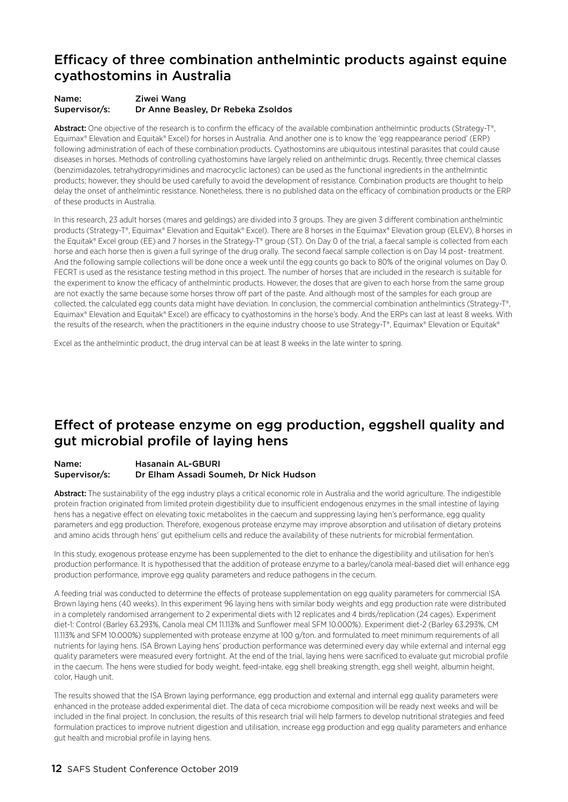### Efficacy of three combination anthelmintic products against equine cyathostomins in Australia

#### Name: Ziwei Wang Supervisor/s: Dr Anne Beasley, Dr Rebeka Zsoldos

Abstract: One objective of the research is to confirm the efficacy of the available combination anthelmintic products (Strategy-T®, Equimax® Elevation and Equitak® Excel) for horses in Australia. And another one is to know the 'egg reappearance period' (ERP) following administration of each of these combination products. Cyathostomins are ubiquitous intestinal parasites that could cause diseases in horses. Methods of controlling cyathostomins have largely relied on anthelmintic drugs. Recently, three chemical classes (benzimidazoles, tetrahydropyrimidines and macrocyclic lactones) can be used as the functional ingredients in the anthelmintic products; however, they should be used carefully to avoid the development of resistance. Combination products are thought to help delay the onset of anthelmintic resistance. Nonetheless, there is no published data on the efficacy of combination products or the ERP of these products in Australia.

In this research, 23 adult horses (mares and geldings) are divided into 3 groups. They are given 3 different combination anthelmintic products (Strategy-T®, Equimax® Elevation and Equitak® Excel). There are 8 horses in the Equimax® Elevation group (ELEV), 8 horses in the Equitak® Excel group (EE) and 7 horses in the Strategy-T® group (ST). On Day 0 of the trial, a faecal sample is collected from each horse and each horse then is given a full syringe of the drug orally. The second faecal sample collection is on Day 14 post- treatment. And the following sample collections will be done once a week until the egg counts go back to 80% of the original volumes on Day 0. FECRT is used as the resistance testing method in this project. The number of horses that are included in the research is suitable for the experiment to know the efficacy of anthelmintic products. However, the doses that are given to each horse from the same group are not exactly the same because some horses throw off part of the paste. And although most of the samples for each group are collected, the calculated egg counts data might have deviation. In conclusion, the commercial combination anthelmintics (Strategy-T®, Equimax® Elevation and Equitak® Excel) are efficacy to cyathostomins in the horse's body. And the ERPs can last at least 8 weeks. With the results of the research, when the practitioners in the equine industry choose to use Strategy-T®, Equimax® Elevation or Equitak®

Excel as the anthelmintic product, the drug interval can be at least 8 weeks in the late winter to spring.

### Effect of protease enzyme on egg production, eggshell quality and gut microbial profile of laying hens

#### Name: Hasanain AL-GBURI Supervisor/s: Dr Elham Assadi Soumeh, Dr Nick Hudson

Abstract: The sustainability of the egg industry plays a critical economic role in Australia and the world agriculture. The indigestible protein fraction originated from limited protein digestibility due to insufficient endogenous enzymes in the small intestine of laying hens has a negative effect on elevating toxic metabolites in the caecum and suppressing laying hen's performance, egg quality parameters and egg production. Therefore, exogenous protease enzyme may improve absorption and utilisation of dietary proteins and amino acids through hens' gut epithelium cells and reduce the availability of these nutrients for microbial fermentation.

In this study, exogenous protease enzyme has been supplemented to the diet to enhance the digestibility and utilisation for hen's production performance. It is hypothesised that the addition of protease enzyme to a barley/canola meal-based diet will enhance egg production performance, improve egg quality parameters and reduce pathogens in the cecum.

A feeding trial was conducted to determine the effects of protease supplementation on egg quality parameters for commercial ISA Brown laying hens (40 weeks). In this experiment 96 laying hens with similar body weights and egg production rate were distributed in a completely randomised arrangement to 2 experimental diets with 12 replicates and 4 birds/replication (24 cages). Experiment diet-1: Control (Barley 63.293%, Canola meal CM 11.113% and Sunflower meal SFM 10.000%). Experiment diet-2 (Barley 63.293%, CM 11.113% and SFM 10.000%) supplemented with protease enzyme at 100 g/ton. and formulated to meet minimum requirements of all nutrients for laying hens. ISA Brown Laying hens' production performance was determined every day while external and internal egg quality parameters were measured every fortnight. At the end of the trial, laying hens were sacrificed to evaluate gut microbial profile in the caecum. The hens were studied for body weight, feed-intake, egg shell breaking strength, egg shell weight, albumin height, color, Haugh unit.

The results showed that the ISA Brown laying performance, egg production and external and internal egg quality parameters were enhanced in the protease added experimental diet. The data of ceca microbiome composition will be ready next weeks and will be included in the final project. In conclusion, the results of this research trial will help farmers to develop nutritional strategies and feed formulation practices to improve nutrient digestion and utilisation, increase egg production and egg quality parameters and enhance gut health and microbial profile in laying hens.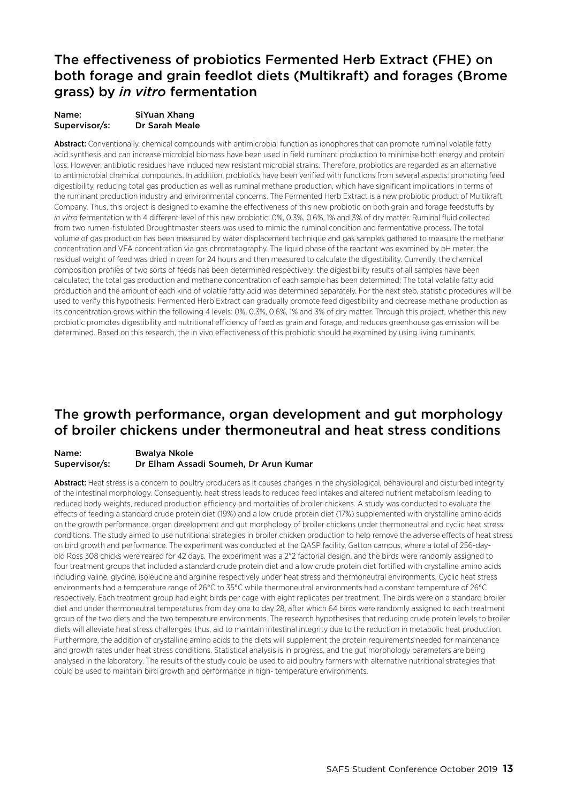### The effectiveness of probiotics Fermented Herb Extract (FHE) on both forage and grain feedlot diets (Multikraft) and forages (Brome grass) by *in vitro* fermentation

| Name:         | SiYuan Xhang   |
|---------------|----------------|
| Supervisor/s: | Dr Sarah Meale |

Abstract: Conventionally, chemical compounds with antimicrobial function as ionophores that can promote ruminal volatile fatty acid synthesis and can increase microbial biomass have been used in field ruminant production to minimise both energy and protein loss. However, antibiotic residues have induced new resistant microbial strains. Therefore, probiotics are regarded as an alternative to antimicrobial chemical compounds. In addition, probiotics have been verified with functions from several aspects: promoting feed digestibility, reducing total gas production as well as ruminal methane production, which have significant implications in terms of the ruminant production industry and environmental concerns. The Fermented Herb Extract is a new probiotic product of Multikraft Company. Thus, this project is designed to examine the effectiveness of this new probiotic on both grain and forage feedstuffs by *in vitro* fermentation with 4 different level of this new probiotic: 0%, 0.3%, 0.6%, 1% and 3% of dry matter. Ruminal fluid collected from two rumen-fistulated Droughtmaster steers was used to mimic the ruminal condition and fermentative process. The total volume of gas production has been measured by water displacement technique and gas samples gathered to measure the methane concentration and VFA concentration via gas chromatography. The liquid phase of the reactant was examined by pH meter; the residual weight of feed was dried in oven for 24 hours and then measured to calculate the digestibility. Currently, the chemical composition profiles of two sorts of feeds has been determined respectively; the digestibility results of all samples have been calculated, the total gas production and methane concentration of each sample has been determined; The total volatile fatty acid production and the amount of each kind of volatile fatty acid was determined separately. For the next step, statistic procedures will be used to verify this hypothesis: Fermented Herb Extract can gradually promote feed digestibility and decrease methane production as its concentration grows within the following 4 levels: 0%, 0.3%, 0.6%, 1% and 3% of dry matter. Through this project, whether this new probiotic promotes digestibility and nutritional efficiency of feed as grain and forage, and reduces greenhouse gas emission will be determined. Based on this research, the in vivo effectiveness of this probiotic should be examined by using living ruminants.

### The growth performance, organ development and gut morphology of broiler chickens under thermoneutral and heat stress conditions

#### Name: Bwalya Nkole Supervisor/s: Dr Elham Assadi Soumeh, Dr Arun Kumar

Abstract: Heat stress is a concern to poultry producers as it causes changes in the physiological, behavioural and disturbed integrity of the intestinal morphology. Consequently, heat stress leads to reduced feed intakes and altered nutrient metabolism leading to reduced body weights, reduced production efficiency and mortalities of broiler chickens. A study was conducted to evaluate the effects of feeding a standard crude protein diet (19%) and a low crude protein diet (17%) supplemented with crystalline amino acids on the growth performance, organ development and gut morphology of broiler chickens under thermoneutral and cyclic heat stress conditions. The study aimed to use nutritional strategies in broiler chicken production to help remove the adverse effects of heat stress on bird growth and performance. The experiment was conducted at the QASP facility, Gatton campus, where a total of 256-dayold Ross 308 chicks were reared for 42 days. The experiment was a 2\*2 factorial design, and the birds were randomly assigned to four treatment groups that included a standard crude protein diet and a low crude protein diet fortified with crystalline amino acids including valine, glycine, isoleucine and arginine respectively under heat stress and thermoneutral environments. Cyclic heat stress environments had a temperature range of 26°C to 35°C while thermoneutral environments had a constant temperature of 26°C respectively. Each treatment group had eight birds per cage with eight replicates per treatment. The birds were on a standard broiler diet and under thermoneutral temperatures from day one to day 28, after which 64 birds were randomly assigned to each treatment group of the two diets and the two temperature environments. The research hypothesises that reducing crude protein levels to broiler diets will alleviate heat stress challenges; thus, aid to maintain intestinal integrity due to the reduction in metabolic heat production. Furthermore, the addition of crystalline amino acids to the diets will supplement the protein requirements needed for maintenance and growth rates under heat stress conditions. Statistical analysis is in progress, and the gut morphology parameters are being analysed in the laboratory. The results of the study could be used to aid poultry farmers with alternative nutritional strategies that could be used to maintain bird growth and performance in high- temperature environments.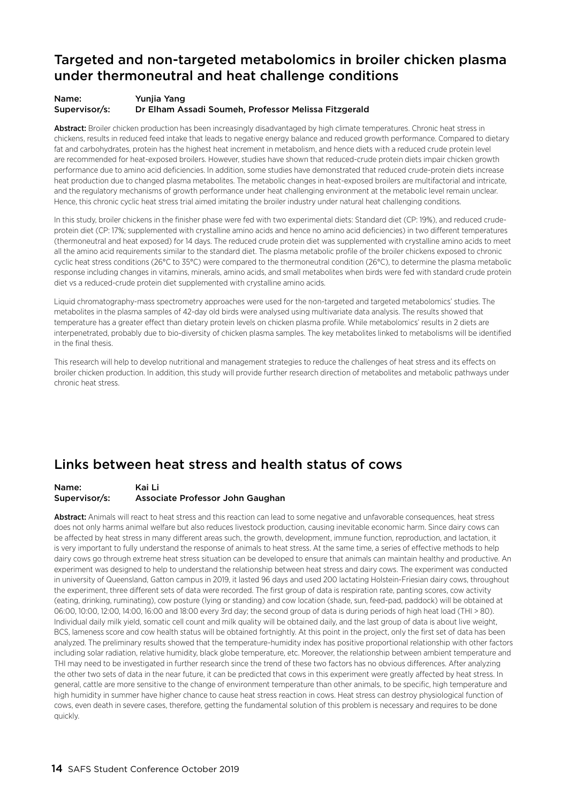### Targeted and non-targeted metabolomics in broiler chicken plasma under thermoneutral and heat challenge conditions

#### Name: Yunjia Yang Supervisor/s: Dr Elham Assadi Soumeh, Professor Melissa Fitzgerald

Abstract: Broiler chicken production has been increasingly disadvantaged by high climate temperatures. Chronic heat stress in chickens, results in reduced feed intake that leads to negative energy balance and reduced growth performance. Compared to dietary fat and carbohydrates, protein has the highest heat increment in metabolism, and hence diets with a reduced crude protein level are recommended for heat-exposed broilers. However, studies have shown that reduced-crude protein diets impair chicken growth performance due to amino acid deficiencies. In addition, some studies have demonstrated that reduced crude-protein diets increase heat production due to changed plasma metabolites. The metabolic changes in heat-exposed broilers are multifactorial and intricate, and the regulatory mechanisms of growth performance under heat challenging environment at the metabolic level remain unclear. Hence, this chronic cyclic heat stress trial aimed imitating the broiler industry under natural heat challenging conditions.

In this study, broiler chickens in the finisher phase were fed with two experimental diets: Standard diet (CP: 19%), and reduced crudeprotein diet (CP: 17%; supplemented with crystalline amino acids and hence no amino acid deficiencies) in two different temperatures (thermoneutral and heat exposed) for 14 days. The reduced crude protein diet was supplemented with crystalline amino acids to meet all the amino acid requirements similar to the standard diet. The plasma metabolic profile of the broiler chickens exposed to chronic cyclic heat stress conditions (26°C to 35°C) were compared to the thermoneutral condition (26°C), to determine the plasma metabolic response including changes in vitamins, minerals, amino acids, and small metabolites when birds were fed with standard crude protein diet vs a reduced-crude protein diet supplemented with crystalline amino acids.

Liquid chromatography-mass spectrometry approaches were used for the non-targeted and targeted metabolomics' studies. The metabolites in the plasma samples of 42-day old birds were analysed using multivariate data analysis. The results showed that temperature has a greater effect than dietary protein levels on chicken plasma profile. While metabolomics' results in 2 diets are interpenetrated, probably due to bio-diversity of chicken plasma samples. The key metabolites linked to metabolisms will be identified in the final thesis.

This research will help to develop nutritional and management strategies to reduce the challenges of heat stress and its effects on broiler chicken production. In addition, this study will provide further research direction of metabolites and metabolic pathways under chronic heat stress.

### Links between heat stress and health status of cows

#### Name: Kai Li Supervisor/s: Associate Professor John Gaughan

Abstract: Animals will react to heat stress and this reaction can lead to some negative and unfavorable consequences, heat stress does not only harms animal welfare but also reduces livestock production, causing inevitable economic harm. Since dairy cows can be affected by heat stress in many different areas such, the growth, development, immune function, reproduction, and lactation, it is very important to fully understand the response of animals to heat stress. At the same time, a series of effective methods to help dairy cows go through extreme heat stress situation can be developed to ensure that animals can maintain healthy and productive. An experiment was designed to help to understand the relationship between heat stress and dairy cows. The experiment was conducted in university of Queensland, Gatton campus in 2019, it lasted 96 days and used 200 lactating Holstein-Friesian dairy cows, throughout the experiment, three different sets of data were recorded. The first group of data is respiration rate, panting scores, cow activity (eating, drinking, ruminating), cow posture (lying or standing) and cow location (shade, sun, feed-pad, paddock) will be obtained at 06:00, 10:00, 12:00, 14:00, 16:00 and 18:00 every 3rd day; the second group of data is during periods of high heat load (THI > 80). Individual daily milk yield, somatic cell count and milk quality will be obtained daily, and the last group of data is about live weight, BCS, lameness score and cow health status will be obtained fortnightly. At this point in the project, only the first set of data has been analyzed. The preliminary results showed that the temperature-humidity index has positive proportional relationship with other factors including solar radiation, relative humidity, black globe temperature, etc. Moreover, the relationship between ambient temperature and THI may need to be investigated in further research since the trend of these two factors has no obvious differences. After analyzing the other two sets of data in the near future, it can be predicted that cows in this experiment were greatly affected by heat stress. In general, cattle are more sensitive to the change of environment temperature than other animals, to be specific, high temperature and high humidity in summer have higher chance to cause heat stress reaction in cows. Heat stress can destroy physiological function of cows, even death in severe cases, therefore, getting the fundamental solution of this problem is necessary and requires to be done quickly.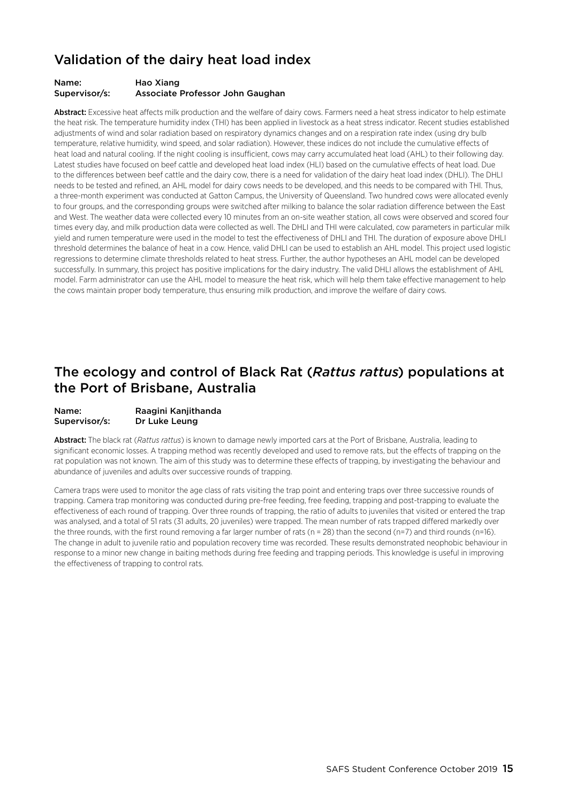### Validation of the dairy heat load index

#### Name: Hao Xiang Supervisor/s: Associate Professor John Gaughan

Abstract: Excessive heat affects milk production and the welfare of dairy cows. Farmers need a heat stress indicator to help estimate the heat risk. The temperature humidity index (THI) has been applied in livestock as a heat stress indicator. Recent studies established adjustments of wind and solar radiation based on respiratory dynamics changes and on a respiration rate index (using dry bulb temperature, relative humidity, wind speed, and solar radiation). However, these indices do not include the cumulative effects of heat load and natural cooling. If the night cooling is insufficient, cows may carry accumulated heat load (AHL) to their following day. Latest studies have focused on beef cattle and developed heat load index (HLI) based on the cumulative effects of heat load. Due to the differences between beef cattle and the dairy cow, there is a need for validation of the dairy heat load index (DHLI). The DHLI needs to be tested and refined, an AHL model for dairy cows needs to be developed, and this needs to be compared with THI. Thus, a three-month experiment was conducted at Gatton Campus, the University of Queensland. Two hundred cows were allocated evenly to four groups, and the corresponding groups were switched after milking to balance the solar radiation difference between the East and West. The weather data were collected every 10 minutes from an on-site weather station, all cows were observed and scored four times every day, and milk production data were collected as well. The DHLI and THI were calculated, cow parameters in particular milk yield and rumen temperature were used in the model to test the effectiveness of DHLI and THI. The duration of exposure above DHLI threshold determines the balance of heat in a cow. Hence, valid DHLI can be used to establish an AHL model. This project used logistic regressions to determine climate thresholds related to heat stress. Further, the author hypotheses an AHL model can be developed successfully. In summary, this project has positive implications for the dairy industry. The valid DHLI allows the establishment of AHL model. Farm administrator can use the AHL model to measure the heat risk, which will help them take effective management to help the cows maintain proper body temperature, thus ensuring milk production, and improve the welfare of dairy cows.

### The ecology and control of Black Rat (*Rattus rattus*) populations at the Port of Brisbane, Australia

#### Name: Raagini Kanjithanda Supervisor/s: Dr Luke Leung

Abstract: The black rat (*Rattus rattus*) is known to damage newly imported cars at the Port of Brisbane, Australia, leading to significant economic losses. A trapping method was recently developed and used to remove rats, but the effects of trapping on the rat population was not known. The aim of this study was to determine these effects of trapping, by investigating the behaviour and abundance of juveniles and adults over successive rounds of trapping.

Camera traps were used to monitor the age class of rats visiting the trap point and entering traps over three successive rounds of trapping. Camera trap monitoring was conducted during pre-free feeding, free feeding, trapping and post-trapping to evaluate the effectiveness of each round of trapping. Over three rounds of trapping, the ratio of adults to juveniles that visited or entered the trap was analysed, and a total of 51 rats (31 adults, 20 juveniles) were trapped. The mean number of rats trapped differed markedly over the three rounds, with the first round removing a far larger number of rats (n = 28) than the second (n=7) and third rounds (n=16). The change in adult to juvenile ratio and population recovery time was recorded. These results demonstrated neophobic behaviour in response to a minor new change in baiting methods during free feeding and trapping periods. This knowledge is useful in improving the effectiveness of trapping to control rats.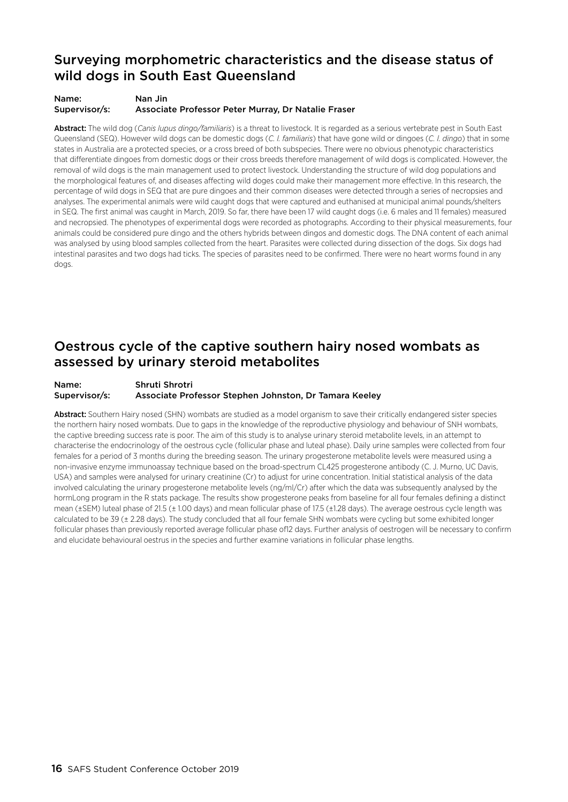### Surveying morphometric characteristics and the disease status of wild dogs in South East Queensland

#### Name: Nan Jin Supervisor/s: Associate Professor Peter Murray, Dr Natalie Fraser

Abstract: The wild dog (*Canis lupus dingo/familiaris*) is a threat to livestock. It is regarded as a serious vertebrate pest in South East Queensland (SEQ). However wild dogs can be domestic dogs (*C. l. familiaris*) that have gone wild or dingoes (*C. l. dingo*) that in some states in Australia are a protected species, or a cross breed of both subspecies. There were no obvious phenotypic characteristics that differentiate dingoes from domestic dogs or their cross breeds therefore management of wild dogs is complicated. However, the removal of wild dogs is the main management used to protect livestock. Understanding the structure of wild dog populations and the morphological features of, and diseases affecting wild doges could make their management more effective. In this research, the percentage of wild dogs in SEQ that are pure dingoes and their common diseases were detected through a series of necropsies and analyses. The experimental animals were wild caught dogs that were captured and euthanised at municipal animal pounds/shelters in SEQ. The first animal was caught in March, 2019. So far, there have been 17 wild caught dogs (i.e. 6 males and 11 females) measured and necropsied. The phenotypes of experimental dogs were recorded as photographs. According to their physical measurements, four animals could be considered pure dingo and the others hybrids between dingos and domestic dogs. The DNA content of each animal was analysed by using blood samples collected from the heart. Parasites were collected during dissection of the dogs. Six dogs had intestinal parasites and two dogs had ticks. The species of parasites need to be confirmed. There were no heart worms found in any dogs.

### Oestrous cycle of the captive southern hairy nosed wombats as assessed by urinary steroid metabolites

#### Name: Shruti Shrotri Supervisor/s: Associate Professor Stephen Johnston, Dr Tamara Keeley

Abstract: Southern Hairy nosed (SHN) wombats are studied as a model organism to save their critically endangered sister species the northern hairy nosed wombats. Due to gaps in the knowledge of the reproductive physiology and behaviour of SNH wombats, the captive breeding success rate is poor. The aim of this study is to analyse urinary steroid metabolite levels, in an attempt to characterise the endocrinology of the oestrous cycle (follicular phase and luteal phase). Daily urine samples were collected from four females for a period of 3 months during the breeding season. The urinary progesterone metabolite levels were measured using a non-invasive enzyme immunoassay technique based on the broad-spectrum CL425 progesterone antibody (C. J. Murno, UC Davis, USA) and samples were analysed for urinary creatinine (Cr) to adjust for urine concentration. Initial statistical analysis of the data involved calculating the urinary progesterone metabolite levels (ng/ml/Cr) after which the data was subsequently analysed by the hormLong program in the R stats package. The results show progesterone peaks from baseline for all four females defining a distinct mean (±SEM) luteal phase of 21.5 (± 1.00 days) and mean follicular phase of 17.5 (±1.28 days). The average oestrous cycle length was calculated to be 39 (± 2.28 days). The study concluded that all four female SHN wombats were cycling but some exhibited longer follicular phases than previously reported average follicular phase of12 days. Further analysis of oestrogen will be necessary to confirm and elucidate behavioural oestrus in the species and further examine variations in follicular phase lengths.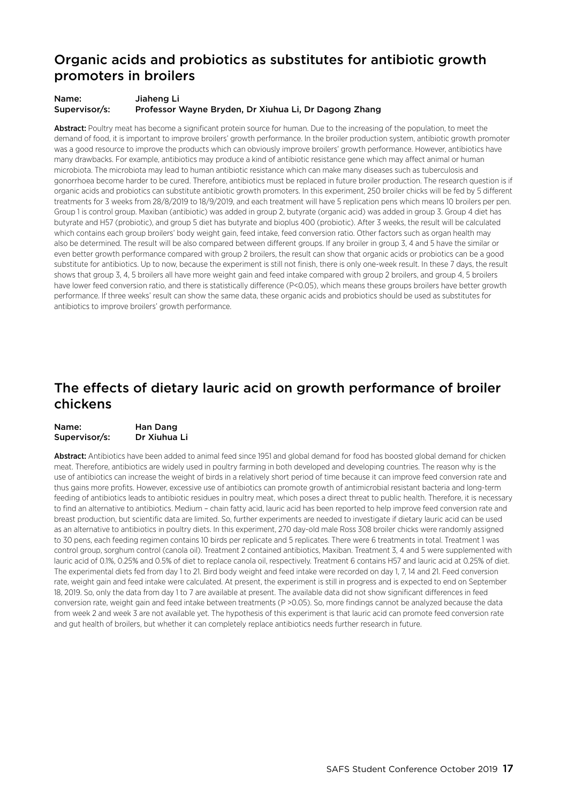### Organic acids and probiotics as substitutes for antibiotic growth promoters in broilers

#### Name: Jiaheng Li Supervisor/s: Professor Wayne Bryden, Dr Xiuhua Li, Dr Dagong Zhang

Abstract: Poultry meat has become a significant protein source for human. Due to the increasing of the population, to meet the demand of food, it is important to improve broilers' growth performance. In the broiler production system, antibiotic growth promoter was a good resource to improve the products which can obviously improve broilers' growth performance. However, antibiotics have many drawbacks. For example, antibiotics may produce a kind of antibiotic resistance gene which may affect animal or human microbiota. The microbiota may lead to human antibiotic resistance which can make many diseases such as tuberculosis and gonorrhoea become harder to be cured. Therefore, antibiotics must be replaced in future broiler production. The research question is if organic acids and probiotics can substitute antibiotic growth promoters. In this experiment, 250 broiler chicks will be fed by 5 different treatments for 3 weeks from 28/8/2019 to 18/9/2019, and each treatment will have 5 replication pens which means 10 broilers per pen. Group 1 is control group. Maxiban (antibiotic) was added in group 2, butyrate (organic acid) was added in group 3. Group 4 diet has butyrate and H57 (probiotic), and group 5 diet has butyrate and bioplus 400 (probiotic). After 3 weeks, the result will be calculated which contains each group broilers' body weight gain, feed intake, feed conversion ratio. Other factors such as organ health may also be determined. The result will be also compared between different groups. If any broiler in group 3, 4 and 5 have the similar or even better growth performance compared with group 2 broilers, the result can show that organic acids or probiotics can be a good substitute for antibiotics. Up to now, because the experiment is still not finish, there is only one-week result. In these 7 days, the result shows that group 3, 4, 5 broilers all have more weight gain and feed intake compared with group 2 broilers, and group 4, 5 broilers have lower feed conversion ratio, and there is statistically difference (P<0.05), which means these groups broilers have better growth performance. If three weeks' result can show the same data, these organic acids and probiotics should be used as substitutes for antibiotics to improve broilers' growth performance.

### The effects of dietary lauric acid on growth performance of broiler chickens

| Name:         | Han Dang     |
|---------------|--------------|
| Supervisor/s: | Dr Xiuhua Li |

Abstract: Antibiotics have been added to animal feed since 1951 and global demand for food has boosted global demand for chicken meat. Therefore, antibiotics are widely used in poultry farming in both developed and developing countries. The reason why is the use of antibiotics can increase the weight of birds in a relatively short period of time because it can improve feed conversion rate and thus gains more profits. However, excessive use of antibiotics can promote growth of antimicrobial resistant bacteria and long-term feeding of antibiotics leads to antibiotic residues in poultry meat, which poses a direct threat to public health. Therefore, it is necessary to find an alternative to antibiotics. Medium – chain fatty acid, lauric acid has been reported to help improve feed conversion rate and breast production, but scientific data are limited. So, further experiments are needed to investigate if dietary lauric acid can be used as an alternative to antibiotics in poultry diets. In this experiment, 270 day-old male Ross 308 broiler chicks were randomly assigned to 30 pens, each feeding regimen contains 10 birds per replicate and 5 replicates. There were 6 treatments in total. Treatment 1 was control group, sorghum control (canola oil). Treatment 2 contained antibiotics, Maxiban. Treatment 3, 4 and 5 were supplemented with lauric acid of 0.1%, 0.25% and 0.5% of diet to replace canola oil, respectively. Treatment 6 contains H57 and lauric acid at 0.25% of diet. The experimental diets fed from day 1 to 21. Bird body weight and feed intake were recorded on day 1, 7, 14 and 21. Feed conversion rate, weight gain and feed intake were calculated. At present, the experiment is still in progress and is expected to end on September 18, 2019. So, only the data from day 1 to 7 are available at present. The available data did not show significant differences in feed conversion rate, weight gain and feed intake between treatments (P >0.05). So, more findings cannot be analyzed because the data from week 2 and week 3 are not available yet. The hypothesis of this experiment is that lauric acid can promote feed conversion rate and gut health of broilers, but whether it can completely replace antibiotics needs further research in future.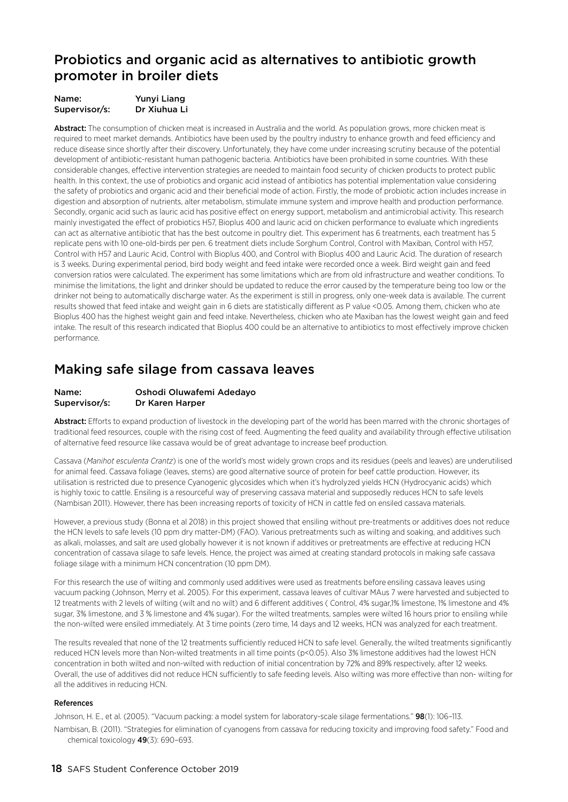### Probiotics and organic acid as alternatives to antibiotic growth promoter in broiler diets

| Name:         | Yunyi Liang  |
|---------------|--------------|
| Supervisor/s: | Dr Xiuhua Li |

Abstract: The consumption of chicken meat is increased in Australia and the world. As population grows, more chicken meat is required to meet market demands. Antibiotics have been used by the poultry industry to enhance growth and feed efficiency and reduce disease since shortly after their discovery. Unfortunately, they have come under increasing scrutiny because of the potential development of antibiotic-resistant human pathogenic bacteria. Antibiotics have been prohibited in some countries. With these considerable changes, effective intervention strategies are needed to maintain food security of chicken products to protect public health. In this context, the use of probiotics and organic acid instead of antibiotics has potential implementation value considering the safety of probiotics and organic acid and their beneficial mode of action. Firstly, the mode of probiotic action includes increase in digestion and absorption of nutrients, alter metabolism, stimulate immune system and improve health and production performance. Secondly, organic acid such as lauric acid has positive effect on energy support, metabolism and antimicrobial activity. This research mainly investigated the effect of probiotics H57, Bioplus 400 and lauric acid on chicken performance to evaluate which ingredients can act as alternative antibiotic that has the best outcome in poultry diet. This experiment has 6 treatments, each treatment has 5 replicate pens with 10 one-old-birds per pen. 6 treatment diets include Sorghum Control, Control with Maxiban, Control with H57, Control with H57 and Lauric Acid, Control with Bioplus 400, and Control with Bioplus 400 and Lauric Acid. The duration of research is 3 weeks. During experimental period, bird body weight and feed intake were recorded once a week. Bird weight gain and feed conversion ratios were calculated. The experiment has some limitations which are from old infrastructure and weather conditions. To minimise the limitations, the light and drinker should be updated to reduce the error caused by the temperature being too low or the drinker not being to automatically discharge water. As the experiment is still in progress, only one-week data is available. The current results showed that feed intake and weight gain in 6 diets are statistically different as P value <0.05. Among them, chicken who ate Bioplus 400 has the highest weight gain and feed intake. Nevertheless, chicken who ate Maxiban has the lowest weight gain and feed intake. The result of this research indicated that Bioplus 400 could be an alternative to antibiotics to most effectively improve chicken performance.

### Making safe silage from cassava leaves

#### Name: Oshodi Oluwafemi Adedayo Supervisor/s: Dr Karen Harper

Abstract: Efforts to expand production of livestock in the developing part of the world has been marred with the chronic shortages of traditional feed resources, couple with the rising cost of feed. Augmenting the feed quality and availability through effective utilisation of alternative feed resource like cassava would be of great advantage to increase beef production.

Cassava (*Manihot esculenta Crantz*) is one of the world's most widely grown crops and its residues (peels and leaves) are underutilised for animal feed. Cassava foliage (leaves, stems) are good alternative source of protein for beef cattle production. However, its utilisation is restricted due to presence Cyanogenic glycosides which when it's hydrolyzed yields HCN (Hydrocyanic acids) which is highly toxic to cattle. Ensiling is a resourceful way of preserving cassava material and supposedly reduces HCN to safe levels (Nambisan 2011). However, there has been increasing reports of toxicity of HCN in cattle fed on ensiled cassava materials.

However, a previous study (Bonna et al 2018) in this project showed that ensiling without pre-treatments or additives does not reduce the HCN levels to safe levels (10 ppm dry matter-DM) (FAO). Various pretreatments such as wilting and soaking, and additives such as alkali, molasses, and salt are used globally however it is not known if additives or pretreatments are effective at reducing HCN concentration of cassava silage to safe levels. Hence, the project was aimed at creating standard protocols in making safe cassava foliage silage with a minimum HCN concentration (10 ppm DM).

For this research the use of wilting and commonly used additives were used as treatments before ensiling cassava leaves using vacuum packing (Johnson, Merry et al. 2005). For this experiment, cassava leaves of cultivar MAus 7 were harvested and subjected to 12 treatments with 2 levels of wilting (wilt and no wilt) and 6 different additives ( Control, 4% sugar,1% limestone, 1% limestone and 4% sugar, 3% limestone, and 3 % limestone and 4% sugar). For the wilted treatments, samples were wilted 16 hours prior to ensiling while the non-wilted were ensiled immediately. At 3 time points (zero time, 14 days and 12 weeks, HCN was analyzed for each treatment.

The results revealed that none of the 12 treatments sufficiently reduced HCN to safe level. Generally, the wilted treatments significantly reduced HCN levels more than Non-wilted treatments in all time points (p<0.05). Also 3% limestone additives had the lowest HCN concentration in both wilted and non-wilted with reduction of initial concentration by 72% and 89% respectively, after 12 weeks. Overall, the use of additives did not reduce HCN sufficiently to safe feeding levels. Also wilting was more effective than non- wilting for all the additives in reducing HCN.

#### References

Johnson, H. E., et al. (2005). "Vacuum packing: a model system for laboratory-scale silage fermentations." **98**(1): 106-113.

Nambisan, B. (2011). "Strategies for elimination of cyanogens from cassava for reducing toxicity and improving food safety." Food and chemical toxicology 49(3): 690–693.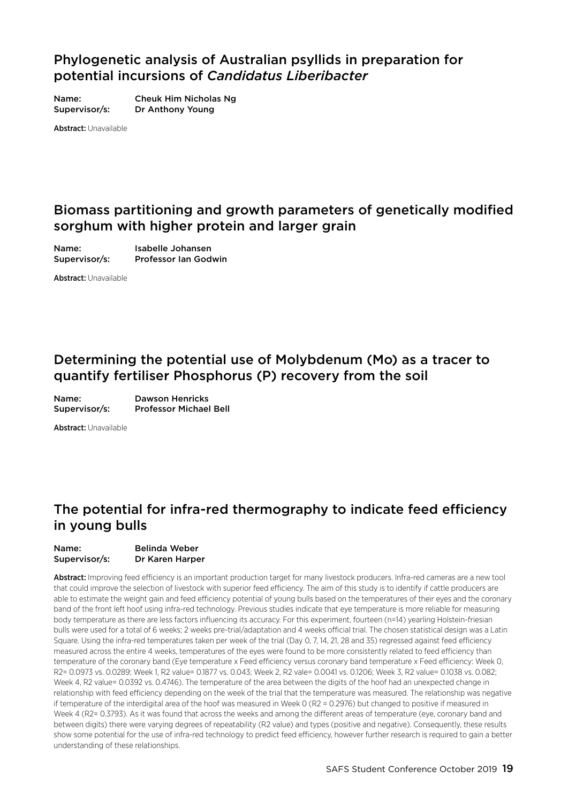### Phylogenetic analysis of Australian psyllids in preparation for potential incursions of *Candidatus Liberibacter*

Name: Cheuk Him Nicholas Ng Supervisor/s: Dr Anthony Young

Abstract: Unavailable

### Biomass partitioning and growth parameters of genetically modified sorghum with higher protein and larger grain

Name: Isabelle Johansen Supervisor/s: Professor Ian Godwin

Abstract: Unavailable

### Determining the potential use of Molybdenum (Mo) as a tracer to quantify fertiliser Phosphorus (P) recovery from the soil

Name: Dawson Henricks Supervisor/s: Professor Michael Bell

Abstract: Unavailable

### The potential for infra-red thermography to indicate feed efficiency in young bulls

#### Name: Belinda Weber Supervisor/s: Dr Karen Harper

Abstract: Improving feed efficiency is an important production target for many livestock producers. Infra-red cameras are a new tool that could improve the selection of livestock with superior feed efficiency. The aim of this study is to identify if cattle producers are able to estimate the weight gain and feed efficiency potential of young bulls based on the temperatures of their eyes and the coronary band of the front left hoof using infra-red technology. Previous studies indicate that eye temperature is more reliable for measuring body temperature as there are less factors influencing its accuracy. For this experiment, fourteen (n=14) yearling Holstein-friesian bulls were used for a total of 6 weeks; 2 weeks pre-trial/adaptation and 4 weeks official trial. The chosen statistical design was a Latin Square. Using the infra-red temperatures taken per week of the trial (Day 0, 7, 14, 21, 28 and 35) regressed against feed efficiency measured across the entire 4 weeks, temperatures of the eyes were found to be more consistently related to feed efficiency than temperature of the coronary band (Eye temperature x Feed efficiency versus coronary band temperature x Feed efficiency: Week 0, R2= 0.0973 vs. 0.0289; Week 1, R2 value= 0.1877 vs. 0.043; Week 2, R2 vale= 0.0041 vs. 0.1206; Week 3, R2 value= 0.1038 vs. 0.082; Week 4, R2 value= 0.0392 vs. 0.4746). The temperature of the area between the digits of the hoof had an unexpected change in relationship with feed efficiency depending on the week of the trial that the temperature was measured. The relationship was negative if temperature of the interdigital area of the hoof was measured in Week 0 (R2 = 0.2976) but changed to positive if measured in Week 4 (R2= 0.3793). As it was found that across the weeks and among the different areas of temperature (eye, coronary band and between digits) there were varying degrees of repeatability (R2 value) and types (positive and negative). Consequently, these results show some potential for the use of infra-red technology to predict feed efficiency, however further research is required to gain a better understanding of these relationships.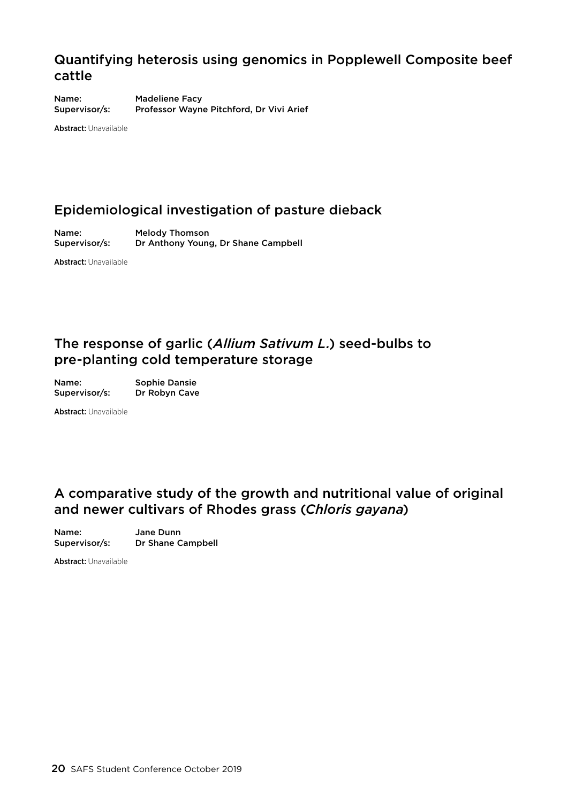### Quantifying heterosis using genomics in Popplewell Composite beef cattle

Name: Madeliene Facy Supervisor/s: Professor Wayne Pitchford, Dr Vivi Arief

Abstract: Unavailable

### Epidemiological investigation of pasture dieback

Name: Melody Thomson Supervisor/s: Dr Anthony Young, Dr Shane Campbell

Abstract: Unavailable

### The response of garlic (*Allium Sativum L.*) seed-bulbs to pre-planting cold temperature storage

| Name:         | <b>Sophie Dansie</b> |
|---------------|----------------------|
| Supervisor/s: | Dr Robyn Cave        |

Abstract: Unavailable

### A comparative study of the growth and nutritional value of original and newer cultivars of Rhodes grass (*Chloris gayana*)

Name: Jane Dunn Supervisor/s: Dr Shane Campbell

Abstract: Unavailable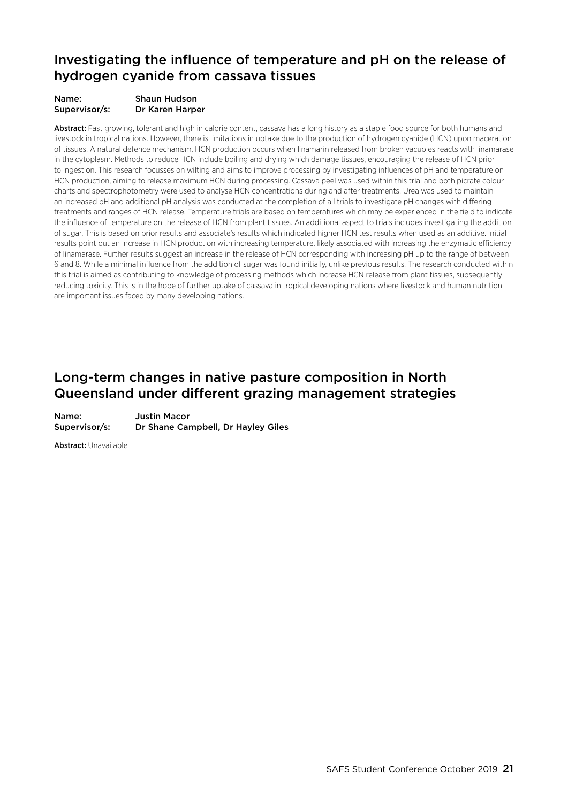### Investigating the influence of temperature and pH on the release of hydrogen cyanide from cassava tissues

| Name:         | <b>Shaun Hudson</b> |
|---------------|---------------------|
| Supervisor/s: | Dr Karen Harper     |

Abstract: Fast growing, tolerant and high in calorie content, cassava has a long history as a staple food source for both humans and livestock in tropical nations. However, there is limitations in uptake due to the production of hydrogen cyanide (HCN) upon maceration of tissues. A natural defence mechanism, HCN production occurs when linamarin released from broken vacuoles reacts with linamarase in the cytoplasm. Methods to reduce HCN include boiling and drying which damage tissues, encouraging the release of HCN prior to ingestion. This research focusses on wilting and aims to improve processing by investigating influences of pH and temperature on HCN production, aiming to release maximum HCN during processing. Cassava peel was used within this trial and both picrate colour charts and spectrophotometry were used to analyse HCN concentrations during and after treatments. Urea was used to maintain an increased pH and additional pH analysis was conducted at the completion of all trials to investigate pH changes with differing treatments and ranges of HCN release. Temperature trials are based on temperatures which may be experienced in the field to indicate the influence of temperature on the release of HCN from plant tissues. An additional aspect to trials includes investigating the addition of sugar. This is based on prior results and associate's results which indicated higher HCN test results when used as an additive. Initial results point out an increase in HCN production with increasing temperature, likely associated with increasing the enzymatic efficiency of linamarase. Further results suggest an increase in the release of HCN corresponding with increasing pH up to the range of between 6 and 8. While a minimal influence from the addition of sugar was found initially, unlike previous results. The research conducted within this trial is aimed as contributing to knowledge of processing methods which increase HCN release from plant tissues, subsequently reducing toxicity. This is in the hope of further uptake of cassava in tropical developing nations where livestock and human nutrition are important issues faced by many developing nations.

### Long-term changes in native pasture composition in North Queensland under different grazing management strategies

Name: Justin Macor Supervisor/s: Dr Shane Campbell, Dr Hayley Giles

Abstract: Unavailable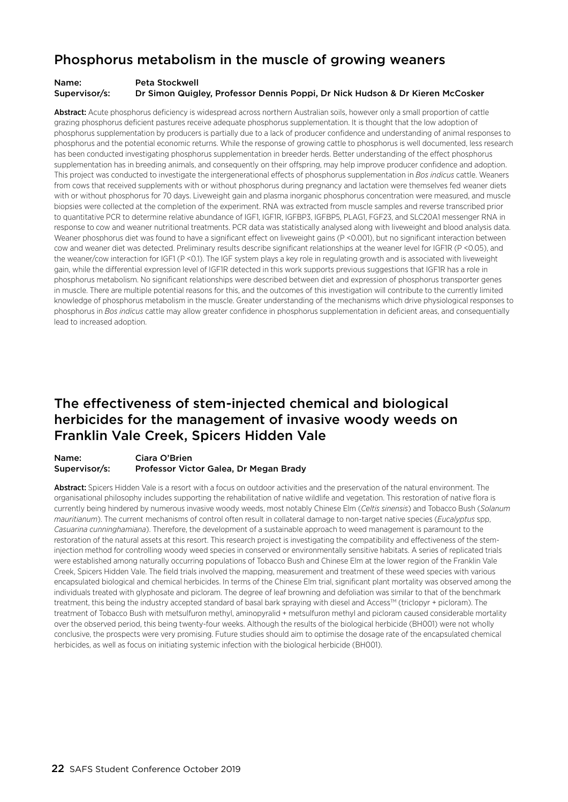### Phosphorus metabolism in the muscle of growing weaners

#### Name: Peta Stockwell Supervisor/s: Dr Simon Quigley, Professor Dennis Poppi, Dr Nick Hudson & Dr Kieren McCosker

Abstract: Acute phosphorus deficiency is widespread across northern Australian soils, however only a small proportion of cattle grazing phosphorus deficient pastures receive adequate phosphorus supplementation. It is thought that the low adoption of phosphorus supplementation by producers is partially due to a lack of producer confidence and understanding of animal responses to phosphorus and the potential economic returns. While the response of growing cattle to phosphorus is well documented, less research has been conducted investigating phosphorus supplementation in breeder herds. Better understanding of the effect phosphorus supplementation has in breeding animals, and consequently on their offspring, may help improve producer confidence and adoption. This project was conducted to investigate the intergenerational effects of phosphorus supplementation in *Bos indicus* cattle. Weaners from cows that received supplements with or without phosphorus during pregnancy and lactation were themselves fed weaner diets with or without phosphorus for 70 days. Liveweight gain and plasma inorganic phosphorus concentration were measured, and muscle biopsies were collected at the completion of the experiment. RNA was extracted from muscle samples and reverse transcribed prior to quantitative PCR to determine relative abundance of IGF1, IGF1R, IGFBP3, IGFBP5, PLAG1, FGF23, and SLC20A1 messenger RNA in response to cow and weaner nutritional treatments. PCR data was statistically analysed along with liveweight and blood analysis data. Weaner phosphorus diet was found to have a significant effect on liveweight gains (P <0.001), but no significant interaction between cow and weaner diet was detected. Preliminary results describe significant relationships at the weaner level for IGF1R (P <0.05), and the weaner/cow interaction for IGF1 (P <0.1). The IGF system plays a key role in regulating growth and is associated with liveweight gain, while the differential expression level of IGF1R detected in this work supports previous suggestions that IGF1R has a role in phosphorus metabolism. No significant relationships were described between diet and expression of phosphorus transporter genes in muscle. There are multiple potential reasons for this, and the outcomes of this investigation will contribute to the currently limited knowledge of phosphorus metabolism in the muscle. Greater understanding of the mechanisms which drive physiological responses to phosphorus in *Bos indicus* cattle may allow greater confidence in phosphorus supplementation in deficient areas, and consequentially lead to increased adoption.

### The effectiveness of stem-injected chemical and biological herbicides for the management of invasive woody weeds on Franklin Vale Creek, Spicers Hidden Vale

#### Name: Ciara O'Brien Supervisor/s: Professor Victor Galea, Dr Megan Brady

Abstract: Spicers Hidden Vale is a resort with a focus on outdoor activities and the preservation of the natural environment. The organisational philosophy includes supporting the rehabilitation of native wildlife and vegetation. This restoration of native flora is currently being hindered by numerous invasive woody weeds, most notably Chinese Elm (*Celtis sinensis*) and Tobacco Bush (*Solanum mauritianum*). The current mechanisms of control often result in collateral damage to non-target native species (*Eucalyptus* spp, *Casuarina cunninghamiana*). Therefore, the development of a sustainable approach to weed management is paramount to the restoration of the natural assets at this resort. This research project is investigating the compatibility and effectiveness of the steminjection method for controlling woody weed species in conserved or environmentally sensitive habitats. A series of replicated trials were established among naturally occurring populations of Tobacco Bush and Chinese Elm at the lower region of the Franklin Vale Creek, Spicers Hidden Vale. The field trials involved the mapping, measurement and treatment of these weed species with various encapsulated biological and chemical herbicides. In terms of the Chinese Elm trial, significant plant mortality was observed among the individuals treated with glyphosate and picloram. The degree of leaf browning and defoliation was similar to that of the benchmark treatment, this being the industry accepted standard of basal bark spraying with diesel and Access™ (triclopyr + picloram). The treatment of Tobacco Bush with metsulfuron methyl, aminopyralid + metsulfuron methyl and picloram caused considerable mortality over the observed period, this being twenty-four weeks. Although the results of the biological herbicide (BH001) were not wholly conclusive, the prospects were very promising. Future studies should aim to optimise the dosage rate of the encapsulated chemical herbicides, as well as focus on initiating systemic infection with the biological herbicide (BH001).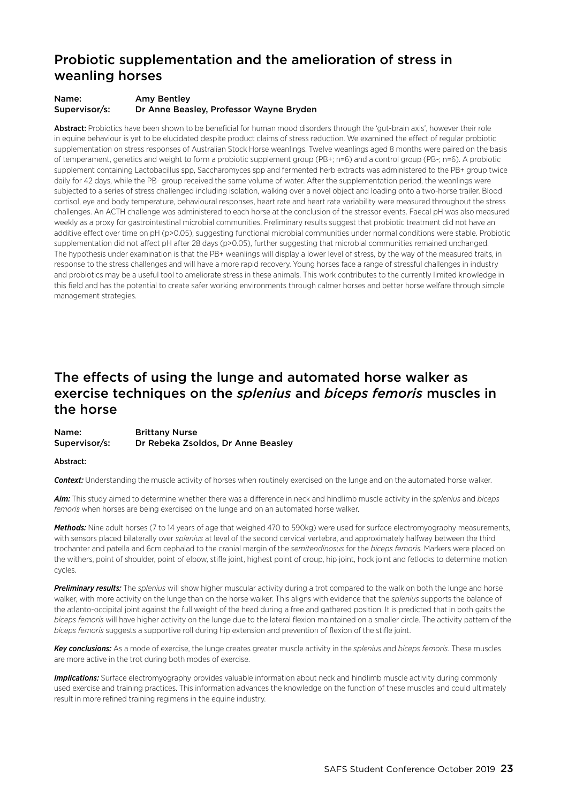### Probiotic supplementation and the amelioration of stress in weanling horses

#### Name: Amy Bentley Supervisor/s: Dr Anne Beasley, Professor Wayne Bryden

Abstract: Probiotics have been shown to be beneficial for human mood disorders through the 'gut-brain axis', however their role in equine behaviour is yet to be elucidated despite product claims of stress reduction. We examined the effect of regular probiotic supplementation on stress responses of Australian Stock Horse weanlings. Twelve weanlings aged 8 months were paired on the basis of temperament, genetics and weight to form a probiotic supplement group (PB+; n=6) and a control group (PB-; n=6). A probiotic supplement containing Lactobacillus spp, Saccharomyces spp and fermented herb extracts was administered to the PB+ group twice daily for 42 days, while the PB- group received the same volume of water. After the supplementation period, the weanlings were subjected to a series of stress challenged including isolation, walking over a novel object and loading onto a two-horse trailer. Blood cortisol, eye and body temperature, behavioural responses, heart rate and heart rate variability were measured throughout the stress challenges. An ACTH challenge was administered to each horse at the conclusion of the stressor events. Faecal pH was also measured weekly as a proxy for gastrointestinal microbial communities. Preliminary results suggest that probiotic treatment did not have an additive effect over time on pH (p>0.05), suggesting functional microbial communities under normal conditions were stable. Probiotic supplementation did not affect pH after 28 days (p>0.05), further suggesting that microbial communities remained unchanged. The hypothesis under examination is that the PB+ weanlings will display a lower level of stress, by the way of the measured traits, in response to the stress challenges and will have a more rapid recovery. Young horses face a range of stressful challenges in industry and probiotics may be a useful tool to ameliorate stress in these animals. This work contributes to the currently limited knowledge in this field and has the potential to create safer working environments through calmer horses and better horse welfare through simple management strategies.

### The effects of using the lunge and automated horse walker as exercise techniques on the *splenius* and *biceps femoris* muscles in the horse

| Name:         | <b>Brittany Nurse</b>              |
|---------------|------------------------------------|
| Supervisor/s: | Dr Rebeka Zsoldos, Dr Anne Beasley |

#### Abstract:

*Context:* Understanding the muscle activity of horses when routinely exercised on the lunge and on the automated horse walker.

*Aim:* This study aimed to determine whether there was a difference in neck and hindlimb muscle activity in the *splenius* and *biceps femoris* when horses are being exercised on the lunge and on an automated horse walker.

*Methods:* Nine adult horses (7 to 14 years of age that weighed 470 to 590kg) were used for surface electromyography measurements, with sensors placed bilaterally over *splenius* at level of the second cervical vertebra, and approximately halfway between the third trochanter and patella and 6cm cephalad to the cranial margin of the *semitendinosus* for the *biceps femoris.* Markers were placed on the withers, point of shoulder, point of elbow, stifle joint, highest point of croup, hip joint, hock joint and fetlocks to determine motion cycles.

*Preliminary results:* The *splenius* will show higher muscular activity during a trot compared to the walk on both the lunge and horse walker, with more activity on the lunge than on the horse walker. This aligns with evidence that the *splenius* supports the balance of the atlanto-occipital joint against the full weight of the head during a free and gathered position. It is predicted that in both gaits the *biceps femoris* will have higher activity on the lunge due to the lateral flexion maintained on a smaller circle. The activity pattern of the *biceps femoris* suggests a supportive roll during hip extension and prevention of flexion of the stifle joint.

*Key conclusions:* As a mode of exercise, the lunge creates greater muscle activity in the *splenius* and *biceps femoris.* These muscles are more active in the trot during both modes of exercise.

*Implications:* Surface electromyography provides valuable information about neck and hindlimb muscle activity during commonly used exercise and training practices. This information advances the knowledge on the function of these muscles and could ultimately result in more refined training regimens in the equine industry.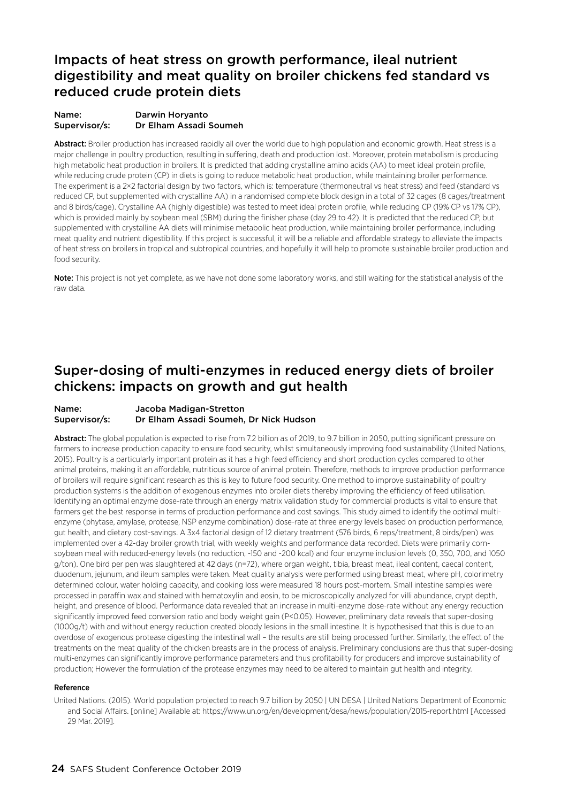### Impacts of heat stress on growth performance, ileal nutrient digestibility and meat quality on broiler chickens fed standard vs reduced crude protein diets

#### Name: Darwin Horyanto Supervisor/s: Dr Elham Assadi Soumeh

Abstract: Broiler production has increased rapidly all over the world due to high population and economic growth. Heat stress is a major challenge in poultry production, resulting in suffering, death and production lost. Moreover, protein metabolism is producing high metabolic heat production in broilers. It is predicted that adding crystalline amino acids (AA) to meet ideal protein profile, while reducing crude protein (CP) in diets is going to reduce metabolic heat production, while maintaining broiler performance. The experiment is a 2×2 factorial design by two factors, which is: temperature (thermoneutral vs heat stress) and feed (standard vs reduced CP, but supplemented with crystalline AA) in a randomised complete block design in a total of 32 cages (8 cages/treatment and 8 birds/cage). Crystalline AA (highly digestible) was tested to meet ideal protein profile, while reducing CP (19% CP vs 17% CP), which is provided mainly by soybean meal (SBM) during the finisher phase (day 29 to 42). It is predicted that the reduced CP, but supplemented with crystalline AA diets will minimise metabolic heat production, while maintaining broiler performance, including meat quality and nutrient digestibility. If this project is successful, it will be a reliable and affordable strategy to alleviate the impacts of heat stress on broilers in tropical and subtropical countries, and hopefully it will help to promote sustainable broiler production and food security.

Note: This project is not yet complete, as we have not done some laboratory works, and still waiting for the statistical analysis of the raw data.

### Super-dosing of multi-enzymes in reduced energy diets of broiler chickens: impacts on growth and gut health

#### Name: Jacoba Madigan-Stretton Supervisor/s: Dr Elham Assadi Soumeh, Dr Nick Hudson

Abstract: The global population is expected to rise from 7.2 billion as of 2019, to 9.7 billion in 2050, putting significant pressure on farmers to increase production capacity to ensure food security, whilst simultaneously improving food sustainability (United Nations, 2015). Poultry is a particularly important protein as it has a high feed efficiency and short production cycles compared to other animal proteins, making it an affordable, nutritious source of animal protein. Therefore, methods to improve production performance of broilers will require significant research as this is key to future food security. One method to improve sustainability of poultry production systems is the addition of exogenous enzymes into broiler diets thereby improving the efficiency of feed utilisation. Identifying an optimal enzyme dose-rate through an energy matrix validation study for commercial products is vital to ensure that farmers get the best response in terms of production performance and cost savings. This study aimed to identify the optimal multienzyme (phytase, amylase, protease, NSP enzyme combination) dose-rate at three energy levels based on production performance, gut health, and dietary cost-savings. A 3x4 factorial design of 12 dietary treatment (576 birds, 6 reps/treatment, 8 birds/pen) was implemented over a 42-day broiler growth trial, with weekly weights and performance data recorded. Diets were primarily cornsoybean meal with reduced-energy levels (no reduction, -150 and -200 kcal) and four enzyme inclusion levels (0, 350, 700, and 1050 g/ton). One bird per pen was slaughtered at 42 days (n=72), where organ weight, tibia, breast meat, ileal content, caecal content, duodenum, jejunum, and ileum samples were taken. Meat quality analysis were performed using breast meat, where pH, colorimetry determined colour, water holding capacity, and cooking loss were measured 18 hours post-mortem. Small intestine samples were processed in paraffin wax and stained with hematoxylin and eosin, to be microscopically analyzed for villi abundance, crypt depth, height, and presence of blood. Performance data revealed that an increase in multi-enzyme dose-rate without any energy reduction significantly improved feed conversion ratio and body weight gain (P<0.05). However, preliminary data reveals that super-dosing (1000g/t) with and without energy reduction created bloody lesions in the small intestine. It is hypothesised that this is due to an overdose of exogenous protease digesting the intestinal wall – the results are still being processed further. Similarly, the effect of the treatments on the meat quality of the chicken breasts are in the process of analysis. Preliminary conclusions are thus that super-dosing multi-enzymes can significantly improve performance parameters and thus profitability for producers and improve sustainability of production; However the formulation of the protease enzymes may need to be altered to maintain gut health and integrity.

#### Reference

United Nations. (2015). World population projected to reach 9.7 billion by 2050 | UN DESA | United Nations Department of Economic and Social Affairs. [online] Available at: https://www.un.org/en/development/desa/news/population/2015-report.html [Accessed 29 Mar. 2019].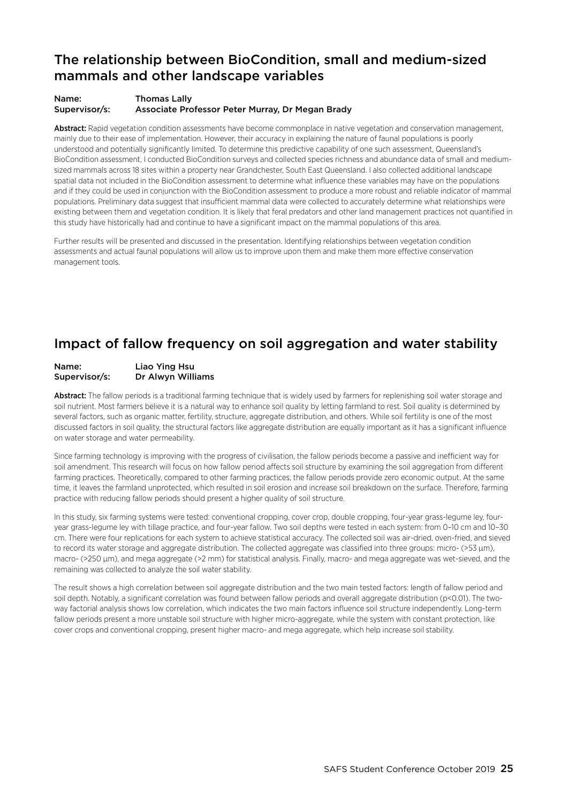### The relationship between BioCondition, small and medium-sized mammals and other landscape variables

#### Name: Thomas Lally Supervisor/s: Associate Professor Peter Murray, Dr Megan Brady

Abstract: Rapid vegetation condition assessments have become commonplace in native vegetation and conservation management, mainly due to their ease of implementation. However, their accuracy in explaining the nature of faunal populations is poorly understood and potentially significantly limited. To determine this predictive capability of one such assessment, Queensland's BioCondition assessment, I conducted BioCondition surveys and collected species richness and abundance data of small and mediumsized mammals across 18 sites within a property near Grandchester, South East Queensland. I also collected additional landscape spatial data not included in the BioCondition assessment to determine what influence these variables may have on the populations and if they could be used in conjunction with the BioCondition assessment to produce a more robust and reliable indicator of mammal populations. Preliminary data suggest that insufficient mammal data were collected to accurately determine what relationships were existing between them and vegetation condition. It is likely that feral predators and other land management practices not quantified in this study have historically had and continue to have a significant impact on the mammal populations of this area.

Further results will be presented and discussed in the presentation. Identifying relationships between vegetation condition assessments and actual faunal populations will allow us to improve upon them and make them more effective conservation management tools.

### Impact of fallow frequency on soil aggregation and water stability

#### Name: Liao Ying Hsu Supervisor/s: Dr Alwyn Williams

Abstract: The fallow periods is a traditional farming technique that is widely used by farmers for replenishing soil water storage and soil nutrient. Most farmers believe it is a natural way to enhance soil quality by letting farmland to rest. Soil quality is determined by several factors, such as organic matter, fertility, structure, aggregate distribution, and others. While soil fertility is one of the most discussed factors in soil quality, the structural factors like aggregate distribution are equally important as it has a significant influence on water storage and water permeability.

Since farming technology is improving with the progress of civilisation, the fallow periods become a passive and inefficient way for soil amendment. This research will focus on how fallow period affects soil structure by examining the soil aggregation from different farming practices. Theoretically, compared to other farming practices, the fallow periods provide zero economic output. At the same time, it leaves the farmland unprotected, which resulted in soil erosion and increase soil breakdown on the surface. Therefore, farming practice with reducing fallow periods should present a higher quality of soil structure.

In this study, six farming systems were tested: conventional cropping, cover crop, double cropping, four-year grass-legume ley, fouryear grass-legume ley with tillage practice, and four-year fallow. Two soil depths were tested in each system: from 0–10 cm and 10–30 cm. There were four replications for each system to achieve statistical accuracy. The collected soil was air-dried, oven-fried, and sieved to record its water storage and aggregate distribution. The collected aggregate was classified into three groups: micro- (>53 µm), macro- (>250 um), and mega aggregate (>2 mm) for statistical analysis. Finally, macro- and mega aggregate was wet-sieved, and the remaining was collected to analyze the soil water stability.

The result shows a high correlation between soil aggregate distribution and the two main tested factors: length of fallow period and soil depth. Notably, a significant correlation was found between fallow periods and overall aggregate distribution (p<0.01). The twoway factorial analysis shows low correlation, which indicates the two main factors influence soil structure independently. Long-term fallow periods present a more unstable soil structure with higher micro-aggregate, while the system with constant protection, like cover crops and conventional cropping, present higher macro- and mega aggregate, which help increase soil stability.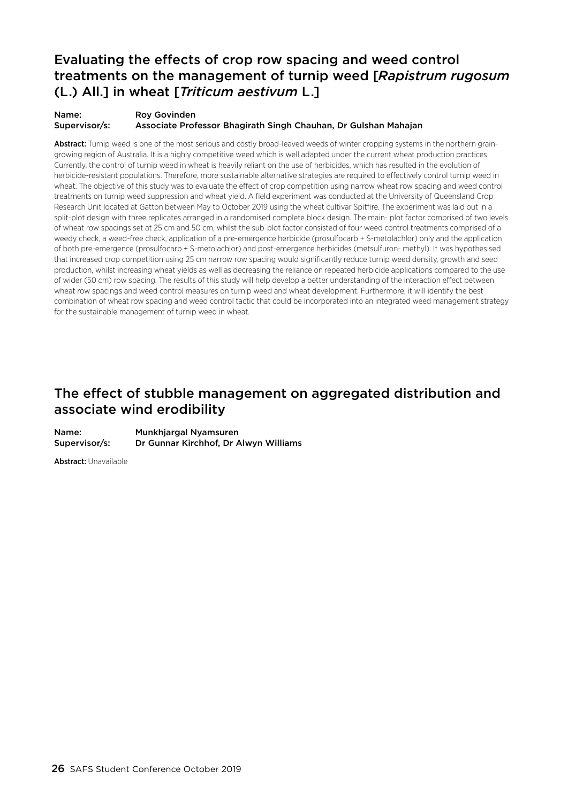### Evaluating the effects of crop row spacing and weed control treatments on the management of turnip weed [*Rapistrum rugosum* (L.) All.] in wheat [*Triticum aestivum* L.]

#### Name: Roy Govinden Supervisor/s: Associate Professor Bhagirath Singh Chauhan, Dr Gulshan Mahajan

Abstract: Turnip weed is one of the most serious and costly broad-leaved weeds of winter cropping systems in the northern graingrowing region of Australia. It is a highly competitive weed which is well adapted under the current wheat production practices. Currently, the control of turnip weed in wheat is heavily reliant on the use of herbicides, which has resulted in the evolution of herbicide-resistant populations. Therefore, more sustainable alternative strategies are required to effectively control turnip weed in wheat. The objective of this study was to evaluate the effect of crop competition using narrow wheat row spacing and weed control treatments on turnip weed suppression and wheat yield. A field experiment was conducted at the University of Queensland Crop Research Unit located at Gatton between May to October 2019 using the wheat cultivar Spitfire. The experiment was laid out in a split-plot design with three replicates arranged in a randomised complete block design. The main- plot factor comprised of two levels of wheat row spacings set at 25 cm and 50 cm, whilst the sub-plot factor consisted of four weed control treatments comprised of a weedy check, a weed-free check, application of a pre-emergence herbicide (prosulfocarb + S-metolachlor) only and the application of both pre-emergence (prosulfocarb + S-metolachlor) and post-emergence herbicides (metsulfuron- methyl). It was hypothesised that increased crop competition using 25 cm narrow row spacing would significantly reduce turnip weed density, growth and seed production, whilst increasing wheat yields as well as decreasing the reliance on repeated herbicide applications compared to the use of wider (50 cm) row spacing. The results of this study will help develop a better understanding of the interaction effect between wheat row spacings and weed control measures on turnip weed and wheat development. Furthermore, it will identify the best combination of wheat row spacing and weed control tactic that could be incorporated into an integrated weed management strategy for the sustainable management of turnip weed in wheat.

### The effect of stubble management on aggregated distribution and associate wind erodibility

Name: Munkhjargal Nyamsuren Supervisor/s: Dr Gunnar Kirchhof, Dr Alwyn Williams

Abstract: Unavailable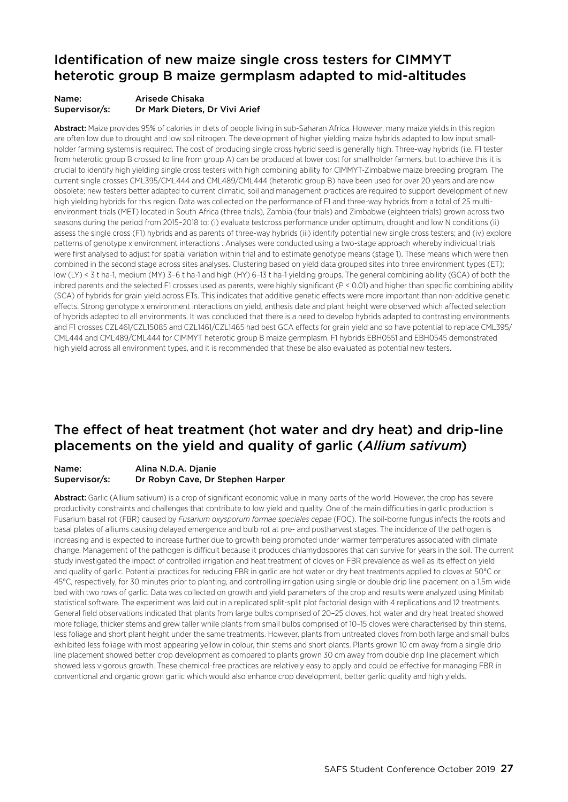### Identification of new maize single cross testers for CIMMYT heterotic group B maize germplasm adapted to mid-altitudes

#### Name: Arisede Chisaka Supervisor/s: Dr Mark Dieters, Dr Vivi Arief

Abstract: Maize provides 95% of calories in diets of people living in sub-Saharan Africa. However, many maize yields in this region are often low due to drought and low soil nitrogen. The development of higher yielding maize hybrids adapted to low input smallholder farming systems is required. The cost of producing single cross hybrid seed is generally high. Three-way hybrids (i.e. F1 tester from heterotic group B crossed to line from group A) can be produced at lower cost for smallholder farmers, but to achieve this it is crucial to identify high yielding single cross testers with high combining ability for CIMMYT-Zimbabwe maize breeding program. The current single crosses CML395/CML444 and CML489/CML444 (heterotic group B) have been used for over 20 years and are now obsolete; new testers better adapted to current climatic, soil and management practices are required to support development of new high yielding hybrids for this region. Data was collected on the performance of F1 and three-way hybrids from a total of 25 multienvironment trials (MET) located in South Africa (three trials), Zambia (four trials) and Zimbabwe (eighteen trials) grown across two seasons during the period from 2015–2018 to: (i) evaluate testcross performance under optimum, drought and low N conditions (ii) assess the single cross (F1) hybrids and as parents of three-way hybrids (iii) identify potential new single cross testers; and (iv) explore patterns of genotype x environment interactions . Analyses were conducted using a two-stage approach whereby individual trials were first analysed to adjust for spatial variation within trial and to estimate genotype means (stage 1). These means which were then combined in the second stage across sites analyses. Clustering based on yield data grouped sites into three environment types (ET); low (LY) < 3 t ha-1, medium (MY) 3–6 t ha-1 and high (HY) 6–13 t ha-1 yielding groups. The general combining ability (GCA) of both the inbred parents and the selected F1 crosses used as parents, were highly significant (P < 0.01) and higher than specific combining ability (SCA) of hybrids for grain yield across ETs. This indicates that additive genetic effects were more important than non-additive genetic effects. Strong genotype x environment interactions on yield, anthesis date and plant height were observed which affected selection of hybrids adapted to all environments. It was concluded that there is a need to develop hybrids adapted to contrasting environments and F1 crosses CZL461/CZL15085 and CZL1461/CZL1465 had best GCA effects for grain yield and so have potential to replace CML395/ CML444 and CML489/CML444 for CIMMYT heterotic group B maize germplasm. F1 hybrids EBH0551 and EBH0545 demonstrated high yield across all environment types, and it is recommended that these be also evaluated as potential new testers.

### The effect of heat treatment (hot water and dry heat) and drip-line placements on the yield and quality of garlic (*Allium sativum*)

#### Name: Alina N.D.A. Djanie Supervisor/s: Dr Robyn Cave, Dr Stephen Harper

Abstract: Garlic (Allium sativum) is a crop of significant economic value in many parts of the world. However, the crop has severe productivity constraints and challenges that contribute to low yield and quality. One of the main difficulties in garlic production is Fusarium basal rot (FBR) caused by *Fusarium oxysporum formae speciales cepae* (FOC). The soil-borne fungus infects the roots and basal plates of alliums causing delayed emergence and bulb rot at pre- and postharvest stages. The incidence of the pathogen is increasing and is expected to increase further due to growth being promoted under warmer temperatures associated with climate change. Management of the pathogen is difficult because it produces chlamydospores that can survive for years in the soil. The current study investigated the impact of controlled irrigation and heat treatment of cloves on FBR prevalence as well as its effect on yield and quality of garlic. Potential practices for reducing FBR in garlic are hot water or dry heat treatments applied to cloves at 50°C or 45°C, respectively, for 30 minutes prior to planting, and controlling irrigation using single or double drip line placement on a 1.5m wide bed with two rows of garlic. Data was collected on growth and yield parameters of the crop and results were analyzed using Minitab statistical software. The experiment was laid out in a replicated split-split plot factorial design with 4 replications and 12 treatments. General field observations indicated that plants from large bulbs comprised of 20–25 cloves, hot water and dry heat treated showed more foliage, thicker stems and grew taller while plants from small bulbs comprised of 10–15 cloves were characterised by thin stems, less foliage and short plant height under the same treatments. However, plants from untreated cloves from both large and small bulbs exhibited less foliage with most appearing yellow in colour, thin stems and short plants. Plants grown 10 cm away from a single drip line placement showed better crop development as compared to plants grown 30 cm away from double drip line placement which showed less vigorous growth. These chemical-free practices are relatively easy to apply and could be effective for managing FBR in conventional and organic grown garlic which would also enhance crop development, better garlic quality and high yields.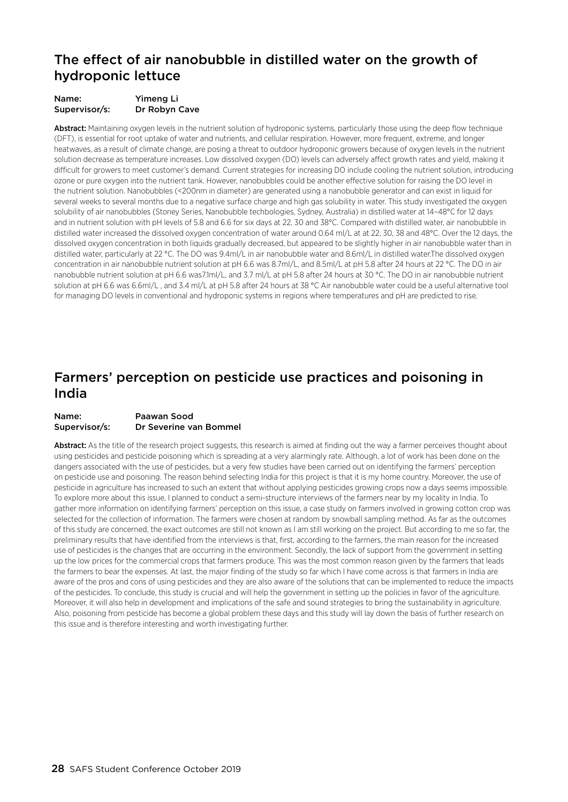### The effect of air nanobubble in distilled water on the growth of hydroponic lettuce

| Name:         | Yimeng Li     |
|---------------|---------------|
| Supervisor/s: | Dr Robyn Cave |

Abstract: Maintaining oxygen levels in the nutrient solution of hydroponic systems, particularly those using the deep flow technique (DFT), is essential for root uptake of water and nutrients, and cellular respiration. However, more frequent, extreme, and longer heatwaves, as a result of climate change, are posing a threat to outdoor hydroponic growers because of oxygen levels in the nutrient solution decrease as temperature increases. Low dissolved oxygen (DO) levels can adversely affect growth rates and yield, making it difficult for growers to meet customer's demand. Current strategies for increasing DO include cooling the nutrient solution, introducing ozone or pure oxygen into the nutrient tank. However, nanobubbles could be another effective solution for raising the DO level in the nutrient solution. Nanobubbles (<200nm in diameter) are generated using a nanobubble generator and can exist in liquid for several weeks to several months due to a negative surface charge and high gas solubility in water. This study investigated the oxygen solubility of air nanobubbles (Stoney Series, Nanobubble techbologies, Sydney, Australia) in distilled water at 14–48°C for 12 days and in nutrient solution with pH levels of 5.8 and 6.6 for six days at 22, 30 and 38°C. Compared with distilled water, air nanobubble in distilled water increased the dissolved oxygen concentration of water around 0.64 ml/L at at 22, 30, 38 and 48°C. Over the 12 days, the dissolved oxygen concentration in both liquids gradually decreased, but appeared to be slightly higher in air nanobubble water than in distilled water, particularly at 22 °C. The DO was 9.4ml/L in air nanobubble water and 8.6ml/L in distilled water.The dissolved oxygen concentration in air nanobubble nutrient solution at pH 6.6 was 8.7ml/L, and 8.5ml/L at pH 5.8 after 24 hours at 22 °C. The DO in air nanobubble nutrient solution at pH 6.6 was7.1ml/L, and 3.7 ml/L at pH 5.8 after 24 hours at 30 °C. The DO in air nanobubble nutrient solution at pH 6.6 was 6.6ml/L , and 3.4 ml/L at pH 5.8 after 24 hours at 38 °C Air nanobubble water could be a useful alternative tool for managing DO levels in conventional and hydroponic systems in regions where temperatures and pH are predicted to rise.

### Farmers' perception on pesticide use practices and poisoning in India

#### Name: Paawan Sood Supervisor/s: Dr Severine van Bommel

Abstract: As the title of the research project suggests, this research is aimed at finding out the way a farmer perceives thought about using pesticides and pesticide poisoning which is spreading at a very alarmingly rate. Although, a lot of work has been done on the dangers associated with the use of pesticides, but a very few studies have been carried out on identifying the farmers' perception on pesticide use and poisoning. The reason behind selecting India for this project is that it is my home country. Moreover, the use of pesticide in agriculture has increased to such an extent that without applying pesticides growing crops now a days seems impossible. To explore more about this issue, I planned to conduct a semi-structure interviews of the farmers near by my locality in India. To gather more information on identifying farmers' perception on this issue, a case study on farmers involved in growing cotton crop was selected for the collection of information. The farmers were chosen at random by snowball sampling method. As far as the outcomes of this study are concerned, the exact outcomes are still not known as I am still working on the project. But according to me so far, the preliminary results that have identified from the interviews is that, first, according to the farmers, the main reason for the increased use of pesticides is the changes that are occurring in the environment. Secondly, the lack of support from the government in setting up the low prices for the commercial crops that farmers produce. This was the most common reason given by the farmers that leads the farmers to bear the expenses. At last, the major finding of the study so far which I have come across is that farmers in India are aware of the pros and cons of using pesticides and they are also aware of the solutions that can be implemented to reduce the impacts of the pesticides. To conclude, this study is crucial and will help the government in setting up the policies in favor of the agriculture. Moreover, it will also help in development and implications of the safe and sound strategies to bring the sustainability in agriculture. Also, poisoning from pesticide has become a global problem these days and this study will lay down the basis of further research on this issue and is therefore interesting and worth investigating further.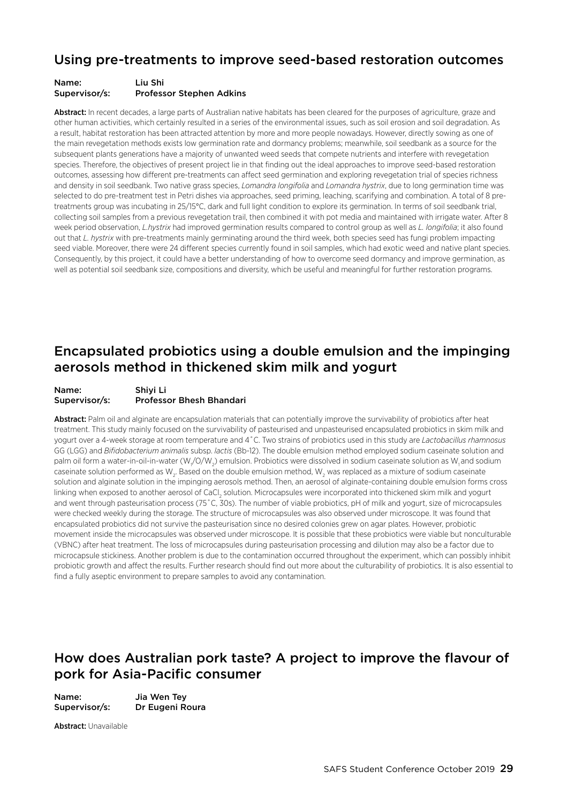### Using pre-treatments to improve seed-based restoration outcomes

#### Name: Liu Shi Supervisor/s: Professor Stephen Adkins

Abstract: In recent decades, a large parts of Australian native habitats has been cleared for the purposes of agriculture, graze and other human activities, which certainly resulted in a series of the environmental issues, such as soil erosion and soil degradation. As a result, habitat restoration has been attracted attention by more and more people nowadays. However, directly sowing as one of the main revegetation methods exists low germination rate and dormancy problems; meanwhile, soil seedbank as a source for the subsequent plants generations have a majority of unwanted weed seeds that compete nutrients and interfere with revegetation species. Therefore, the objectives of present project lie in that finding out the ideal approaches to improve seed-based restoration outcomes, assessing how different pre-treatments can affect seed germination and exploring revegetation trial of species richness and density in soil seedbank. Two native grass species, *Lomandra longifolia* and *Lomandra hystrix*, due to long germination time was selected to do pre-treatment test in Petri dishes via approaches, seed priming, leaching, scarifying and combination. A total of 8 pretreatments group was incubating in 25/15°C, dark and full light condition to explore its germination. In terms of soil seedbank trial, collecting soil samples from a previous revegetation trail, then combined it with pot media and maintained with irrigate water. After 8 week period observation, *L.hystrix* had improved germination results compared to control group as well as *L. longifolia*; it also found out that *L. hystrix* with pre-treatments mainly germinating around the third week, both species seed has fungi problem impacting seed viable. Moreover, there were 24 different species currently found in soil samples, which had exotic weed and native plant species. Consequently, by this project, it could have a better understanding of how to overcome seed dormancy and improve germination, as well as potential soil seedbank size, compositions and diversity, which be useful and meaningful for further restoration programs.

### Encapsulated probiotics using a double emulsion and the impinging aerosols method in thickened skim milk and yogurt

| Name:         | Shivi Li                        |
|---------------|---------------------------------|
| Supervisor/s: | <b>Professor Bhesh Bhandari</b> |

Abstract: Palm oil and alginate are encapsulation materials that can potentially improve the survivability of probiotics after heat treatment. This study mainly focused on the survivability of pasteurised and unpasteurised encapsulated probiotics in skim milk and yogurt over a 4-week storage at room temperature and 4˚C. Two strains of probiotics used in this study are *Lactobacillus rhamnosus*  GG (LGG) and *Bifidobacterium animalis* subsp. *lactis* (Bb-12). The double emulsion method employed sodium caseinate solution and palm oil form a water-in-oil-in-water (W,/O/W<sub>2</sub>) emulsion. Probiotics were dissolved in sodium caseinate solution as W<sub>1</sub> and sodium caseinate solution performed as W $_{\rm 2}$ . Based on the double emulsion method, W $_{\rm 2}$  was replaced as a mixture of sodium caseinate solution and alginate solution in the impinging aerosols method. Then, an aerosol of alginate-containing double emulsion forms cross linking when exposed to another aerosol of CaCl<sub>2</sub> solution. Microcapsules were incorporated into thickened skim milk and yogurt and went through pasteurisation process (75˚C, 30s). The number of viable probiotics, pH of milk and yogurt, size of microcapsules were checked weekly during the storage. The structure of microcapsules was also observed under microscope. It was found that encapsulated probiotics did not survive the pasteurisation since no desired colonies grew on agar plates. However, probiotic movement inside the microcapsules was observed under microscope. It is possible that these probiotics were viable but nonculturable (VBNC) after heat treatment. The loss of microcapsules during pasteurisation processing and dilution may also be a factor due to microcapsule stickiness. Another problem is due to the contamination occurred throughout the experiment, which can possibly inhibit probiotic growth and affect the results. Further research should find out more about the culturability of probiotics. It is also essential to find a fully aseptic environment to prepare samples to avoid any contamination.

### How does Australian pork taste? A project to improve the flavour of pork for Asia-Pacific consumer

Name: Jia Wen Tey Supervisor/s: Dr Eugeni Roura

Abstract: Unavailable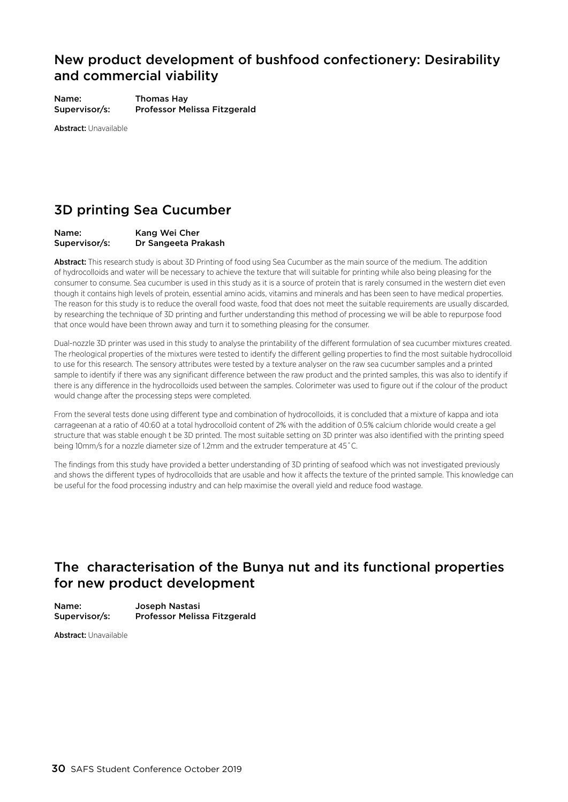### New product development of bushfood confectionery: Desirability and commercial viability

Name: Thomas Hay Supervisor/s: Professor Melissa Fitzgerald

Abstract: Unavailable

### 3D printing Sea Cucumber

#### Name: Kang Wei Cher Supervisor/s: Dr Sangeeta Prakash

Abstract: This research study is about 3D Printing of food using Sea Cucumber as the main source of the medium. The addition of hydrocolloids and water will be necessary to achieve the texture that will suitable for printing while also being pleasing for the consumer to consume. Sea cucumber is used in this study as it is a source of protein that is rarely consumed in the western diet even though it contains high levels of protein, essential amino acids, vitamins and minerals and has been seen to have medical properties. The reason for this study is to reduce the overall food waste, food that does not meet the suitable requirements are usually discarded, by researching the technique of 3D printing and further understanding this method of processing we will be able to repurpose food that once would have been thrown away and turn it to something pleasing for the consumer.

Dual-nozzle 3D printer was used in this study to analyse the printability of the different formulation of sea cucumber mixtures created. The rheological properties of the mixtures were tested to identify the different gelling properties to find the most suitable hydrocolloid to use for this research. The sensory attributes were tested by a texture analyser on the raw sea cucumber samples and a printed sample to identify if there was any significant difference between the raw product and the printed samples, this was also to identify if there is any difference in the hydrocolloids used between the samples. Colorimeter was used to figure out if the colour of the product would change after the processing steps were completed.

From the several tests done using different type and combination of hydrocolloids, it is concluded that a mixture of kappa and iota carrageenan at a ratio of 40:60 at a total hydrocolloid content of 2% with the addition of 0.5% calcium chloride would create a gel structure that was stable enough t be 3D printed. The most suitable setting on 3D printer was also identified with the printing speed being 10mm/s for a nozzle diameter size of 1.2mm and the extruder temperature at 45˚C.

The findings from this study have provided a better understanding of 3D printing of seafood which was not investigated previously and shows the different types of hydrocolloids that are usable and how it affects the texture of the printed sample. This knowledge can be useful for the food processing industry and can help maximise the overall yield and reduce food wastage.

### The characterisation of the Bunya nut and its functional properties for new product development

Name: Joseph Nastasi Supervisor/s: Professor Melissa Fitzgerald

Abstract: Unavailable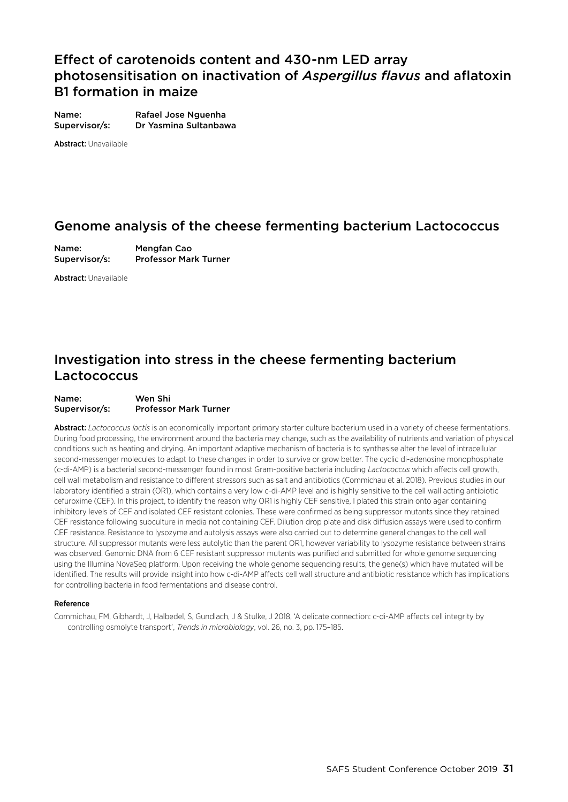### Effect of carotenoids content and 430-nm LED array photosensitisation on inactivation of *Aspergillus flavus* and aflatoxin B1 formation in maize

Name: Rafael Jose Nguenha Supervisor/s: Dr Yasmina Sultanbawa

Abstract: Unavailable

### Genome analysis of the cheese fermenting bacterium Lactococcus

Name: Mengfan Cao Supervisor/s: Professor Mark Turner

Abstract: Unavailable

### Investigation into stress in the cheese fermenting bacterium Lactococcus

#### Name: Wen Shi Supervisor/s: Professor Mark Turner

Abstract: *Lactococcus lactis* is an economically important primary starter culture bacterium used in a variety of cheese fermentations. During food processing, the environment around the bacteria may change, such as the availability of nutrients and variation of physical conditions such as heating and drying. An important adaptive mechanism of bacteria is to synthesise alter the level of intracellular second-messenger molecules to adapt to these changes in order to survive or grow better. The cyclic di-adenosine monophosphate (c-di-AMP) is a bacterial second-messenger found in most Gram-positive bacteria including *Lactococcus* which affects cell growth, cell wall metabolism and resistance to different stressors such as salt and antibiotics (Commichau et al. 2018). Previous studies in our laboratory identified a strain (OR1), which contains a very low c-di-AMP level and is highly sensitive to the cell wall acting antibiotic cefuroxime (CEF). In this project, to identify the reason why OR1 is highly CEF sensitive, I plated this strain onto agar containing inhibitory levels of CEF and isolated CEF resistant colonies. These were confirmed as being suppressor mutants since they retained CEF resistance following subculture in media not containing CEF. Dilution drop plate and disk diffusion assays were used to confirm CEF resistance. Resistance to lysozyme and autolysis assays were also carried out to determine general changes to the cell wall structure. All suppressor mutants were less autolytic than the parent OR1, however variability to lysozyme resistance between strains was observed. Genomic DNA from 6 CEF resistant suppressor mutants was purified and submitted for whole genome sequencing using the Illumina NovaSeq platform. Upon receiving the whole genome sequencing results, the gene(s) which have mutated will be identified. The results will provide insight into how c-di-AMP affects cell wall structure and antibiotic resistance which has implications for controlling bacteria in food fermentations and disease control.

#### Reference

Commichau, FM, Gibhardt, J, Halbedel, S, Gundlach, J & Stulke, J 2018, 'A delicate connection: c-di-AMP affects cell integrity by controlling osmolyte transport', *Trends in microbiology*, vol. 26, no. 3, pp. 175–185.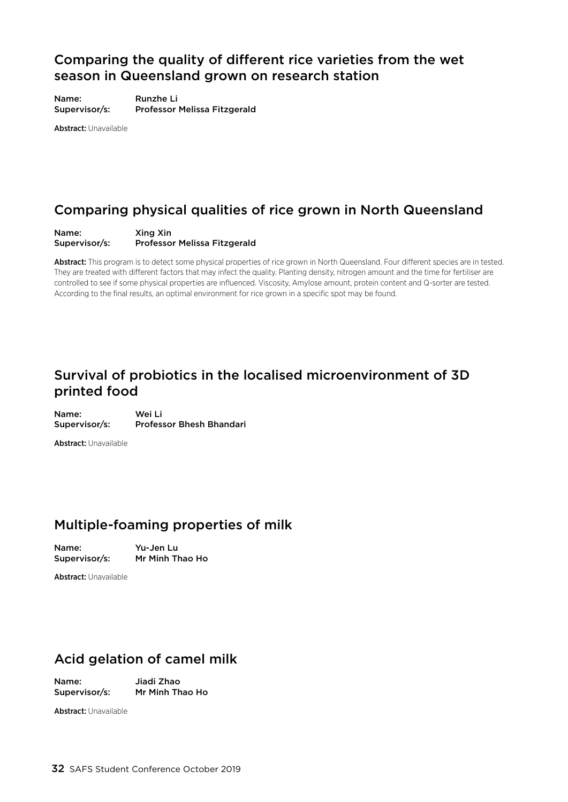### Comparing the quality of different rice varieties from the wet season in Queensland grown on research station

Name: Runzhe Li Supervisor/s: Professor Melissa Fitzgerald

Abstract: Unavailable

### Comparing physical qualities of rice grown in North Queensland

Name: Xing Xin Supervisor/s: Professor Melissa Fitzgerald

Abstract: This program is to detect some physical properties of rice grown in North Queensland. Four different species are in tested. They are treated with different factors that may infect the quality. Planting density, nitrogen amount and the time for fertiliser are controlled to see if some physical properties are influenced. Viscosity, Amylose amount, protein content and Q-sorter are tested. According to the final results, an optimal environment for rice grown in a specific spot may be found.

### Survival of probiotics in the localised microenvironment of 3D printed food

Name: Wei Li Supervisor/s: Professor Bhesh Bhandari

Abstract: Unavailable

### Multiple-foaming properties of milk

Name: Yu-Jen Lu Supervisor/s: Mr Minh Thao Ho

Abstract: Unavailable

### Acid gelation of camel milk

Name: Jiadi Zhao

Supervisor/s: Mr Minh Thao Ho

Abstract: Unavailable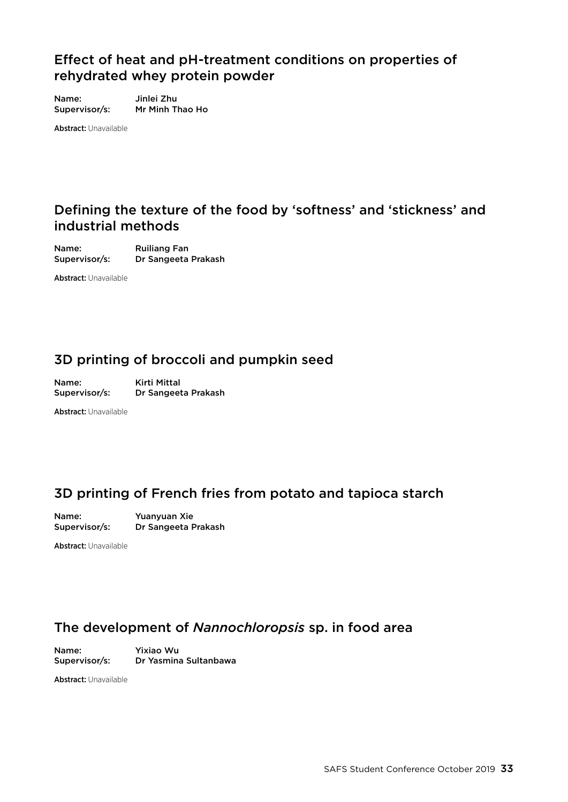### Effect of heat and pH-treatment conditions on properties of rehydrated whey protein powder

Name: Jinlei Zhu Supervisor/s: Mr Minh Thao Ho

Abstract: Unavailable

### Defining the texture of the food by 'softness' and 'stickness' and industrial methods

Name: Ruiliang Fan Supervisor/s: Dr Sangeeta Prakash

Abstract: Unavailable

### 3D printing of broccoli and pumpkin seed

Name: Kirti Mittal Supervisor/s: Dr Sangeeta Prakash

Abstract: Unavailable

### 3D printing of French fries from potato and tapioca starch

Name: Yuanyuan Xie<br>Supervisor/s: Dr Sangeeta I Dr Sangeeta Prakash

Abstract: Unavailable

### The development of *Nannochloropsis* sp. in food area

Name: Yixiao Wu Supervisor/s: Dr Yasmina Sultanbawa

Abstract: Unavailable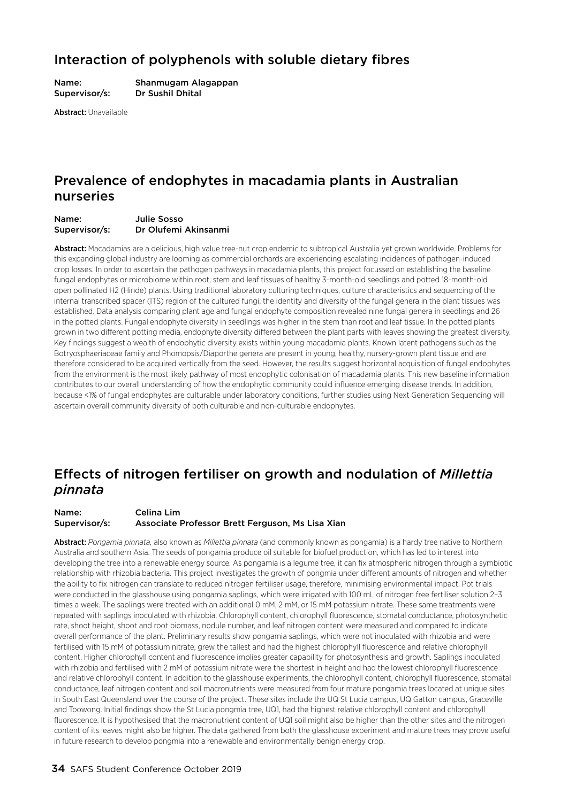### Interaction of polyphenols with soluble dietary fibres

Name: Shanmugam Alagappan Supervisor/s: Dr Sushil Dhital

Abstract: Unavailable

### Prevalence of endophytes in macadamia plants in Australian nurseries

#### Name: Julie Sosso Supervisor/s: Dr Olufemi Akinsanmi

Abstract: Macadamias are a delicious, high value tree-nut crop endemic to subtropical Australia yet grown worldwide. Problems for this expanding global industry are looming as commercial orchards are experiencing escalating incidences of pathogen-induced crop losses. In order to ascertain the pathogen pathways in macadamia plants, this project focussed on establishing the baseline fungal endophytes or microbiome within root, stem and leaf tissues of healthy 3-month-old seedlings and potted 18-month-old open pollinated H2 (Hinde) plants. Using traditional laboratory culturing techniques, culture characteristics and sequencing of the internal transcribed spacer (ITS) region of the cultured fungi, the identity and diversity of the fungal genera in the plant tissues was established. Data analysis comparing plant age and fungal endophyte composition revealed nine fungal genera in seedlings and 26 in the potted plants. Fungal endophyte diversity in seedlings was higher in the stem than root and leaf tissue. In the potted plants grown in two different potting media, endophyte diversity differed between the plant parts with leaves showing the greatest diversity. Key findings suggest a wealth of endophytic diversity exists within young macadamia plants. Known latent pathogens such as the Botryosphaeriaceae family and Phomopsis/Diaporthe genera are present in young, healthy, nursery-grown plant tissue and are therefore considered to be acquired vertically from the seed. However, the results suggest horizontal acquisition of fungal endophytes from the environment is the most likely pathway of most endophytic colonisation of macadamia plants. This new baseline information contributes to our overall understanding of how the endophytic community could influence emerging disease trends. In addition, because <1% of fungal endophytes are culturable under laboratory conditions, further studies using Next Generation Sequencing will ascertain overall community diversity of both culturable and non-culturable endophytes.

### Effects of nitrogen fertiliser on growth and nodulation of *Millettia pinnata*

#### Name: Celina Lim Supervisor/s: Associate Professor Brett Ferguson, Ms Lisa Xian

Abstract: *Pongamia pinnata,* also known as *Millettia pinnata* (and commonly known as pongamia) is a hardy tree native to Northern Australia and southern Asia. The seeds of pongamia produce oil suitable for biofuel production, which has led to interest into developing the tree into a renewable energy source. As pongamia is a legume tree, it can fix atmospheric nitrogen through a symbiotic relationship with rhizobia bacteria. This project investigates the growth of pongmia under different amounts of nitrogen and whether the ability to fix nitrogen can translate to reduced nitrogen fertiliser usage, therefore, minimising environmental impact. Pot trials were conducted in the glasshouse using pongamia saplings, which were irrigated with 100 mL of nitrogen free fertiliser solution 2–3 times a week. The saplings were treated with an additional 0 mM, 2 mM, or 15 mM potassium nitrate. These same treatments were repeated with saplings inoculated with rhizobia. Chlorophyll content, chlorophyll fluorescence, stomatal conductance, photosynthetic rate, shoot height, shoot and root biomass, nodule number, and leaf nitrogen content were measured and compared to indicate overall performance of the plant. Preliminary results show pongamia saplings, which were not inoculated with rhizobia and were fertilised with 15 mM of potassium nitrate, grew the tallest and had the highest chlorophyll fluorescence and relative chlorophyll content. Higher chlorophyll content and fluorescence implies greater capability for photosynthesis and growth. Saplings inoculated with rhizobia and fertilised with 2 mM of potassium nitrate were the shortest in height and had the lowest chlorophyll fluorescence and relative chlorophyll content. In addition to the glasshouse experiments, the chlorophyll content, chlorophyll fluorescence, stomatal conductance, leaf nitrogen content and soil macronutrients were measured from four mature pongamia trees located at unique sites in South East Queensland over the course of the project. These sites include the UQ St Lucia campus, UQ Gatton campus, Graceville and Toowong. Initial findings show the St Lucia pongmia tree, UQ1, had the highest relative chlorophyll content and chlorophyll fluorescence. It is hypothesised that the macronutrient content of UQ1 soil might also be higher than the other sites and the nitrogen content of its leaves might also be higher. The data gathered from both the glasshouse experiment and mature trees may prove useful in future research to develop pongmia into a renewable and environmentally benign energy crop.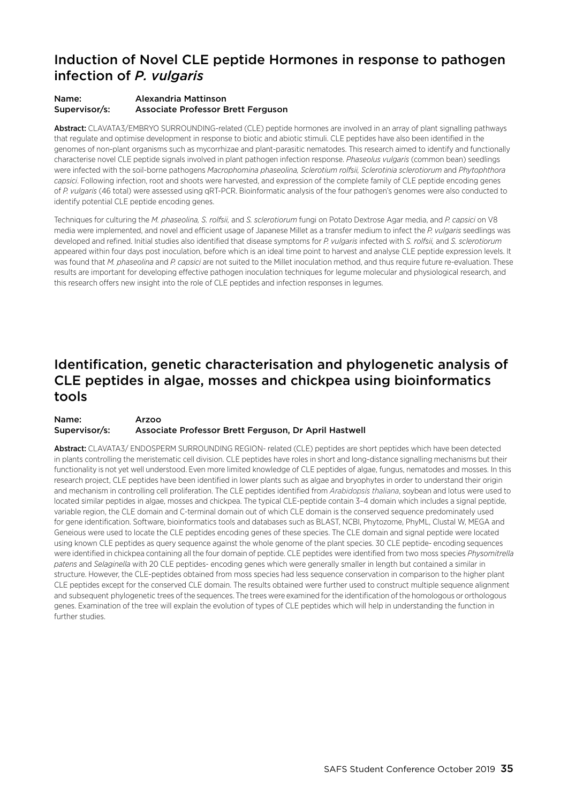### Induction of Novel CLE peptide Hormones in response to pathogen infection of *P. vulgaris*

#### Name: Alexandria Mattinson Supervisor/s: Associate Professor Brett Ferguson

Abstract: CLAVATA3/EMBRYO SURROUNDING-related (CLE) peptide hormones are involved in an array of plant signalling pathways that regulate and optimise development in response to biotic and abiotic stimuli. CLE peptides have also been identified in the genomes of non-plant organisms such as mycorrhizae and plant-parasitic nematodes. This research aimed to identify and functionally characterise novel CLE peptide signals involved in plant pathogen infection response. *Phaseolus vulgaris* (common bean) seedlings were infected with the soil-borne pathogens *Macrophomina phaseolina, Sclerotium rolfsii, Sclerotinia sclerotiorum* and *Phytophthora capsici*. Following infection, root and shoots were harvested, and expression of the complete family of CLE peptide encoding genes of *P. vulgaris* (46 total) were assessed using qRT-PCR. Bioinformatic analysis of the four pathogen's genomes were also conducted to identify potential CLE peptide encoding genes.

Techniques for culturing the *M. phaseolina, S. rolfsii,* and *S. sclerotiorum* fungi on Potato Dextrose Agar media, and *P. capsici* on V8 media were implemented, and novel and efficient usage of Japanese Millet as a transfer medium to infect the *P. vulgaris* seedlings was developed and refined. Initial studies also identified that disease symptoms for *P. vulgaris* infected with *S. rolfsii,* and *S. sclerotiorum*  appeared within four days post inoculation, before which is an ideal time point to harvest and analyse CLE peptide expression levels. It was found that *M. phaseolina* and *P. capsici* are not suited to the Millet inoculation method, and thus require future re-evaluation. These results are important for developing effective pathogen inoculation techniques for legume molecular and physiological research, and this research offers new insight into the role of CLE peptides and infection responses in legumes.

### Identification, genetic characterisation and phylogenetic analysis of CLE peptides in algae, mosses and chickpea using bioinformatics tools

#### Name: Arzoo Supervisor/s: Associate Professor Brett Ferguson, Dr April Hastwell

Abstract: CLAVATA3/ ENDOSPERM SURROUNDING REGION- related (CLE) peptides are short peptides which have been detected in plants controlling the meristematic cell division. CLE peptides have roles in short and long-distance signalling mechanisms but their functionality is not yet well understood. Even more limited knowledge of CLE peptides of algae, fungus, nematodes and mosses. In this research project, CLE peptides have been identified in lower plants such as algae and bryophytes in order to understand their origin and mechanism in controlling cell proliferation. The CLE peptides identified from *Arabidopsis thaliana*, soybean and lotus were used to located similar peptides in algae, mosses and chickpea. The typical CLE-peptide contain 3–4 domain which includes a signal peptide, variable region, the CLE domain and C-terminal domain out of which CLE domain is the conserved sequence predominately used for gene identification. Software, bioinformatics tools and databases such as BLAST, NCBI, Phytozome, PhyML, Clustal W, MEGA and Geneious were used to locate the CLE peptides encoding genes of these species. The CLE domain and signal peptide were located using known CLE peptides as query sequence against the whole genome of the plant species. 30 CLE peptide- encoding sequences were identified in chickpea containing all the four domain of peptide. CLE peptides were identified from two moss species *Physomitrella patens* and *Selaginella* with 20 CLE peptides- encoding genes which were generally smaller in length but contained a similar in structure. However, the CLE-peptides obtained from moss species had less sequence conservation in comparison to the higher plant CLE peptides except for the conserved CLE domain. The results obtained were further used to construct multiple sequence alignment and subsequent phylogenetic trees of the sequences. The trees were examined for the identification of the homologous or orthologous genes. Examination of the tree will explain the evolution of types of CLE peptides which will help in understanding the function in further studies.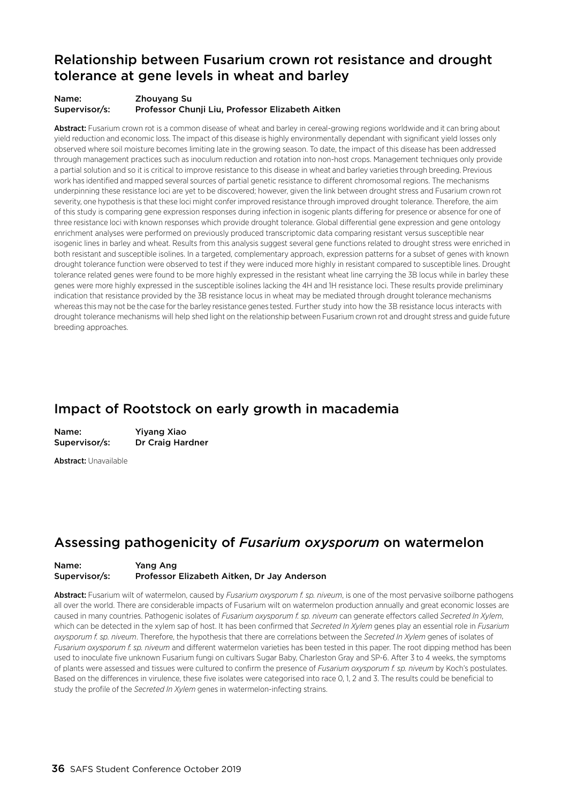### Relationship between Fusarium crown rot resistance and drought tolerance at gene levels in wheat and barley

#### Name: Zhouyang Su Supervisor/s: Professor Chunji Liu, Professor Elizabeth Aitken

Abstract: Fusarium crown rot is a common disease of wheat and barley in cereal-growing regions worldwide and it can bring about yield reduction and economic loss. The impact of this disease is highly environmentally dependant with significant yield losses only observed where soil moisture becomes limiting late in the growing season. To date, the impact of this disease has been addressed through management practices such as inoculum reduction and rotation into non-host crops. Management techniques only provide a partial solution and so it is critical to improve resistance to this disease in wheat and barley varieties through breeding. Previous work has identified and mapped several sources of partial genetic resistance to different chromosomal regions. The mechanisms underpinning these resistance loci are yet to be discovered; however, given the link between drought stress and Fusarium crown rot severity, one hypothesis is that these loci might confer improved resistance through improved drought tolerance. Therefore, the aim of this study is comparing gene expression responses during infection in isogenic plants differing for presence or absence for one of three resistance loci with known responses which provide drought tolerance. Global differential gene expression and gene ontology enrichment analyses were performed on previously produced transcriptomic data comparing resistant versus susceptible near isogenic lines in barley and wheat. Results from this analysis suggest several gene functions related to drought stress were enriched in both resistant and susceptible isolines. In a targeted, complementary approach, expression patterns for a subset of genes with known drought tolerance function were observed to test if they were induced more highly in resistant compared to susceptible lines. Drought tolerance related genes were found to be more highly expressed in the resistant wheat line carrying the 3B locus while in barley these genes were more highly expressed in the susceptible isolines lacking the 4H and 1H resistance loci. These results provide preliminary indication that resistance provided by the 3B resistance locus in wheat may be mediated through drought tolerance mechanisms whereas this may not be the case for the barley resistance genes tested. Further study into how the 3B resistance locus interacts with drought tolerance mechanisms will help shed light on the relationship between Fusarium crown rot and drought stress and guide future breeding approaches.

### Impact of Rootstock on early growth in macademia

| <b>Name:</b>  | <b>Yiyang Xiao</b> |
|---------------|--------------------|
| Supervisor/s: | Dr Craig Hardner   |

Abstract: Unavailable

### Assessing pathogenicity of *Fusarium oxysporum* on watermelon

#### Name: Yang Ang Supervisor/s: Professor Elizabeth Aitken, Dr Jay Anderson

Abstract: Fusarium wilt of watermelon, caused by *Fusarium oxysporum f. sp. niveum*, is one of the most pervasive soilborne pathogens all over the world. There are considerable impacts of Fusarium wilt on watermelon production annually and great economic losses are caused in many countries. Pathogenic isolates of *Fusarium oxysporum f. sp. niveum* can generate effectors called *Secreted In Xylem*, which can be detected in the xylem sap of host. It has been confirmed that *Secreted In Xylem* genes play an essential role in *Fusarium oxysporum f. sp. niveum*. Therefore, the hypothesis that there are correlations between the *Secreted In Xylem* genes of isolates of *Fusarium oxysporum f. sp. niveum* and different watermelon varieties has been tested in this paper. The root dipping method has been used to inoculate five unknown Fusarium fungi on cultivars Sugar Baby, Charleston Gray and SP-6. After 3 to 4 weeks, the symptoms of plants were assessed and tissues were cultured to confirm the presence of *Fusarium oxysporum f. sp. niveum* by Koch's postulates. Based on the differences in virulence, these five isolates were categorised into race 0, 1, 2 and 3. The results could be beneficial to study the profile of the *Secreted In Xylem* genes in watermelon-infecting strains.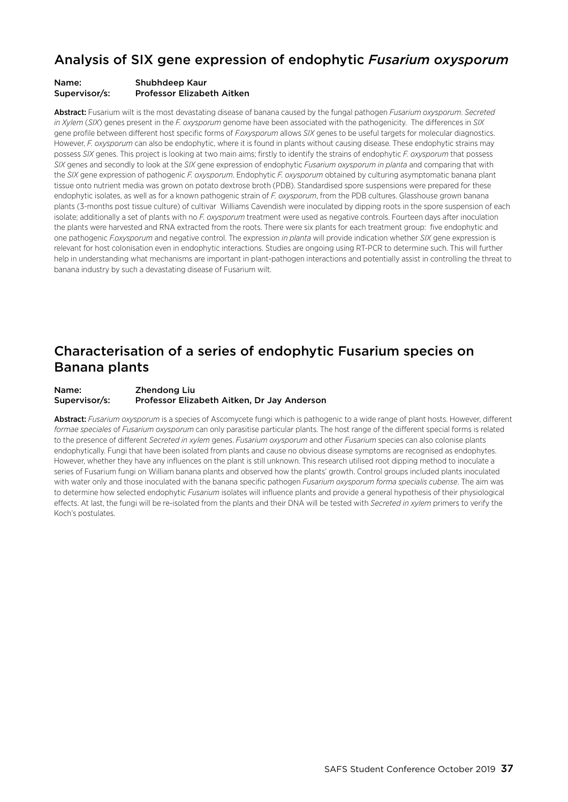### Analysis of SIX gene expression of endophytic *Fusarium oxysporum*

#### Name: Shubhdeep Kaur Supervisor/s: Professor Elizabeth Aitken

Abstract: Fusarium wilt is the most devastating disease of banana caused by the fungal pathogen *Fusarium oxysporum*. *Secreted in Xylem* (*SIX*) genes present in the *F. oxysporum* genome have been associated with the pathogenicity. The differences in *SIX* gene profile between different host specific forms of *F.oxysporum* allows *SIX* genes to be useful targets for molecular diagnostics. However, *F. oxysporum* can also be endophytic, where it is found in plants without causing disease. These endophytic strains may possess *SIX* genes. This project is looking at two main aims; firstly to identify the strains of endophytic *F. oxysporum* that possess *SIX* genes and secondly to look at the *SIX* gene expression of endophytic *Fusarium oxysporum in planta* and comparing that with the *SIX* gene expression of pathogenic *F. oxysporum*. Endophytic *F. oxysporum* obtained by culturing asymptomatic banana plant tissue onto nutrient media was grown on potato dextrose broth (PDB). Standardised spore suspensions were prepared for these endophytic isolates, as well as for a known pathogenic strain of *F. oxysporum*, from the PDB cultures. Glasshouse grown banana plants (3-months post tissue culture) of cultivar Williams Cavendish were inoculated by dipping roots in the spore suspension of each isolate; additionally a set of plants with no *F. oxysporum* treatment were used as negative controls. Fourteen days after inoculation the plants were harvested and RNA extracted from the roots. There were six plants for each treatment group: five endophytic and one pathogenic *F.oxysporum* and negative control. The expression *in planta* will provide indication whether *SIX* gene expression is relevant for host colonisation even in endophytic interactions. Studies are ongoing using RT-PCR to determine such. This will further help in understanding what mechanisms are important in plant-pathogen interactions and potentially assist in controlling the threat to banana industry by such a devastating disease of Fusarium wilt.

### Characterisation of a series of endophytic Fusarium species on Banana plants

#### Name: Zhendong Liu Supervisor/s: Professor Elizabeth Aitken, Dr Jay Anderson

Abstract: *Fusarium oxysporum* is a species of Ascomycete fungi which is pathogenic to a wide range of plant hosts. However, different *formae speciales* of *Fusarium oxysporum* can only parasitise particular plants. The host range of the different special forms is related to the presence of different *Secreted in xylem* genes. *Fusarium oxysporum* and other *Fusarium* species can also colonise plants endophytically. Fungi that have been isolated from plants and cause no obvious disease symptoms are recognised as endophytes. However, whether they have any influences on the plant is still unknown. This research utilised root dipping method to inoculate a series of Fusarium fungi on William banana plants and observed how the plants' growth. Control groups included plants inoculated with water only and those inoculated with the banana specific pathogen *Fusarium oxysporum forma specialis cubense*. The aim was to determine how selected endophytic *Fusarium* isolates will influence plants and provide a general hypothesis of their physiological effects. At last, the fungi will be re-isolated from the plants and their DNA will be tested with *Secreted in xylem* primers to verify the Koch's postulates.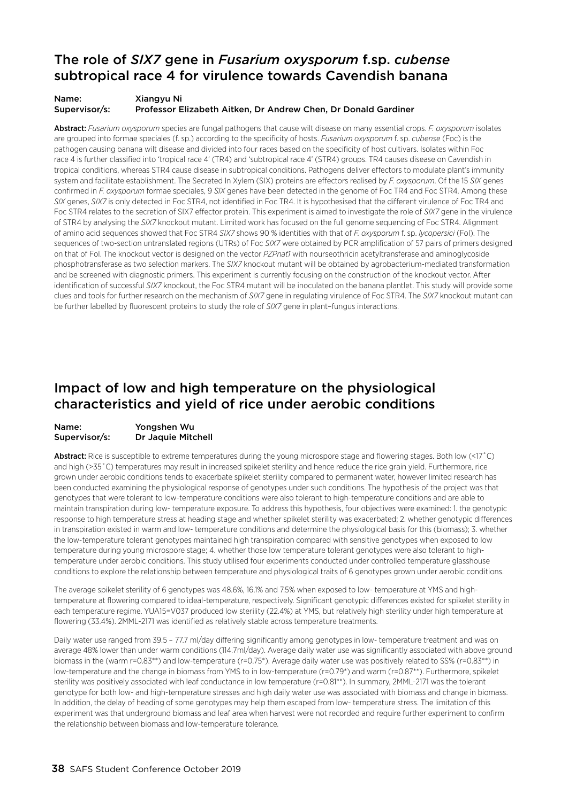### The role of *SIX7* gene in *Fusarium oxysporum* f.sp. *cubense* subtropical race 4 for virulence towards Cavendish banana

#### Name: Xiangyu Ni Supervisor/s: Professor Elizabeth Aitken, Dr Andrew Chen, Dr Donald Gardiner

Abstract: *Fusarium oxysporum* species are fungal pathogens that cause wilt disease on many essential crops. *F. oxysporum* isolates are grouped into formae speciales (f. sp.) according to the specificity of hosts. *Fusarium oxysporum* f. sp. *cubense* (Foc) is the pathogen causing banana wilt disease and divided into four races based on the specificity of host cultivars. Isolates within Foc race 4 is further classified into 'tropical race 4' (TR4) and 'subtropical race 4' (STR4) groups. TR4 causes disease on Cavendish in tropical conditions, whereas STR4 cause disease in subtropical conditions. Pathogens deliver effectors to modulate plant's immunity system and facilitate establishment. The Secreted In Xylem (SIX) proteins are effectors realised by *F. oxysporum*. Of the 15 *SIX* genes confirmed in *F. oxysporum* formae speciales, 9 *SIX* genes have been detected in the genome of Foc TR4 and Foc STR4. Among these *SIX* genes, *SIX7* is only detected in Foc STR4, not identified in Foc TR4. It is hypothesised that the different virulence of Foc TR4 and Foc STR4 relates to the secretion of SIX7 effector protein. This experiment is aimed to investigate the role of *SIX7* gene in the virulence of STR4 by analysing the *SIX7* knockout mutant. Limited work has focused on the full genome sequencing of Foc STR4. Alignment of amino acid sequences showed that Foc STR4 *SIX7* shows 90 % identities with that of *F. oxysporum* f. sp. *lycopersici* (Fol). The sequences of two-section untranslated regions (UTRs) of Foc *SIX7* were obtained by PCR amplification of 57 pairs of primers designed on that of Fol. The knockout vector is designed on the vector *PZPnat1* with nourseothricin acetyltransferase and aminoglycoside phosphotransferase as two selection markers. The *SIX7* knockout mutant will be obtained by agrobacterium-mediated transformation and be screened with diagnostic primers. This experiment is currently focusing on the construction of the knockout vector. After identification of successful *SIX7* knockout, the Foc STR4 mutant will be inoculated on the banana plantlet. This study will provide some clues and tools for further research on the mechanism of *SIX7* gene in regulating virulence of Foc STR4. The *SIX7* knockout mutant can be further labelled by fluorescent proteins to study the role of *SIX7* gene in plant–fungus interactions.

### Impact of low and high temperature on the physiological characteristics and yield of rice under aerobic conditions

#### Name: Yongshen Wu Supervisor/s: Dr Jaquie Mitchell

Abstract: Rice is susceptible to extreme temperatures during the young microspore stage and flowering stages. Both low (<17°C) and high (>35˚C) temperatures may result in increased spikelet sterility and hence reduce the rice grain yield. Furthermore, rice grown under aerobic conditions tends to exacerbate spikelet sterility compared to permanent water, however limited research has been conducted examining the physiological response of genotypes under such conditions. The hypothesis of the project was that genotypes that were tolerant to low-temperature conditions were also tolerant to high-temperature conditions and are able to maintain transpiration during low- temperature exposure. To address this hypothesis, four objectives were examined: 1. the genotypic response to high temperature stress at heading stage and whether spikelet sterility was exacerbated; 2. whether genotypic differences in transpiration existed in warm and low- temperature conditions and determine the physiological basis for this (biomass); 3. whether the low-temperature tolerant genotypes maintained high transpiration compared with sensitive genotypes when exposed to low temperature during young microspore stage; 4. whether those low temperature tolerant genotypes were also tolerant to hightemperature under aerobic conditions. This study utilised four experiments conducted under controlled temperature glasshouse conditions to explore the relationship between temperature and physiological traits of 6 genotypes grown under aerobic conditions.

The average spikelet sterility of 6 genotypes was 48.6%, 16.1% and 7.5% when exposed to low- temperature at YMS and hightemperature at flowering compared to ideal-temperature, respectively. Significant genotypic differences existed for spikelet sterility in each temperature regime. YUA15=V037 produced low sterility (22.4%) at YMS, but relatively high sterility under high temperature at flowering (33.4%). 2MML-2171 was identified as relatively stable across temperature treatments.

Daily water use ranged from 39.5 - 77.7 ml/day differing significantly among genotypes in low- temperature treatment and was on average 48% lower than under warm conditions (114.7ml/day). Average daily water use was significantly associated with above ground biomass in the (warm r=0.83\*\*) and low-temperature (r=0.75\*). Average daily water use was positively related to SS% (r=0.83\*\*) in low-temperature and the change in biomass from YMS to in low-temperature (r=0.79\*) and warm (r=0.87\*\*). Furthermore, spikelet sterility was positively associated with leaf conductance in low temperature (r=0.81\*\*). In summary, 2MML-2171 was the tolerant genotype for both low- and high-temperature stresses and high daily water use was associated with biomass and change in biomass. In addition, the delay of heading of some genotypes may help them escaped from low- temperature stress. The limitation of this experiment was that underground biomass and leaf area when harvest were not recorded and require further experiment to confirm the relationship between biomass and low-temperature tolerance.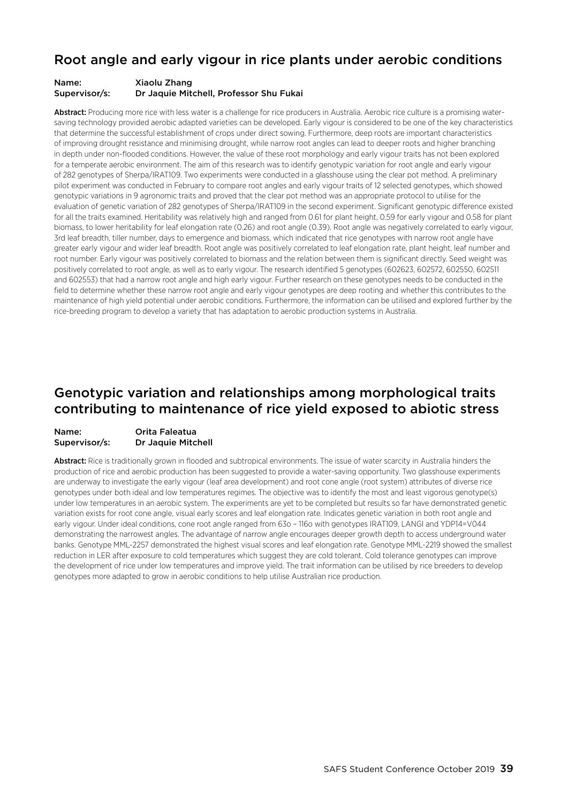### Root angle and early vigour in rice plants under aerobic conditions

#### Name: Xiaolu Zhang Supervisor/s: Dr Jaquie Mitchell, Professor Shu Fukai

Abstract: Producing more rice with less water is a challenge for rice producers in Australia. Aerobic rice culture is a promising watersaving technology provided aerobic adapted varieties can be developed. Early vigour is considered to be one of the key characteristics that determine the successful establishment of crops under direct sowing. Furthermore, deep roots are important characteristics of improving drought resistance and minimising drought, while narrow root angles can lead to deeper roots and higher branching in depth under non-flooded conditions. However, the value of these root morphology and early vigour traits has not been explored for a temperate aerobic environment. The aim of this research was to identify genotypic variation for root angle and early vigour of 282 genotypes of Sherpa/IRAT109. Two experiments were conducted in a glasshouse using the clear pot method. A preliminary pilot experiment was conducted in February to compare root angles and early vigour traits of 12 selected genotypes, which showed genotypic variations in 9 agronomic traits and proved that the clear pot method was an appropriate protocol to utilise for the evaluation of genetic variation of 282 genotypes of Sherpa/IRAT109 in the second experiment. Significant genotypic difference existed for all the traits examined. Heritability was relatively high and ranged from 0.61 for plant height, 0.59 for early vigour and 0.58 for plant biomass, to lower heritability for leaf elongation rate (0.26) and root angle (0.39). Root angle was negatively correlated to early vigour, 3rd leaf breadth, tiller number, days to emergence and biomass, which indicated that rice genotypes with narrow root angle have greater early vigour and wider leaf breadth. Root angle was positively correlated to leaf elongation rate, plant height, leaf number and root number. Early vigour was positively correlated to biomass and the relation between them is significant directly. Seed weight was positively correlated to root angle, as well as to early vigour. The research identified 5 genotypes (602623, 602572, 602550, 602511 and 602553) that had a narrow root angle and high early vigour. Further research on these genotypes needs to be conducted in the field to determine whether these narrow root angle and early vigour genotypes are deep rooting and whether this contributes to the maintenance of high yield potential under aerobic conditions. Furthermore, the information can be utilised and explored further by the rice-breeding program to develop a variety that has adaptation to aerobic production systems in Australia.

### Genotypic variation and relationships among morphological traits contributing to maintenance of rice yield exposed to abiotic stress

#### Name: Orita Faleatua Supervisor/s: Dr Jaquie Mitchell

Abstract: Rice is traditionally grown in flooded and subtropical environments. The issue of water scarcity in Australia hinders the production of rice and aerobic production has been suggested to provide a water-saving opportunity. Two glasshouse experiments are underway to investigate the early vigour (leaf area development) and root cone angle (root system) attributes of diverse rice genotypes under both ideal and low temperatures regimes. The objective was to identify the most and least vigorous genotype(s) under low temperatures in an aerobic system. The experiments are yet to be completed but results so far have demonstrated genetic variation exists for root cone angle, visual early scores and leaf elongation rate. Indicates genetic variation in both root angle and early vigour. Under ideal conditions, cone root angle ranged from 63o – 116o with genotypes IRAT109, LANGI and YDP14=V044 demonstrating the narrowest angles. The advantage of narrow angle encourages deeper growth depth to access underground water banks. Genotype MML-2257 demonstrated the highest visual scores and leaf elongation rate. Genotype MML-2219 showed the smallest reduction in LER after exposure to cold temperatures which suggest they are cold tolerant. Cold tolerance genotypes can improve the development of rice under low temperatures and improve yield. The trait information can be utilised by rice breeders to develop genotypes more adapted to grow in aerobic conditions to help utilise Australian rice production.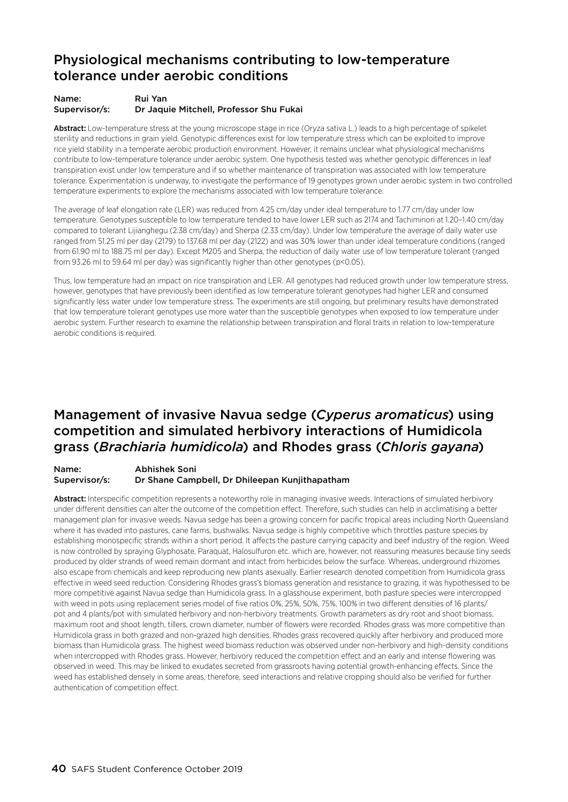### Physiological mechanisms contributing to low-temperature tolerance under aerobic conditions

#### Name: Rui Yan Supervisor/s: Dr Jaquie Mitchell, Professor Shu Fukai

Abstract: Low-temperature stress at the young microscope stage in rice (Oryza sativa L.) leads to a high percentage of spikelet sterility and reductions in grain yield. Genotypic differences exist for low temperature stress which can be exploited to improve rice yield stability in a temperate aerobic production environment. However, it remains unclear what physiological mechanisms contribute to low-temperature tolerance under aerobic system. One hypothesis tested was whether genotypic differences in leaf transpiration exist under low temperature and if so whether maintenance of transpiration was associated with low temperature tolerance. Experimentation is underway, to investigate the performance of 19 genotypes grown under aerobic system in two controlled temperature experiments to explore the mechanisms associated with low temperature tolerance.

The average of leaf elongation rate (LER) was reduced from 4.25 cm/day under ideal temperature to 1.77 cm/day under low temperature. Genotypes susceptible to low temperature tended to have lower LER such as 2174 and Tachiminori at 1.20–1.40 cm/day compared to tolerant Lijianghegu (2.38 cm/day) and Sherpa (2.33 cm/day). Under low temperature the average of daily water use ranged from 51.25 ml per day (2179) to 137.68 ml per day (2122) and was 30% lower than under ideal temperature conditions (ranged from 61.90 ml to 188.75 ml per day). Except M205 and Sherpa, the reduction of daily water use of low temperature tolerant (ranged from 93.26 ml to 59.64 ml per day) was significantly higher than other genotypes (p<0.05).

Thus, low temperature had an impact on rice transpiration and LER. All genotypes had reduced growth under low temperature stress, however, genotypes that have previously been identified as low temperature tolerant genotypes had higher LER and consumed significantly less water under low temperature stress. The experiments are still ongoing, but preliminary results have demonstrated that low temperature tolerant genotypes use more water than the susceptible genotypes when exposed to low temperature under aerobic system. Further research to examine the relationship between transpiration and floral traits in relation to low-temperature aerobic conditions is required.

### Management of invasive Navua sedge (*Cyperus aromaticus*) using competition and simulated herbivory interactions of Humidicola grass (*Brachiaria humidicola*) and Rhodes grass (*Chloris gayana*)

Name: Abhishek Soni Supervisor/s: Dr Shane Campbell, Dr Dhileepan Kunjithapatham

Abstract: Interspecific competition represents a noteworthy role in managing invasive weeds. Interactions of simulated herbivory under different densities can alter the outcome of the competition effect. Therefore, such studies can help in acclimatising a better management plan for invasive weeds. Navua sedge has been a growing concern for pacific tropical areas including North Queensland where it has evaded into pastures, cane farms, bushwalks. Navua sedge is highly competitive which throttles pasture species by establishing monospecific strands within a short period. It affects the pasture carrying capacity and beef industry of the region. Weed is now controlled by spraying Glyphosate, Paraquat, Halosulfuron etc. which are, however, not reassuring measures because tiny seeds produced by older strands of weed remain dormant and intact from herbicides below the surface. Whereas, underground rhizomes also escape from chemicals and keep reproducing new plants asexually. Earlier research denoted competition from Humidicola grass effective in weed seed reduction. Considering Rhodes grass's biomass generation and resistance to grazing, it was hypothesised to be more competitive against Navua sedge than Humidicola grass. In a glasshouse experiment, both pasture species were intercropped with weed in pots using replacement series model of five ratios 0%, 25%, 50%, 75%, 100% in two different densities of 16 plants/ pot and 4 plants/pot with simulated herbivory and non-herbivory treatments. Growth parameters as dry root and shoot biomass, maximum root and shoot length, tillers, crown diameter, number of flowers were recorded. Rhodes grass was more competitive than Humidicola grass in both grazed and non-grazed high densities. Rhodes grass recovered quickly after herbivory and produced more biomass than Humidicola grass. The highest weed biomass reduction was observed under non-herbivory and high-density conditions when intercropped with Rhodes grass. However, herbivory reduced the competition effect and an early and intense flowering was observed in weed. This may be linked to exudates secreted from grassroots having potential growth-enhancing effects. Since the weed has established densely in some areas, therefore, seed interactions and relative cropping should also be verified for further authentication of competition effect.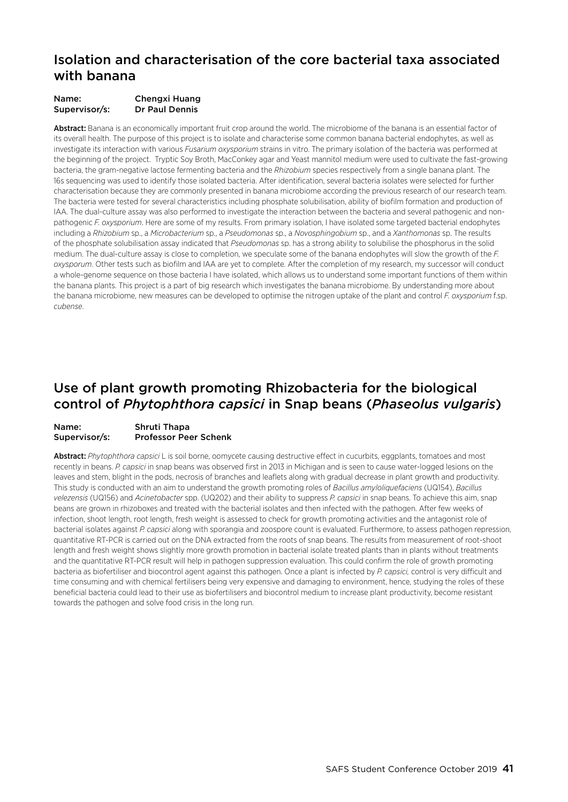### Isolation and characterisation of the core bacterial taxa associated with banana

| Name:         | <b>Chengxi Huang</b> |
|---------------|----------------------|
| Supervisor/s: | Dr Paul Dennis       |

Abstract: Banana is an economically important fruit crop around the world. The microbiome of the banana is an essential factor of its overall health. The purpose of this project is to isolate and characterise some common banana bacterial endophytes, as well as investigate its interaction with various *Fusarium oxysporium* strains in vitro. The primary isolation of the bacteria was performed at the beginning of the project. Tryptic Soy Broth, MacConkey agar and Yeast mannitol medium were used to cultivate the fast-growing bacteria, the gram-negative lactose fermenting bacteria and the *Rhizobium* species respectively from a single banana plant. The 16s sequencing was used to identify those isolated bacteria. After identification, several bacteria isolates were selected for further characterisation because they are commonly presented in banana microbiome according the previous research of our research team. The bacteria were tested for several characteristics including phosphate solubilisation, ability of biofilm formation and production of IAA. The dual-culture assay was also performed to investigate the interaction between the bacteria and several pathogenic and nonpathogenic *F. oxysporium*. Here are some of my results. From primary isolation, I have isolated some targeted bacterial endophytes including a *Rhizobium* sp., a *Microbacterium* sp., a *Pseudomonas* sp., a *Novosphingobium* sp., and a *Xanthomonas* sp. The results of the phosphate solubilisation assay indicated that *Pseudomonas* sp. has a strong ability to solubilise the phosphorus in the solid medium. The dual-culture assay is close to completion, we speculate some of the banana endophytes will slow the growth of the *F. oxysporum*. Other tests such as biofilm and IAA are yet to complete. After the completion of my research, my successor will conduct a whole-genome sequence on those bacteria I have isolated, which allows us to understand some important functions of them within the banana plants. This project is a part of big research which investigates the banana microbiome. By understanding more about the banana microbiome, new measures can be developed to optimise the nitrogen uptake of the plant and control *F. oxysporium* f.sp. *cubense*.

### Use of plant growth promoting Rhizobacteria for the biological control of *Phytophthora capsici* in Snap beans (*Phaseolus vulgaris*)

#### Name: Shruti Thapa Supervisor/s: Professor Peer Schenk

Abstract: *Phytophthora capsici* L is soil borne, oomycete causing destructive effect in cucurbits, eggplants, tomatoes and most recently in beans. *P. capsici* in snap beans was observed first in 2013 in Michigan and is seen to cause water-logged lesions on the leaves and stem, blight in the pods, necrosis of branches and leaflets along with gradual decrease in plant growth and productivity. This study is conducted with an aim to understand the growth promoting roles of *Bacillus amyloliquefaciens* (UQ154), *Bacillus velezensis* (UQ156) and *Acinetobacter* spp. (UQ202) and their ability to suppress *P. capsici* in snap beans. To achieve this aim, snap beans are grown in rhizoboxes and treated with the bacterial isolates and then infected with the pathogen. After few weeks of infection, shoot length, root length, fresh weight is assessed to check for growth promoting activities and the antagonist role of bacterial isolates against *P. capsici* along with sporangia and zoospore count is evaluated. Furthermore, to assess pathogen repression, quantitative RT-PCR is carried out on the DNA extracted from the roots of snap beans. The results from measurement of root-shoot length and fresh weight shows slightly more growth promotion in bacterial isolate treated plants than in plants without treatments and the quantitative RT-PCR result will help in pathogen suppression evaluation. This could confirm the role of growth promoting bacteria as biofertiliser and biocontrol agent against this pathogen. Once a plant is infected by *P. capsici,* control is very difficult and time consuming and with chemical fertilisers being very expensive and damaging to environment, hence, studying the roles of these beneficial bacteria could lead to their use as biofertilisers and biocontrol medium to increase plant productivity, become resistant towards the pathogen and solve food crisis in the long run.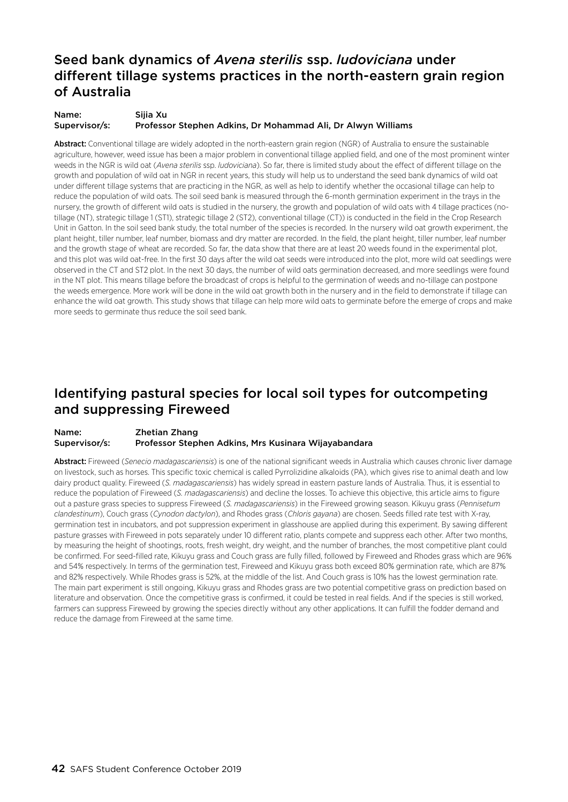### Seed bank dynamics of *Avena sterilis* ssp. *ludoviciana* under different tillage systems practices in the north-eastern grain region of Australia

Name: Sijia Xu Supervisor/s: Professor Stephen Adkins, Dr Mohammad Ali, Dr Alwyn Williams

Abstract: Conventional tillage are widely adopted in the north-eastern grain region (NGR) of Australia to ensure the sustainable agriculture, however, weed issue has been a major problem in conventional tillage applied field, and one of the most prominent winter weeds in the NGR is wild oat (*Avena sterilis* ssp. *ludoviciana*). So far, there is limited study about the effect of different tillage on the growth and population of wild oat in NGR in recent years, this study will help us to understand the seed bank dynamics of wild oat under different tillage systems that are practicing in the NGR, as well as help to identify whether the occasional tillage can help to reduce the population of wild oats. The soil seed bank is measured through the 6-month germination experiment in the trays in the nursery, the growth of different wild oats is studied in the nursery, the growth and population of wild oats with 4 tillage practices (notillage (NT), strategic tillage 1 (ST1), strategic tillage 2 (ST2), conventional tillage (CT)) is conducted in the field in the Crop Research Unit in Gatton. In the soil seed bank study, the total number of the species is recorded. In the nursery wild oat growth experiment, the plant height, tiller number, leaf number, biomass and dry matter are recorded. In the field, the plant height, tiller number, leaf number and the growth stage of wheat are recorded. So far, the data show that there are at least 20 weeds found in the experimental plot, and this plot was wild oat-free. In the first 30 days after the wild oat seeds were introduced into the plot, more wild oat seedlings were observed in the CT and ST2 plot. In the next 30 days, the number of wild oats germination decreased, and more seedlings were found in the NT plot. This means tillage before the broadcast of crops is helpful to the germination of weeds and no-tillage can postpone the weeds emergence. More work will be done in the wild oat growth both in the nursery and in the field to demonstrate if tillage can enhance the wild oat growth. This study shows that tillage can help more wild oats to germinate before the emerge of crops and make more seeds to germinate thus reduce the soil seed bank.

### Identifying pastural species for local soil types for outcompeting and suppressing Fireweed

#### Name: Zhetian Zhang Supervisor/s: Professor Stephen Adkins, Mrs Kusinara Wijayabandara

Abstract: Fireweed (*Senecio madagascariensis*) is one of the national significant weeds in Australia which causes chronic liver damage on livestock, such as horses. This specific toxic chemical is called Pyrrolizidine alkaloids (PA), which gives rise to animal death and low dairy product quality. Fireweed (*S. madagascariensis*) has widely spread in eastern pasture lands of Australia. Thus, it is essential to reduce the population of Fireweed (*S. madagascariensis*) and decline the losses. To achieve this objective, this article aims to figure out a pasture grass species to suppress Fireweed (*S. madagascariensis*) in the Fireweed growing season. Kikuyu grass (*Pennisetum clandestinum*), Couch grass (*Cynodon dactylon*), and Rhodes grass (*Chloris gayana*) are chosen. Seeds filled rate test with X-ray, germination test in incubators, and pot suppression experiment in glasshouse are applied during this experiment. By sawing different pasture grasses with Fireweed in pots separately under 10 different ratio, plants compete and suppress each other. After two months, by measuring the height of shootings, roots, fresh weight, dry weight, and the number of branches, the most competitive plant could be confirmed. For seed-filled rate, Kikuyu grass and Couch grass are fully filled, followed by Fireweed and Rhodes grass which are 96% and 54% respectively. In terms of the germination test, Fireweed and Kikuyu grass both exceed 80% germination rate, which are 87% and 82% respectively. While Rhodes grass is 52%, at the middle of the list. And Couch grass is 10% has the lowest germination rate. The main part experiment is still ongoing, Kikuyu grass and Rhodes grass are two potential competitive grass on prediction based on literature and observation. Once the competitive grass is confirmed, it could be tested in real fields. And if the species is still worked, farmers can suppress Fireweed by growing the species directly without any other applications. It can fulfill the fodder demand and reduce the damage from Fireweed at the same time.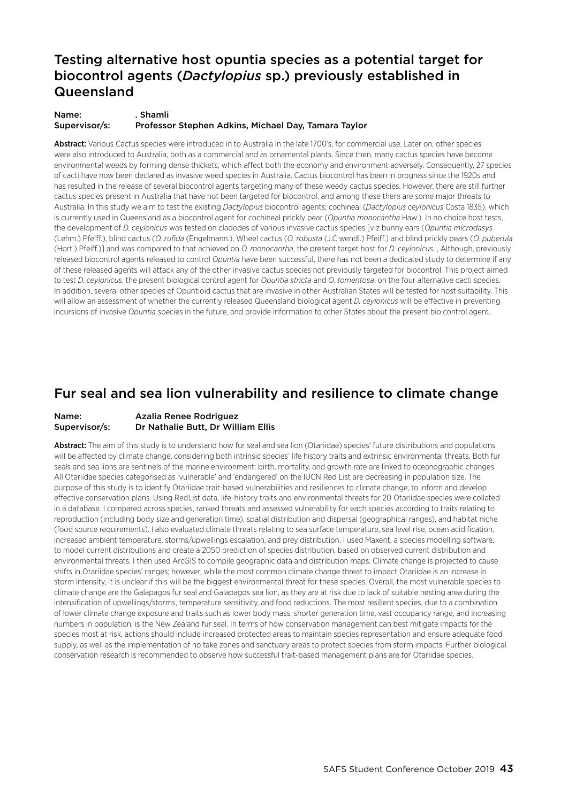### Testing alternative host opuntia species as a potential target for biocontrol agents (*Dactylopius* sp.) previously established in Queensland

Name: . Shamli Supervisor/s: Professor Stephen Adkins, Michael Day, Tamara Taylor

Abstract: Various Cactus species were introduced in to Australia in the late 1700's, for commercial use. Later on, other species were also introduced to Australia, both as a commercial and as ornamental plants. Since then, many cactus species have become environmental weeds by forming dense thickets, which affect both the economy and environment adversely. Consequently, 27 species of cacti have now been declared as invasive weed species in Australia. Cactus biocontrol has been in progress since the 1920s and has resulted in the release of several biocontrol agents targeting many of these weedy cactus species. However, there are still further cactus species present in Australia that have not been targeted for biocontrol, and among these there are some major threats to Australia. In this study we aim to test the existing *Dactylopius* biocontrol agents; cochineal (*Dactylopius ceylonicus* Costa 1835), which is currently used in Queensland as a biocontrol agent for cochineal prickly pear (*Opuntia monocantha* Haw.). In no choice host tests, the development of *D. ceylonicus* was tested on cladodes of various invasive cactus species [viz bunny ears (*Opuntia microdasys*  (Lehm.) Pfeiff.), blind cactus (*O. rufida* (Engelmann.), Wheel cactus (*O. robusta* (J.C wendl.) Pfeiff.) and blind prickly pears (*O. puberula*  (Hort.) Pfeiff.)] and was compared to that achieved on *O. monocantha*, the present target host for *D. ceylonicus*. , Although, previously released biocontrol agents released to control *Opuntia* have been successful, there has not been a dedicated study to determine if any of these released agents will attack any of the other invasive cactus species not previously targeted for biocontrol. This project aimed to test *D. ceylonicus*, the present biological control agent for *Opuntia stricta* and *O. tomentosa*, on the four alternative cacti species. In addition, several other species of Opuntioid cactus that are invasive in other Australian States will be tested for host suitability. This will allow an assessment of whether the currently released Queensland biological agent *D. ceylonicus* will be effective in preventing incursions of invasive *Opuntia* species in the future, and provide information to other States about the present bio control agent.

### Fur seal and sea lion vulnerability and resilience to climate change

#### Name: Azalia Renee Rodriguez Supervisor/s: Dr Nathalie Butt, Dr William Ellis

Abstract: The aim of this study is to understand how fur seal and sea lion (Otariidae) species' future distributions and populations will be affected by climate change, considering both intrinsic species' life history traits and extrinsic environmental threats. Both fur seals and sea lions are sentinels of the marine environment: birth, mortality, and growth rate are linked to oceanographic changes. All Otariidae species categorised as 'vulnerable' and 'endangered' on the IUCN Red List are decreasing in population size. The purpose of this study is to identify Otariidae trait-based vulnerabilities and resiliences to climate change, to inform and develop effective conservation plans. Using RedList data, life-history traits and environmental threats for 20 Otariidae species were collated in a database. I compared across species, ranked threats and assessed vulnerability for each species according to traits relating to reproduction (including body size and generation time), spatial distribution and dispersal (geographical ranges), and habitat niche (food source requirements). I also evaluated climate threats relating to sea surface temperature, sea level rise, ocean acidification, increased ambient temperature, storms/upwellings escalation, and prey distribution. I used Maxent, a species modelling software, to model current distributions and create a 2050 prediction of species distribution, based on observed current distribution and environmental threats. I then used ArcGIS to compile geographic data and distribution maps. Climate change is projected to cause shifts in Otariidae species' ranges; however, while the most common climate change threat to impact Otariidae is an increase in storm intensity, it is unclear if this will be the biggest environmental threat for these species. Overall, the most vulnerable species to climate change are the Galapagos fur seal and Galapagos sea lion, as they are at risk due to lack of suitable nesting area during the intensification of upwellings/storms, temperature sensitivity, and food reductions. The most resilient species, due to a combination of lower climate change exposure and traits such as lower body mass, shorter generation time, vast occupancy range, and increasing numbers in population, is the New Zealand fur seal. In terms of how conservation management can best mitigate impacts for the species most at risk, actions should include increased protected areas to maintain species representation and ensure adequate food supply, as well as the implementation of no take zones and sanctuary areas to protect species from storm impacts. Further biological conservation research is recommended to observe how successful trait-based management plans are for Otariidae species.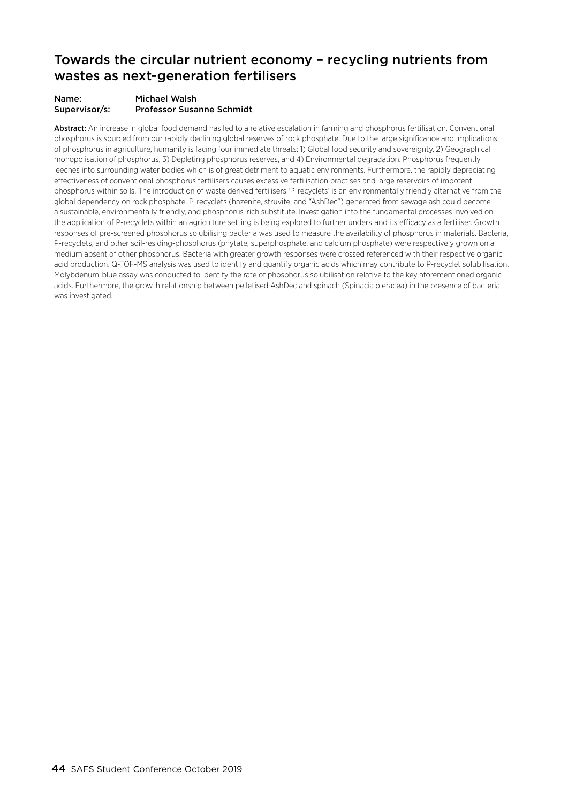### Towards the circular nutrient economy – recycling nutrients from wastes as next-generation fertilisers

#### Name: Michael Walsh Supervisor/s: Professor Susanne Schmidt

Abstract: An increase in global food demand has led to a relative escalation in farming and phosphorus fertilisation. Conventional phosphorus is sourced from our rapidly declining global reserves of rock phosphate. Due to the large significance and implications of phosphorus in agriculture, humanity is facing four immediate threats: 1) Global food security and sovereignty, 2) Geographical monopolisation of phosphorus, 3) Depleting phosphorus reserves, and 4) Environmental degradation. Phosphorus frequently leeches into surrounding water bodies which is of great detriment to aquatic environments. Furthermore, the rapidly depreciating effectiveness of conventional phosphorus fertilisers causes excessive fertilisation practises and large reservoirs of impotent phosphorus within soils. The introduction of waste derived fertilisers 'P-recyclets' is an environmentally friendly alternative from the global dependency on rock phosphate. P-recyclets (hazenite, struvite, and "AshDec") generated from sewage ash could become a sustainable, environmentally friendly, and phosphorus-rich substitute. Investigation into the fundamental processes involved on the application of P-recyclets within an agriculture setting is being explored to further understand its efficacy as a fertiliser. Growth responses of pre-screened phosphorus solubilising bacteria was used to measure the availability of phosphorus in materials. Bacteria, P-recyclets, and other soil-residing-phosphorus (phytate, superphosphate, and calcium phosphate) were respectively grown on a medium absent of other phosphorus. Bacteria with greater growth responses were crossed referenced with their respective organic acid production. Q-TOF-MS analysis was used to identify and quantify organic acids which may contribute to P-recyclet solubilisation. Molybdenum-blue assay was conducted to identify the rate of phosphorus solubilisation relative to the key aforementioned organic acids. Furthermore, the growth relationship between pelletised AshDec and spinach (Spinacia oleracea) in the presence of bacteria was investigated.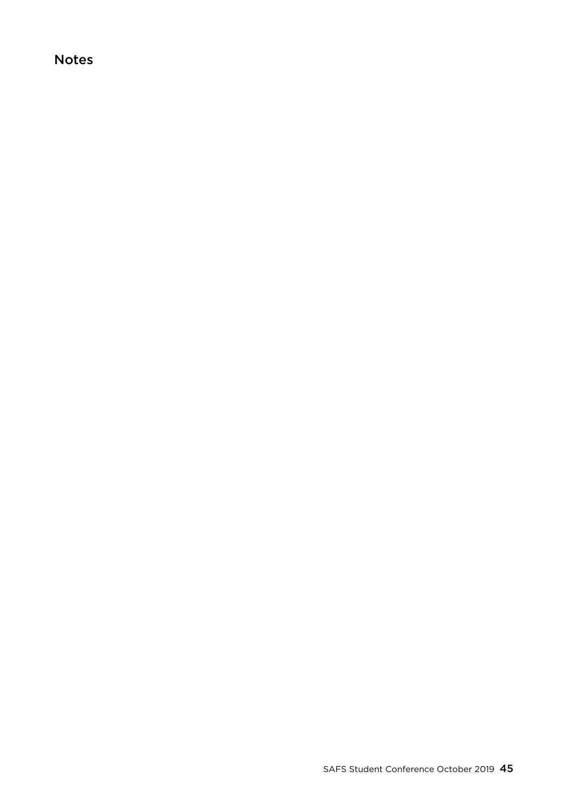### Notes